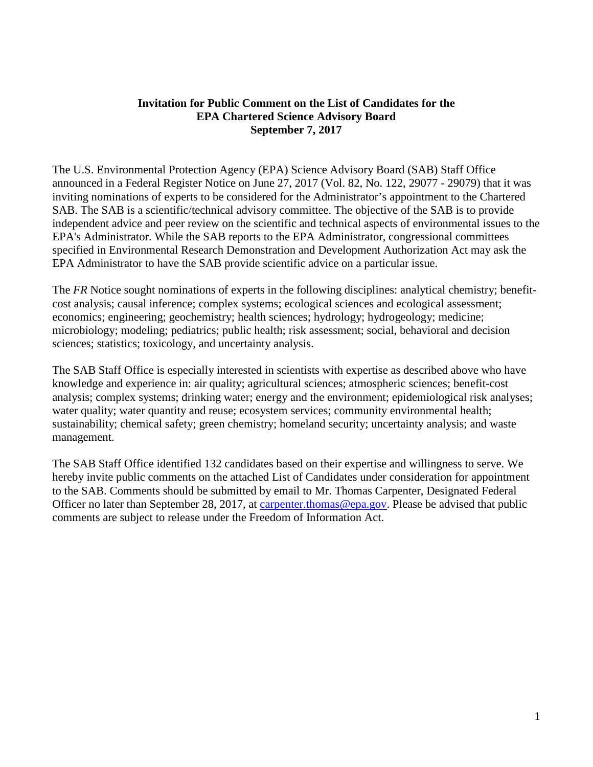### **Invitation for Public Comment on the List of Candidates for the EPA Chartered Science Advisory Board September 7, 2017**

The U.S. Environmental Protection Agency (EPA) Science Advisory Board (SAB) Staff Office announced in a Federal Register Notice on June 27, 2017 (Vol. 82, No. 122, 29077 - 29079) that it was inviting nominations of experts to be considered for the Administrator's appointment to the Chartered SAB. The SAB is a scientific/technical advisory committee. The objective of the SAB is to provide independent advice and peer review on the scientific and technical aspects of environmental issues to the EPA's Administrator. While the SAB reports to the EPA Administrator, congressional committees specified in Environmental Research Demonstration and Development Authorization Act may ask the EPA Administrator to have the SAB provide scientific advice on a particular issue.

The *FR* Notice sought nominations of experts in the following disciplines: analytical chemistry; benefitcost analysis; causal inference; complex systems; ecological sciences and ecological assessment; economics; engineering; geochemistry; health sciences; hydrology; hydrogeology; medicine; microbiology; modeling; pediatrics; public health; risk assessment; social, behavioral and decision sciences; statistics; toxicology, and uncertainty analysis.

The SAB Staff Office is especially interested in scientists with expertise as described above who have knowledge and experience in: air quality; agricultural sciences; atmospheric sciences; benefit-cost analysis; complex systems; drinking water; energy and the environment; epidemiological risk analyses; water quality; water quantity and reuse; ecosystem services; community environmental health; sustainability; chemical safety; green chemistry; homeland security; uncertainty analysis; and waste management.

The SAB Staff Office identified 132 candidates based on their expertise and willingness to serve. We hereby invite public comments on the attached List of Candidates under consideration for appointment to the SAB. Comments should be submitted by email to Mr. Thomas Carpenter, Designated Federal Officer no later than September 28, 2017, at [carpenter.thomas@epa.gov.](mailto:carpenter.thomas@epa.gov) Please be advised that public comments are subject to release under the Freedom of Information Act.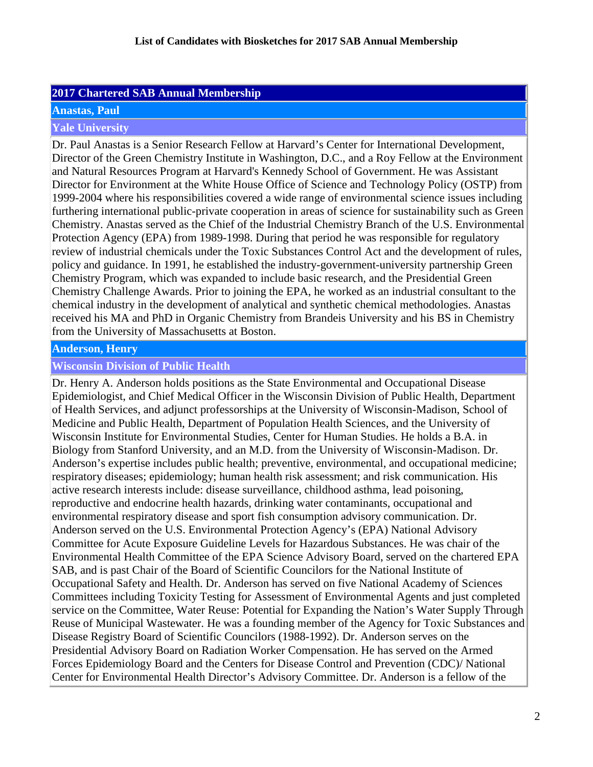### **2017 Chartered SAB Annual Membership**

### **Anastas, Paul**

#### **Yale University**

Dr. Paul Anastas is a Senior Research Fellow at Harvard's Center for International Development, Director of the Green Chemistry Institute in Washington, D.C., and a Roy Fellow at the Environment and Natural Resources Program at Harvard's Kennedy School of Government. He was Assistant Director for Environment at the White House Office of Science and Technology Policy (OSTP) from 1999-2004 where his responsibilities covered a wide range of environmental science issues including furthering international public-private cooperation in areas of science for sustainability such as Green Chemistry. Anastas served as the Chief of the Industrial Chemistry Branch of the U.S. Environmental Protection Agency (EPA) from 1989-1998. During that period he was responsible for regulatory review of industrial chemicals under the Toxic Substances Control Act and the development of rules, policy and guidance. In 1991, he established the industry-government-university partnership Green Chemistry Program, which was expanded to include basic research, and the Presidential Green Chemistry Challenge Awards. Prior to joining the EPA, he worked as an industrial consultant to the chemical industry in the development of analytical and synthetic chemical methodologies. Anastas received his MA and PhD in Organic Chemistry from Brandeis University and his BS in Chemistry from the University of Massachusetts at Boston.

#### **Anderson, Henry**

#### **Wisconsin Division of Public Health**

Dr. Henry A. Anderson holds positions as the State Environmental and Occupational Disease Epidemiologist, and Chief Medical Officer in the Wisconsin Division of Public Health, Department of Health Services, and adjunct professorships at the University of Wisconsin-Madison, School of Medicine and Public Health, Department of Population Health Sciences, and the University of Wisconsin Institute for Environmental Studies, Center for Human Studies. He holds a B.A. in Biology from Stanford University, and an M.D. from the University of Wisconsin-Madison. Dr. Anderson's expertise includes public health; preventive, environmental, and occupational medicine; respiratory diseases; epidemiology; human health risk assessment; and risk communication. His active research interests include: disease surveillance, childhood asthma, lead poisoning, reproductive and endocrine health hazards, drinking water contaminants, occupational and environmental respiratory disease and sport fish consumption advisory communication. Dr. Anderson served on the U.S. Environmental Protection Agency's (EPA) National Advisory Committee for Acute Exposure Guideline Levels for Hazardous Substances. He was chair of the Environmental Health Committee of the EPA Science Advisory Board, served on the chartered EPA SAB, and is past Chair of the Board of Scientific Councilors for the National Institute of Occupational Safety and Health. Dr. Anderson has served on five National Academy of Sciences Committees including Toxicity Testing for Assessment of Environmental Agents and just completed service on the Committee, Water Reuse: Potential for Expanding the Nation's Water Supply Through Reuse of Municipal Wastewater. He was a founding member of the Agency for Toxic Substances and Disease Registry Board of Scientific Councilors (1988-1992). Dr. Anderson serves on the Presidential Advisory Board on Radiation Worker Compensation. He has served on the Armed Forces Epidemiology Board and the Centers for Disease Control and Prevention (CDC)/ National Center for Environmental Health Director's Advisory Committee. Dr. Anderson is a fellow of the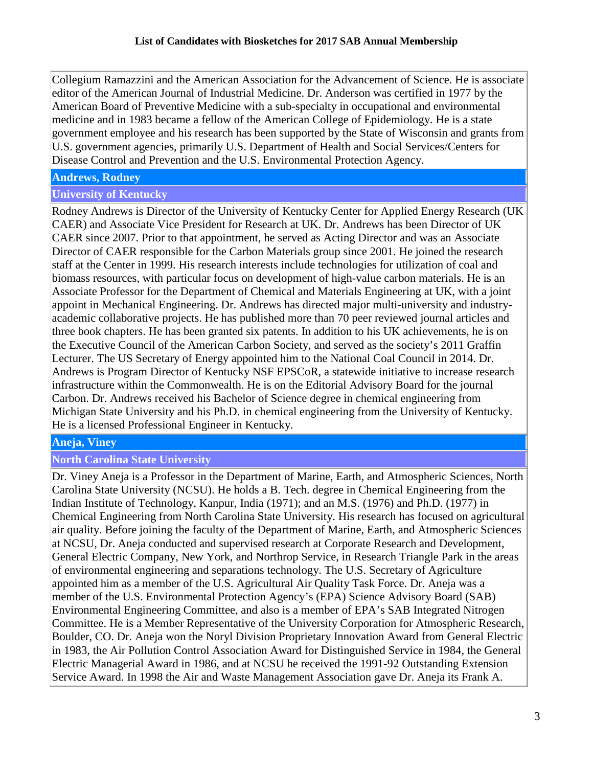Collegium Ramazzini and the American Association for the Advancement of Science. He is associate editor of the American Journal of Industrial Medicine. Dr. Anderson was certified in 1977 by the American Board of Preventive Medicine with a sub-specialty in occupational and environmental medicine and in 1983 became a fellow of the American College of Epidemiology. He is a state government employee and his research has been supported by the State of Wisconsin and grants from U.S. government agencies, primarily U.S. Department of Health and Social Services/Centers for Disease Control and Prevention and the U.S. Environmental Protection Agency.

### **Andrews, Rodney**

### **University of Kentucky**

Rodney Andrews is Director of the University of Kentucky Center for Applied Energy Research (UK CAER) and Associate Vice President for Research at UK. Dr. Andrews has been Director of UK CAER since 2007. Prior to that appointment, he served as Acting Director and was an Associate Director of CAER responsible for the Carbon Materials group since 2001. He joined the research staff at the Center in 1999. His research interests include technologies for utilization of coal and biomass resources, with particular focus on development of high-value carbon materials. He is an Associate Professor for the Department of Chemical and Materials Engineering at UK, with a joint appoint in Mechanical Engineering. Dr. Andrews has directed major multi-university and industryacademic collaborative projects. He has published more than 70 peer reviewed journal articles and three book chapters. He has been granted six patents. In addition to his UK achievements, he is on the Executive Council of the American Carbon Society, and served as the society's 2011 Graffin Lecturer. The US Secretary of Energy appointed him to the National Coal Council in 2014. Dr. Andrews is Program Director of Kentucky NSF EPSCoR, a statewide initiative to increase research infrastructure within the Commonwealth. He is on the Editorial Advisory Board for the journal Carbon. Dr. Andrews received his Bachelor of Science degree in chemical engineering from Michigan State University and his Ph.D. in chemical engineering from the University of Kentucky. He is a licensed Professional Engineer in Kentucky.

# **Aneja, Viney**

# **North Carolina State University**

Dr. Viney Aneja is a Professor in the Department of Marine, Earth, and Atmospheric Sciences, North Carolina State University (NCSU). He holds a B. Tech. degree in Chemical Engineering from the Indian Institute of Technology, Kanpur, India (1971); and an M.S. (1976) and Ph.D. (1977) in Chemical Engineering from North Carolina State University. His research has focused on agricultural air quality. Before joining the faculty of the Department of Marine, Earth, and Atmospheric Sciences at NCSU, Dr. Aneja conducted and supervised research at Corporate Research and Development, General Electric Company, New York, and Northrop Service, in Research Triangle Park in the areas of environmental engineering and separations technology. The U.S. Secretary of Agriculture appointed him as a member of the U.S. Agricultural Air Quality Task Force. Dr. Aneja was a member of the U.S. Environmental Protection Agency's (EPA) Science Advisory Board (SAB) Environmental Engineering Committee, and also is a member of EPA's SAB Integrated Nitrogen Committee. He is a Member Representative of the University Corporation for Atmospheric Research, Boulder, CO. Dr. Aneja won the Noryl Division Proprietary Innovation Award from General Electric in 1983, the Air Pollution Control Association Award for Distinguished Service in 1984, the General Electric Managerial Award in 1986, and at NCSU he received the 1991-92 Outstanding Extension Service Award. In 1998 the Air and Waste Management Association gave Dr. Aneja its Frank A.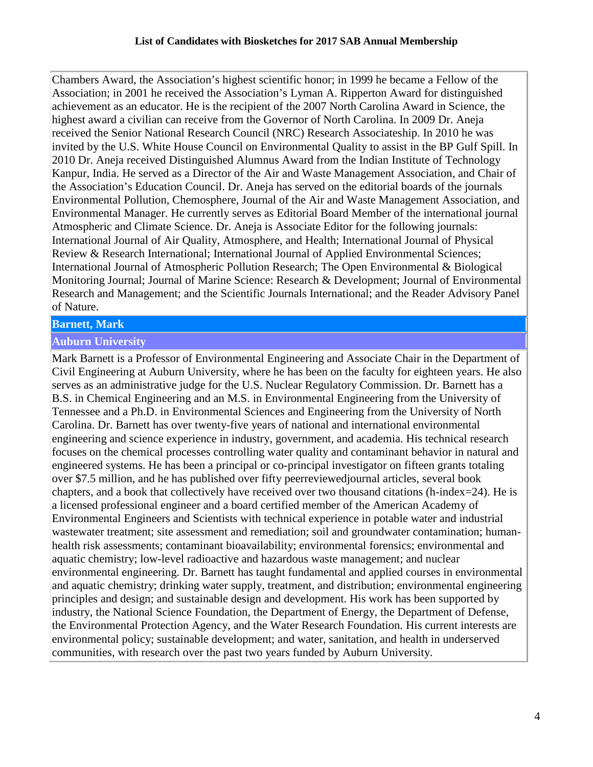Chambers Award, the Association's highest scientific honor; in 1999 he became a Fellow of the Association; in 2001 he received the Association's Lyman A. Ripperton Award for distinguished achievement as an educator. He is the recipient of the 2007 North Carolina Award in Science, the highest award a civilian can receive from the Governor of North Carolina. In 2009 Dr. Aneja received the Senior National Research Council (NRC) Research Associateship. In 2010 he was invited by the U.S. White House Council on Environmental Quality to assist in the BP Gulf Spill. In 2010 Dr. Aneja received Distinguished Alumnus Award from the Indian Institute of Technology Kanpur, India. He served as a Director of the Air and Waste Management Association, and Chair of the Association's Education Council. Dr. Aneja has served on the editorial boards of the journals Environmental Pollution, Chemosphere, Journal of the Air and Waste Management Association, and Environmental Manager. He currently serves as Editorial Board Member of the international journal Atmospheric and Climate Science. Dr. Aneja is Associate Editor for the following journals: International Journal of Air Quality, Atmosphere, and Health; International Journal of Physical Review & Research International; International Journal of Applied Environmental Sciences; International Journal of Atmospheric Pollution Research; The Open Environmental & Biological Monitoring Journal; Journal of Marine Science: Research & Development; Journal of Environmental Research and Management; and the Scientific Journals International; and the Reader Advisory Panel of Nature.

# **Barnett, Mark**

### **Auburn University**

Mark Barnett is a Professor of Environmental Engineering and Associate Chair in the Department of Civil Engineering at Auburn University, where he has been on the faculty for eighteen years. He also serves as an administrative judge for the U.S. Nuclear Regulatory Commission. Dr. Barnett has a B.S. in Chemical Engineering and an M.S. in Environmental Engineering from the University of Tennessee and a Ph.D. in Environmental Sciences and Engineering from the University of North Carolina. Dr. Barnett has over twenty-five years of national and international environmental engineering and science experience in industry, government, and academia. His technical research focuses on the chemical processes controlling water quality and contaminant behavior in natural and engineered systems. He has been a principal or co-principal investigator on fifteen grants totaling over \$7.5 million, and he has published over fifty peerreviewedjournal articles, several book chapters, and a book that collectively have received over two thousand citations (h-index=24). He is a licensed professional engineer and a board certified member of the American Academy of Environmental Engineers and Scientists with technical experience in potable water and industrial wastewater treatment; site assessment and remediation; soil and groundwater contamination; humanhealth risk assessments; contaminant bioavailability; environmental forensics; environmental and aquatic chemistry; low-level radioactive and hazardous waste management; and nuclear environmental engineering. Dr. Barnett has taught fundamental and applied courses in environmental and aquatic chemistry; drinking water supply, treatment, and distribution; environmental engineering principles and design; and sustainable design and development. His work has been supported by industry, the National Science Foundation, the Department of Energy, the Department of Defense, the Environmental Protection Agency, and the Water Research Foundation. His current interests are environmental policy; sustainable development; and water, sanitation, and health in underserved communities, with research over the past two years funded by Auburn University.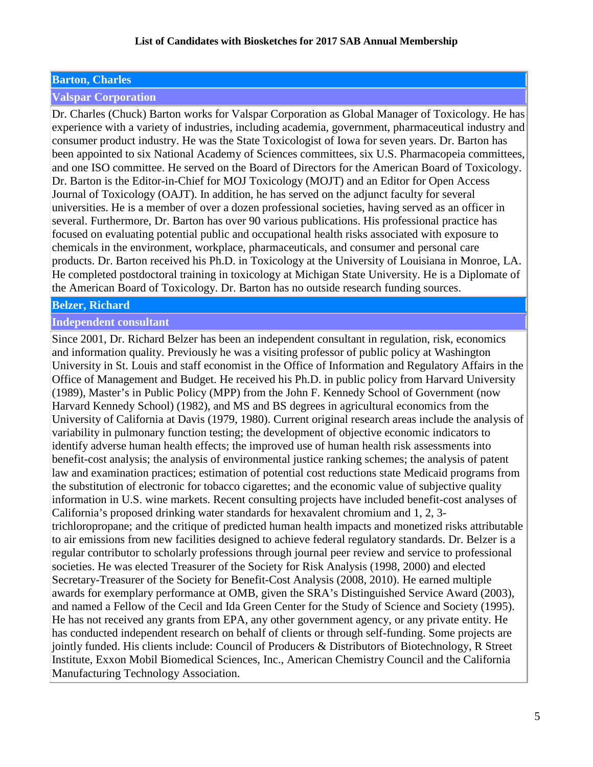# **Barton, Charles**

# **Valspar Corporation**

Dr. Charles (Chuck) Barton works for Valspar Corporation as Global Manager of Toxicology. He has experience with a variety of industries, including academia, government, pharmaceutical industry and consumer product industry. He was the State Toxicologist of Iowa for seven years. Dr. Barton has been appointed to six National Academy of Sciences committees, six U.S. Pharmacopeia committees, and one ISO committee. He served on the Board of Directors for the American Board of Toxicology. Dr. Barton is the Editor-in-Chief for MOJ Toxicology (MOJT) and an Editor for Open Access Journal of Toxicology (OAJT). In addition, he has served on the adjunct faculty for several universities. He is a member of over a dozen professional societies, having served as an officer in several. Furthermore, Dr. Barton has over 90 various publications. His professional practice has focused on evaluating potential public and occupational health risks associated with exposure to chemicals in the environment, workplace, pharmaceuticals, and consumer and personal care products. Dr. Barton received his Ph.D. in Toxicology at the University of Louisiana in Monroe, LA. He completed postdoctoral training in toxicology at Michigan State University. He is a Diplomate of the American Board of Toxicology. Dr. Barton has no outside research funding sources.

# **Belzer, Richard**

# **Independent consultant**

Since 2001, Dr. Richard Belzer has been an independent consultant in regulation, risk, economics and information quality. Previously he was a visiting professor of public policy at Washington University in St. Louis and staff economist in the Office of Information and Regulatory Affairs in the Office of Management and Budget. He received his Ph.D. in public policy from Harvard University (1989), Master's in Public Policy (MPP) from the John F. Kennedy School of Government (now Harvard Kennedy School) (1982), and MS and BS degrees in agricultural economics from the University of California at Davis (1979, 1980). Current original research areas include the analysis of variability in pulmonary function testing; the development of objective economic indicators to identify adverse human health effects; the improved use of human health risk assessments into benefit-cost analysis; the analysis of environmental justice ranking schemes; the analysis of patent law and examination practices; estimation of potential cost reductions state Medicaid programs from the substitution of electronic for tobacco cigarettes; and the economic value of subjective quality information in U.S. wine markets. Recent consulting projects have included benefit-cost analyses of California's proposed drinking water standards for hexavalent chromium and 1, 2, 3 trichloropropane; and the critique of predicted human health impacts and monetized risks attributable to air emissions from new facilities designed to achieve federal regulatory standards. Dr. Belzer is a regular contributor to scholarly professions through journal peer review and service to professional societies. He was elected Treasurer of the Society for Risk Analysis (1998, 2000) and elected Secretary-Treasurer of the Society for Benefit-Cost Analysis (2008, 2010). He earned multiple awards for exemplary performance at OMB, given the SRA's Distinguished Service Award (2003), and named a Fellow of the Cecil and Ida Green Center for the Study of Science and Society (1995). He has not received any grants from EPA, any other government agency, or any private entity. He has conducted independent research on behalf of clients or through self-funding. Some projects are jointly funded. His clients include: Council of Producers & Distributors of Biotechnology, R Street Institute, Exxon Mobil Biomedical Sciences, Inc., American Chemistry Council and the California Manufacturing Technology Association.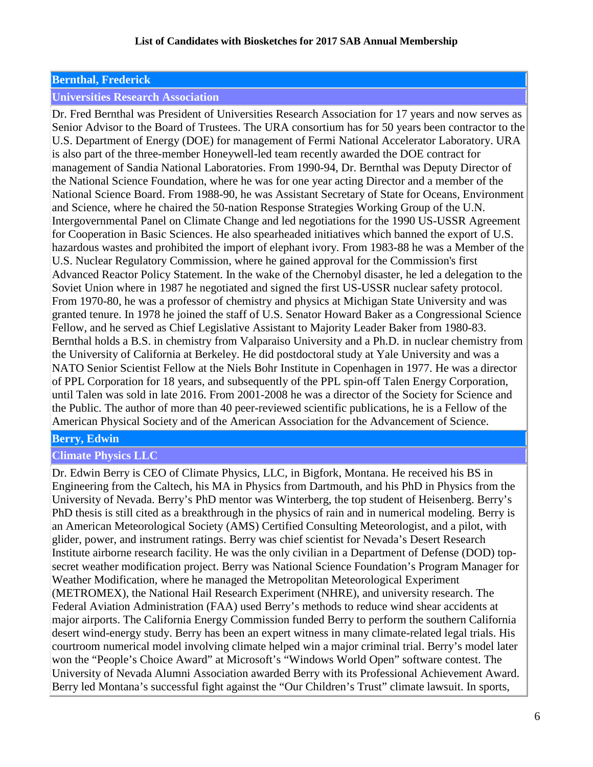# **Bernthal, Frederick**

# **Universities Research Association**

Dr. Fred Bernthal was President of Universities Research Association for 17 years and now serves as Senior Advisor to the Board of Trustees. The URA consortium has for 50 years been contractor to the U.S. Department of Energy (DOE) for management of Fermi National Accelerator Laboratory. URA is also part of the three-member Honeywell-led team recently awarded the DOE contract for management of Sandia National Laboratories. From 1990-94, Dr. Bernthal was Deputy Director of the National Science Foundation, where he was for one year acting Director and a member of the National Science Board. From 1988-90, he was Assistant Secretary of State for Oceans, Environment and Science, where he chaired the 50-nation Response Strategies Working Group of the U.N. Intergovernmental Panel on Climate Change and led negotiations for the 1990 US-USSR Agreement for Cooperation in Basic Sciences. He also spearheaded initiatives which banned the export of U.S. hazardous wastes and prohibited the import of elephant ivory. From 1983-88 he was a Member of the U.S. Nuclear Regulatory Commission, where he gained approval for the Commission's first Advanced Reactor Policy Statement. In the wake of the Chernobyl disaster, he led a delegation to the Soviet Union where in 1987 he negotiated and signed the first US-USSR nuclear safety protocol. From 1970-80, he was a professor of chemistry and physics at Michigan State University and was granted tenure. In 1978 he joined the staff of U.S. Senator Howard Baker as a Congressional Science Fellow, and he served as Chief Legislative Assistant to Majority Leader Baker from 1980-83. Bernthal holds a B.S. in chemistry from Valparaiso University and a Ph.D. in nuclear chemistry from the University of California at Berkeley. He did postdoctoral study at Yale University and was a NATO Senior Scientist Fellow at the Niels Bohr Institute in Copenhagen in 1977. He was a director of PPL Corporation for 18 years, and subsequently of the PPL spin-off Talen Energy Corporation, until Talen was sold in late 2016. From 2001-2008 he was a director of the Society for Science and the Public. The author of more than 40 peer-reviewed scientific publications, he is a Fellow of the American Physical Society and of the American Association for the Advancement of Science.

# **Berry, Edwin**

# **Climate Physics LLC**

Dr. Edwin Berry is CEO of Climate Physics, LLC, in Bigfork, Montana. He received his BS in Engineering from the Caltech, his MA in Physics from Dartmouth, and his PhD in Physics from the University of Nevada. Berry's PhD mentor was Winterberg, the top student of Heisenberg. Berry's PhD thesis is still cited as a breakthrough in the physics of rain and in numerical modeling. Berry is an American Meteorological Society (AMS) Certified Consulting Meteorologist, and a pilot, with glider, power, and instrument ratings. Berry was chief scientist for Nevada's Desert Research Institute airborne research facility. He was the only civilian in a Department of Defense (DOD) topsecret weather modification project. Berry was National Science Foundation's Program Manager for Weather Modification, where he managed the Metropolitan Meteorological Experiment (METROMEX), the National Hail Research Experiment (NHRE), and university research. The Federal Aviation Administration (FAA) used Berry's methods to reduce wind shear accidents at major airports. The California Energy Commission funded Berry to perform the southern California desert wind-energy study. Berry has been an expert witness in many climate-related legal trials. His courtroom numerical model involving climate helped win a major criminal trial. Berry's model later won the "People's Choice Award" at Microsoft's "Windows World Open" software contest. The University of Nevada Alumni Association awarded Berry with its Professional Achievement Award. Berry led Montana's successful fight against the "Our Children's Trust" climate lawsuit. In sports,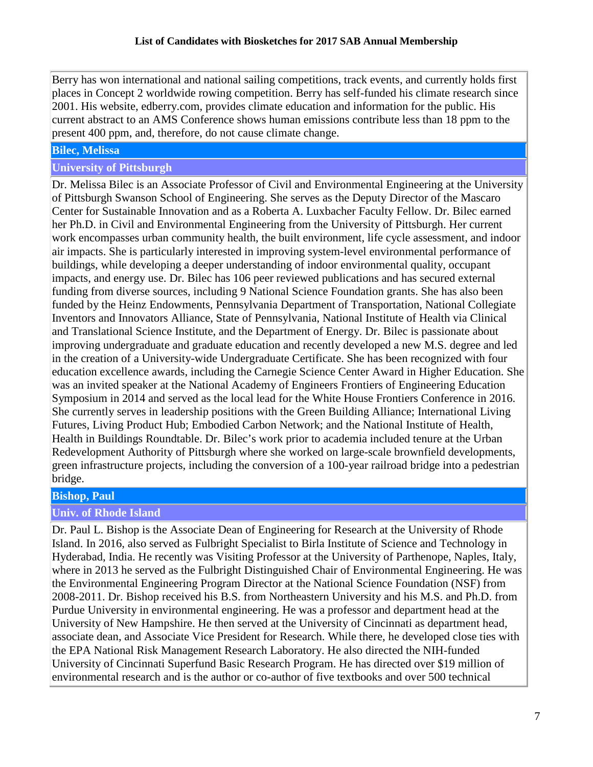Berry has won international and national sailing competitions, track events, and currently holds first places in Concept 2 worldwide rowing competition. Berry has self-funded his climate research since 2001. His website, edberry.com, provides climate education and information for the public. His current abstract to an AMS Conference shows human emissions contribute less than 18 ppm to the present 400 ppm, and, therefore, do not cause climate change.

# **Bilec, Melissa**

### **University of Pittsburgh**

Dr. Melissa Bilec is an Associate Professor of Civil and Environmental Engineering at the University of Pittsburgh Swanson School of Engineering. She serves as the Deputy Director of the Mascaro Center for Sustainable Innovation and as a Roberta A. Luxbacher Faculty Fellow. Dr. Bilec earned her Ph.D. in Civil and Environmental Engineering from the University of Pittsburgh. Her current work encompasses urban community health, the built environment, life cycle assessment, and indoor air impacts. She is particularly interested in improving system-level environmental performance of buildings, while developing a deeper understanding of indoor environmental quality, occupant impacts, and energy use. Dr. Bilec has 106 peer reviewed publications and has secured external funding from diverse sources, including 9 National Science Foundation grants. She has also been funded by the Heinz Endowments, Pennsylvania Department of Transportation, National Collegiate Inventors and Innovators Alliance, State of Pennsylvania, National Institute of Health via Clinical and Translational Science Institute, and the Department of Energy. Dr. Bilec is passionate about improving undergraduate and graduate education and recently developed a new M.S. degree and led in the creation of a University-wide Undergraduate Certificate. She has been recognized with four education excellence awards, including the Carnegie Science Center Award in Higher Education. She was an invited speaker at the National Academy of Engineers Frontiers of Engineering Education Symposium in 2014 and served as the local lead for the White House Frontiers Conference in 2016. She currently serves in leadership positions with the Green Building Alliance; International Living Futures, Living Product Hub; Embodied Carbon Network; and the National Institute of Health, Health in Buildings Roundtable. Dr. Bilec's work prior to academia included tenure at the Urban Redevelopment Authority of Pittsburgh where she worked on large-scale brownfield developments, green infrastructure projects, including the conversion of a 100-year railroad bridge into a pedestrian bridge.

# **Bishop, Paul**

### **Univ. of Rhode Island**

Dr. Paul L. Bishop is the Associate Dean of Engineering for Research at the University of Rhode Island. In 2016, also served as Fulbright Specialist to Birla Institute of Science and Technology in Hyderabad, India. He recently was Visiting Professor at the University of Parthenope, Naples, Italy, where in 2013 he served as the Fulbright Distinguished Chair of Environmental Engineering. He was the Environmental Engineering Program Director at the National Science Foundation (NSF) from 2008-2011. Dr. Bishop received his B.S. from Northeastern University and his M.S. and Ph.D. from Purdue University in environmental engineering. He was a professor and department head at the University of New Hampshire. He then served at the University of Cincinnati as department head, associate dean, and Associate Vice President for Research. While there, he developed close ties with the EPA National Risk Management Research Laboratory. He also directed the NIH-funded University of Cincinnati Superfund Basic Research Program. He has directed over \$19 million of environmental research and is the author or co-author of five textbooks and over 500 technical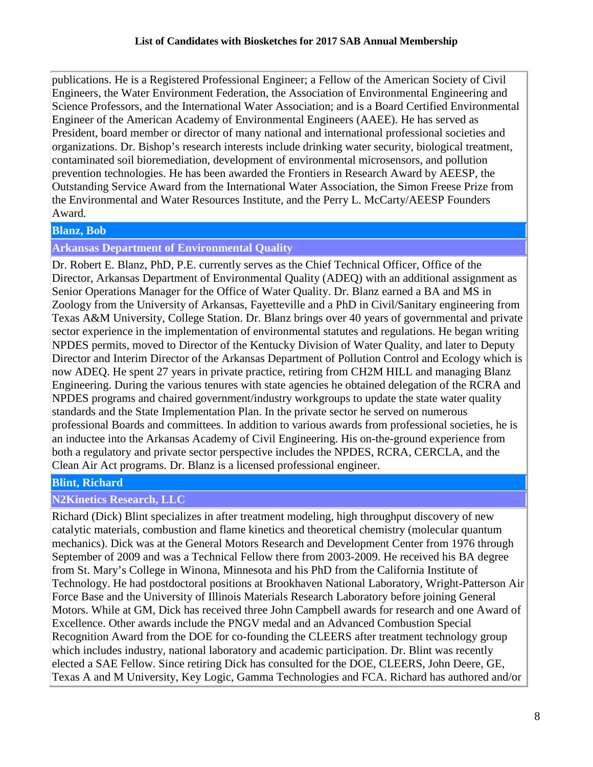publications. He is a Registered Professional Engineer; a Fellow of the American Society of Civil Engineers, the Water Environment Federation, the Association of Environmental Engineering and Science Professors, and the International Water Association; and is a Board Certified Environmental Engineer of the American Academy of Environmental Engineers (AAEE). He has served as President, board member or director of many national and international professional societies and organizations. Dr. Bishop's research interests include drinking water security, biological treatment, contaminated soil bioremediation, development of environmental microsensors, and pollution prevention technologies. He has been awarded the Frontiers in Research Award by AEESP, the Outstanding Service Award from the International Water Association, the Simon Freese Prize from the Environmental and Water Resources Institute, and the Perry L. McCarty/AEESP Founders Award.

# **Blanz, Bob**

### **Arkansas Department of Environmental Quality**

Dr. Robert E. Blanz, PhD, P.E. currently serves as the Chief Technical Officer, Office of the Director, Arkansas Department of Environmental Quality (ADEQ) with an additional assignment as Senior Operations Manager for the Office of Water Quality. Dr. Blanz earned a BA and MS in Zoology from the University of Arkansas, Fayetteville and a PhD in Civil/Sanitary engineering from Texas A&M University, College Station. Dr. Blanz brings over 40 years of governmental and private sector experience in the implementation of environmental statutes and regulations. He began writing NPDES permits, moved to Director of the Kentucky Division of Water Quality, and later to Deputy Director and Interim Director of the Arkansas Department of Pollution Control and Ecology which is now ADEQ. He spent 27 years in private practice, retiring from CH2M HILL and managing Blanz Engineering. During the various tenures with state agencies he obtained delegation of the RCRA and NPDES programs and chaired government/industry workgroups to update the state water quality standards and the State Implementation Plan. In the private sector he served on numerous professional Boards and committees. In addition to various awards from professional societies, he is an inductee into the Arkansas Academy of Civil Engineering. His on-the-ground experience from both a regulatory and private sector perspective includes the NPDES, RCRA, CERCLA, and the Clean Air Act programs. Dr. Blanz is a licensed professional engineer.

# **Blint, Richard**

# **N2Kinetics Research, LLC**

Richard (Dick) Blint specializes in after treatment modeling, high throughput discovery of new catalytic materials, combustion and flame kinetics and theoretical chemistry (molecular quantum mechanics). Dick was at the General Motors Research and Development Center from 1976 through September of 2009 and was a Technical Fellow there from 2003-2009. He received his BA degree from St. Mary's College in Winona, Minnesota and his PhD from the California Institute of Technology. He had postdoctoral positions at Brookhaven National Laboratory, Wright-Patterson Air Force Base and the University of Illinois Materials Research Laboratory before joining General Motors. While at GM, Dick has received three John Campbell awards for research and one Award of Excellence. Other awards include the PNGV medal and an Advanced Combustion Special Recognition Award from the DOE for co-founding the CLEERS after treatment technology group which includes industry, national laboratory and academic participation. Dr. Blint was recently elected a SAE Fellow. Since retiring Dick has consulted for the DOE, CLEERS, John Deere, GE, Texas A and M University, Key Logic, Gamma Technologies and FCA. Richard has authored and/or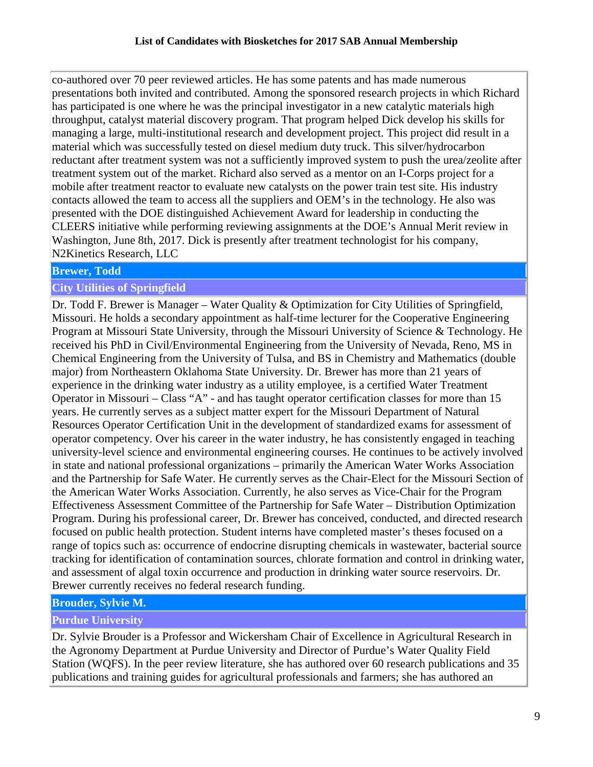co-authored over 70 peer reviewed articles. He has some patents and has made numerous presentations both invited and contributed. Among the sponsored research projects in which Richard has participated is one where he was the principal investigator in a new catalytic materials high throughput, catalyst material discovery program. That program helped Dick develop his skills for managing a large, multi-institutional research and development project. This project did result in a material which was successfully tested on diesel medium duty truck. This silver/hydrocarbon reductant after treatment system was not a sufficiently improved system to push the urea/zeolite after treatment system out of the market. Richard also served as a mentor on an I-Corps project for a mobile after treatment reactor to evaluate new catalysts on the power train test site. His industry contacts allowed the team to access all the suppliers and OEM's in the technology. He also was presented with the DOE distinguished Achievement Award for leadership in conducting the CLEERS initiative while performing reviewing assignments at the DOE's Annual Merit review in Washington, June 8th, 2017. Dick is presently after treatment technologist for his company, N2Kinetics Research, LLC

# **Brewer, Todd**

# **City Utilities of Springfield**

Dr. Todd F. Brewer is Manager – Water Quality & Optimization for City Utilities of Springfield, Missouri. He holds a secondary appointment as half-time lecturer for the Cooperative Engineering Program at Missouri State University, through the Missouri University of Science & Technology. He received his PhD in Civil/Environmental Engineering from the University of Nevada, Reno, MS in Chemical Engineering from the University of Tulsa, and BS in Chemistry and Mathematics (double major) from Northeastern Oklahoma State University. Dr. Brewer has more than 21 years of experience in the drinking water industry as a utility employee, is a certified Water Treatment Operator in Missouri – Class "A" - and has taught operator certification classes for more than 15 years. He currently serves as a subject matter expert for the Missouri Department of Natural Resources Operator Certification Unit in the development of standardized exams for assessment of operator competency. Over his career in the water industry, he has consistently engaged in teaching university-level science and environmental engineering courses. He continues to be actively involved in state and national professional organizations – primarily the American Water Works Association and the Partnership for Safe Water. He currently serves as the Chair-Elect for the Missouri Section of the American Water Works Association. Currently, he also serves as Vice-Chair for the Program Effectiveness Assessment Committee of the Partnership for Safe Water – Distribution Optimization Program. During his professional career, Dr. Brewer has conceived, conducted, and directed research focused on public health protection. Student interns have completed master's theses focused on a range of topics such as: occurrence of endocrine disrupting chemicals in wastewater, bacterial source tracking for identification of contamination sources, chlorate formation and control in drinking water, and assessment of algal toxin occurrence and production in drinking water source reservoirs. Dr. Brewer currently receives no federal research funding.

# **Brouder, Sylvie M.**

# **Purdue University**

Dr. Sylvie Brouder is a Professor and Wickersham Chair of Excellence in Agricultural Research in the Agronomy Department at Purdue University and Director of Purdue's Water Quality Field Station (WQFS). In the peer review literature, she has authored over 60 research publications and 35 publications and training guides for agricultural professionals and farmers; she has authored an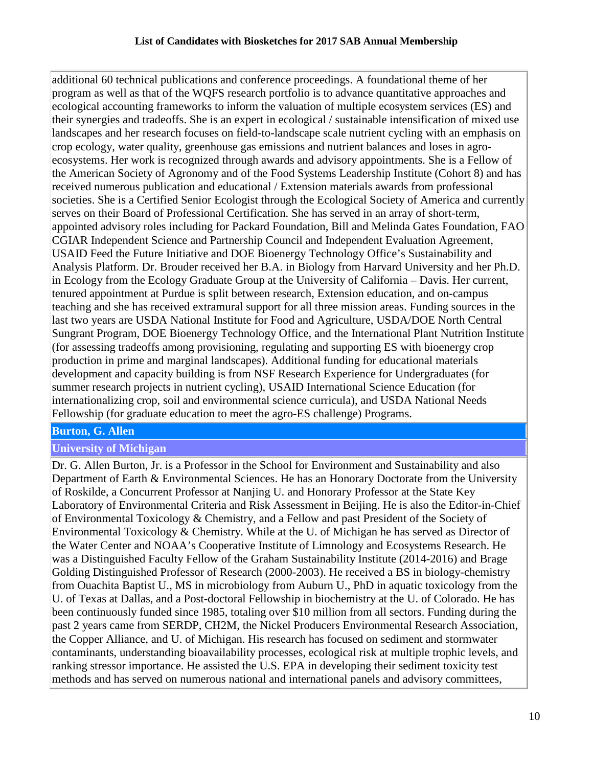additional 60 technical publications and conference proceedings. A foundational theme of her program as well as that of the WQFS research portfolio is to advance quantitative approaches and ecological accounting frameworks to inform the valuation of multiple ecosystem services (ES) and their synergies and tradeoffs. She is an expert in ecological / sustainable intensification of mixed use landscapes and her research focuses on field-to-landscape scale nutrient cycling with an emphasis on crop ecology, water quality, greenhouse gas emissions and nutrient balances and loses in agroecosystems. Her work is recognized through awards and advisory appointments. She is a Fellow of the American Society of Agronomy and of the Food Systems Leadership Institute (Cohort 8) and has received numerous publication and educational / Extension materials awards from professional societies. She is a Certified Senior Ecologist through the Ecological Society of America and currently serves on their Board of Professional Certification. She has served in an array of short-term, appointed advisory roles including for Packard Foundation, Bill and Melinda Gates Foundation, FAO CGIAR Independent Science and Partnership Council and Independent Evaluation Agreement, USAID Feed the Future Initiative and DOE Bioenergy Technology Office's Sustainability and Analysis Platform. Dr. Brouder received her B.A. in Biology from Harvard University and her Ph.D. in Ecology from the Ecology Graduate Group at the University of California – Davis. Her current, tenured appointment at Purdue is split between research, Extension education, and on-campus teaching and she has received extramural support for all three mission areas. Funding sources in the last two years are USDA National Institute for Food and Agriculture, USDA/DOE North Central Sungrant Program, DOE Bioenergy Technology Office, and the International Plant Nutrition Institute (for assessing tradeoffs among provisioning, regulating and supporting ES with bioenergy crop production in prime and marginal landscapes). Additional funding for educational materials development and capacity building is from NSF Research Experience for Undergraduates (for summer research projects in nutrient cycling), USAID International Science Education (for internationalizing crop, soil and environmental science curricula), and USDA National Needs Fellowship (for graduate education to meet the agro-ES challenge) Programs.

# **Burton, G. Allen**

# **University of Michigan**

Dr. G. Allen Burton, Jr. is a Professor in the School for Environment and Sustainability and also Department of Earth & Environmental Sciences. He has an Honorary Doctorate from the University of Roskilde, a Concurrent Professor at Nanjing U. and Honorary Professor at the State Key Laboratory of Environmental Criteria and Risk Assessment in Beijing. He is also the Editor-in-Chief of Environmental Toxicology & Chemistry, and a Fellow and past President of the Society of Environmental Toxicology & Chemistry. While at the U. of Michigan he has served as Director of the Water Center and NOAA's Cooperative Institute of Limnology and Ecosystems Research. He was a Distinguished Faculty Fellow of the Graham Sustainability Institute (2014-2016) and Brage Golding Distinguished Professor of Research (2000-2003). He received a BS in biology-chemistry from Ouachita Baptist U., MS in microbiology from Auburn U., PhD in aquatic toxicology from the U. of Texas at Dallas, and a Post-doctoral Fellowship in biochemistry at the U. of Colorado. He has been continuously funded since 1985, totaling over \$10 million from all sectors. Funding during the past 2 years came from SERDP, CH2M, the Nickel Producers Environmental Research Association, the Copper Alliance, and U. of Michigan. His research has focused on sediment and stormwater contaminants, understanding bioavailability processes, ecological risk at multiple trophic levels, and ranking stressor importance. He assisted the U.S. EPA in developing their sediment toxicity test methods and has served on numerous national and international panels and advisory committees,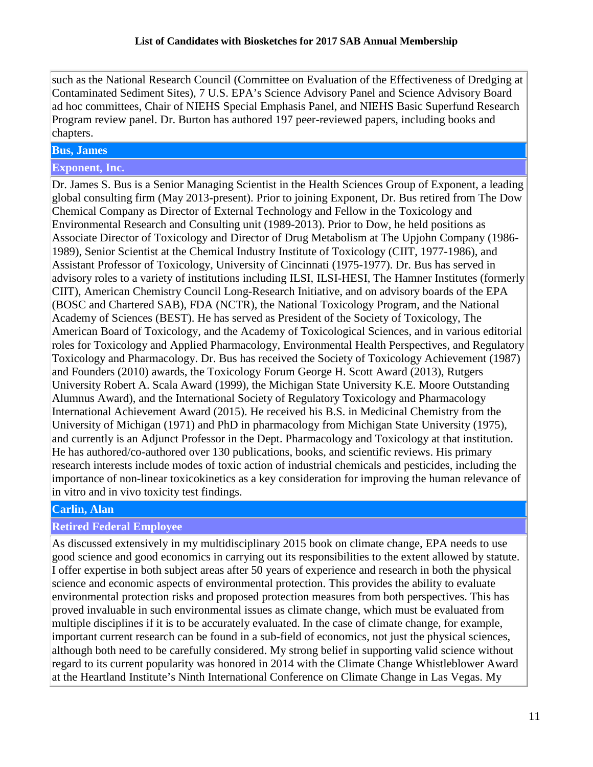such as the National Research Council (Committee on Evaluation of the Effectiveness of Dredging at Contaminated Sediment Sites), 7 U.S. EPA's Science Advisory Panel and Science Advisory Board ad hoc committees, Chair of NIEHS Special Emphasis Panel, and NIEHS Basic Superfund Research Program review panel. Dr. Burton has authored 197 peer-reviewed papers, including books and chapters.

# **Bus, James**

# **Exponent, Inc.**

Dr. James S. Bus is a Senior Managing Scientist in the Health Sciences Group of Exponent, a leading global consulting firm (May 2013-present). Prior to joining Exponent, Dr. Bus retired from The Dow Chemical Company as Director of External Technology and Fellow in the Toxicology and Environmental Research and Consulting unit (1989-2013). Prior to Dow, he held positions as Associate Director of Toxicology and Director of Drug Metabolism at The Upjohn Company (1986- 1989), Senior Scientist at the Chemical Industry Institute of Toxicology (CIIT, 1977-1986), and Assistant Professor of Toxicology, University of Cincinnati (1975-1977). Dr. Bus has served in advisory roles to a variety of institutions including ILSI, ILSI-HESI, The Hamner Institutes (formerly CIIT), American Chemistry Council Long-Research Initiative, and on advisory boards of the EPA (BOSC and Chartered SAB), FDA (NCTR), the National Toxicology Program, and the National Academy of Sciences (BEST). He has served as President of the Society of Toxicology, The American Board of Toxicology, and the Academy of Toxicological Sciences, and in various editorial roles for Toxicology and Applied Pharmacology, Environmental Health Perspectives, and Regulatory Toxicology and Pharmacology. Dr. Bus has received the Society of Toxicology Achievement (1987) and Founders (2010) awards, the Toxicology Forum George H. Scott Award (2013), Rutgers University Robert A. Scala Award (1999), the Michigan State University K.E. Moore Outstanding Alumnus Award), and the International Society of Regulatory Toxicology and Pharmacology International Achievement Award (2015). He received his B.S. in Medicinal Chemistry from the University of Michigan (1971) and PhD in pharmacology from Michigan State University (1975), and currently is an Adjunct Professor in the Dept. Pharmacology and Toxicology at that institution. He has authored/co-authored over 130 publications, books, and scientific reviews. His primary research interests include modes of toxic action of industrial chemicals and pesticides, including the importance of non-linear toxicokinetics as a key consideration for improving the human relevance of in vitro and in vivo toxicity test findings.

# **Carlin, Alan**

# **Retired Federal Employee**

As discussed extensively in my multidisciplinary 2015 book on climate change, EPA needs to use good science and good economics in carrying out its responsibilities to the extent allowed by statute. I offer expertise in both subject areas after 50 years of experience and research in both the physical science and economic aspects of environmental protection. This provides the ability to evaluate environmental protection risks and proposed protection measures from both perspectives. This has proved invaluable in such environmental issues as climate change, which must be evaluated from multiple disciplines if it is to be accurately evaluated. In the case of climate change, for example, important current research can be found in a sub-field of economics, not just the physical sciences, although both need to be carefully considered. My strong belief in supporting valid science without regard to its current popularity was honored in 2014 with the Climate Change Whistleblower Award at the Heartland Institute's Ninth International Conference on Climate Change in Las Vegas. My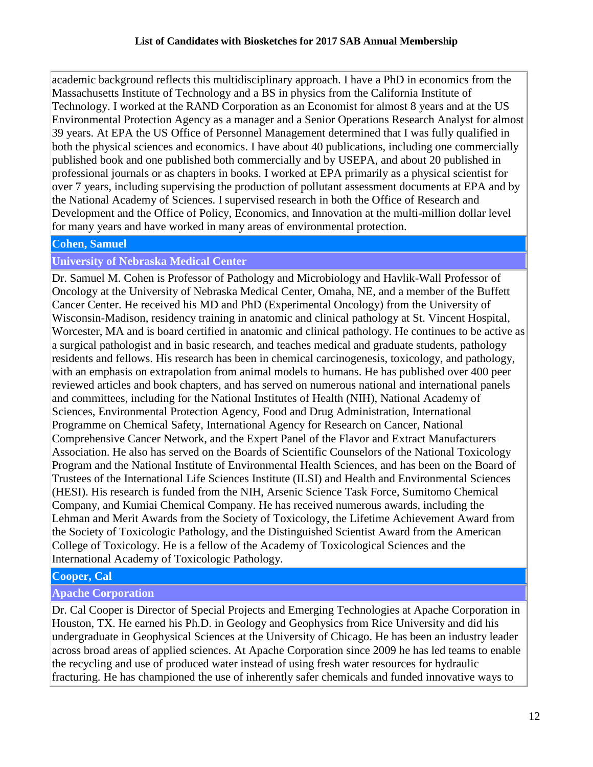academic background reflects this multidisciplinary approach. I have a PhD in economics from the Massachusetts Institute of Technology and a BS in physics from the California Institute of Technology. I worked at the RAND Corporation as an Economist for almost 8 years and at the US Environmental Protection Agency as a manager and a Senior Operations Research Analyst for almost 39 years. At EPA the US Office of Personnel Management determined that I was fully qualified in both the physical sciences and economics. I have about 40 publications, including one commercially published book and one published both commercially and by USEPA, and about 20 published in professional journals or as chapters in books. I worked at EPA primarily as a physical scientist for over 7 years, including supervising the production of pollutant assessment documents at EPA and by the National Academy of Sciences. I supervised research in both the Office of Research and Development and the Office of Policy, Economics, and Innovation at the multi-million dollar level for many years and have worked in many areas of environmental protection.

# **Cohen, Samuel**

# **University of Nebraska Medical Center**

Dr. Samuel M. Cohen is Professor of Pathology and Microbiology and Havlik-Wall Professor of Oncology at the University of Nebraska Medical Center, Omaha, NE, and a member of the Buffett Cancer Center. He received his MD and PhD (Experimental Oncology) from the University of Wisconsin-Madison, residency training in anatomic and clinical pathology at St. Vincent Hospital, Worcester, MA and is board certified in anatomic and clinical pathology. He continues to be active as a surgical pathologist and in basic research, and teaches medical and graduate students, pathology residents and fellows. His research has been in chemical carcinogenesis, toxicology, and pathology, with an emphasis on extrapolation from animal models to humans. He has published over 400 peer reviewed articles and book chapters, and has served on numerous national and international panels and committees, including for the National Institutes of Health (NIH), National Academy of Sciences, Environmental Protection Agency, Food and Drug Administration, International Programme on Chemical Safety, International Agency for Research on Cancer, National Comprehensive Cancer Network, and the Expert Panel of the Flavor and Extract Manufacturers Association. He also has served on the Boards of Scientific Counselors of the National Toxicology Program and the National Institute of Environmental Health Sciences, and has been on the Board of Trustees of the International Life Sciences Institute (ILSI) and Health and Environmental Sciences (HESI). His research is funded from the NIH, Arsenic Science Task Force, Sumitomo Chemical Company, and Kumiai Chemical Company. He has received numerous awards, including the Lehman and Merit Awards from the Society of Toxicology, the Lifetime Achievement Award from the Society of Toxicologic Pathology, and the Distinguished Scientist Award from the American College of Toxicology. He is a fellow of the Academy of Toxicological Sciences and the International Academy of Toxicologic Pathology.

# **Cooper, Cal**

# **Apache Corporation**

Dr. Cal Cooper is Director of Special Projects and Emerging Technologies at Apache Corporation in Houston, TX. He earned his Ph.D. in Geology and Geophysics from Rice University and did his undergraduate in Geophysical Sciences at the University of Chicago. He has been an industry leader across broad areas of applied sciences. At Apache Corporation since 2009 he has led teams to enable the recycling and use of produced water instead of using fresh water resources for hydraulic fracturing. He has championed the use of inherently safer chemicals and funded innovative ways to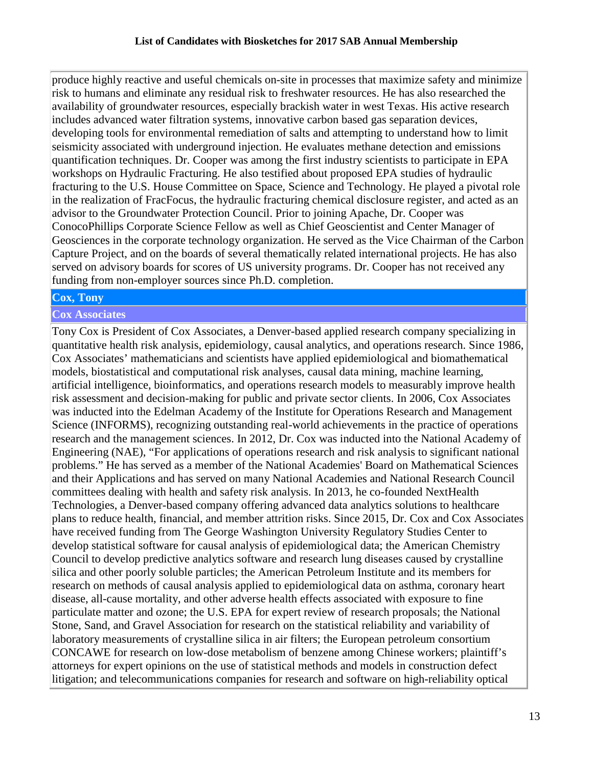produce highly reactive and useful chemicals on-site in processes that maximize safety and minimize risk to humans and eliminate any residual risk to freshwater resources. He has also researched the availability of groundwater resources, especially brackish water in west Texas. His active research includes advanced water filtration systems, innovative carbon based gas separation devices, developing tools for environmental remediation of salts and attempting to understand how to limit seismicity associated with underground injection. He evaluates methane detection and emissions quantification techniques. Dr. Cooper was among the first industry scientists to participate in EPA workshops on Hydraulic Fracturing. He also testified about proposed EPA studies of hydraulic fracturing to the U.S. House Committee on Space, Science and Technology. He played a pivotal role in the realization of FracFocus, the hydraulic fracturing chemical disclosure register, and acted as an advisor to the Groundwater Protection Council. Prior to joining Apache, Dr. Cooper was ConocoPhillips Corporate Science Fellow as well as Chief Geoscientist and Center Manager of Geosciences in the corporate technology organization. He served as the Vice Chairman of the Carbon Capture Project, and on the boards of several thematically related international projects. He has also served on advisory boards for scores of US university programs. Dr. Cooper has not received any funding from non-employer sources since Ph.D. completion.

### **Cox, Tony**

### **Cox Associates**

Tony Cox is President of Cox Associates, a Denver-based applied research company specializing in quantitative health risk analysis, epidemiology, causal analytics, and operations research. Since 1986, Cox Associates' mathematicians and scientists have applied epidemiological and biomathematical models, biostatistical and computational risk analyses, causal data mining, machine learning, artificial intelligence, bioinformatics, and operations research models to measurably improve health risk assessment and decision-making for public and private sector clients. In 2006, Cox Associates was inducted into the Edelman Academy of the Institute for Operations Research and Management Science (INFORMS), recognizing outstanding real-world achievements in the practice of operations research and the management sciences. In 2012, Dr. Cox was inducted into the National Academy of Engineering (NAE), "For applications of operations research and risk analysis to significant national problems." He has served as a member of the National Academies' Board on Mathematical Sciences and their Applications and has served on many National Academies and National Research Council committees dealing with health and safety risk analysis. In 2013, he co-founded NextHealth Technologies, a Denver-based company offering advanced data analytics solutions to healthcare plans to reduce health, financial, and member attrition risks. Since 2015, Dr. Cox and Cox Associates have received funding from The George Washington University Regulatory Studies Center to develop statistical software for causal analysis of epidemiological data; the American Chemistry Council to develop predictive analytics software and research lung diseases caused by crystalline silica and other poorly soluble particles; the American Petroleum Institute and its members for research on methods of causal analysis applied to epidemiological data on asthma, coronary heart disease, all-cause mortality, and other adverse health effects associated with exposure to fine particulate matter and ozone; the U.S. EPA for expert review of research proposals; the National Stone, Sand, and Gravel Association for research on the statistical reliability and variability of laboratory measurements of crystalline silica in air filters; the European petroleum consortium CONCAWE for research on low-dose metabolism of benzene among Chinese workers; plaintiff's attorneys for expert opinions on the use of statistical methods and models in construction defect litigation; and telecommunications companies for research and software on high-reliability optical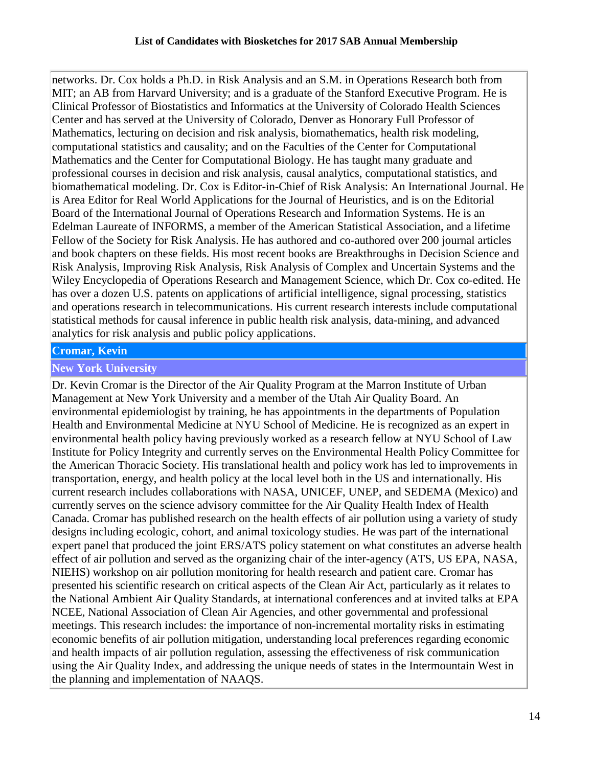networks. Dr. Cox holds a Ph.D. in Risk Analysis and an S.M. in Operations Research both from MIT; an AB from Harvard University; and is a graduate of the Stanford Executive Program. He is Clinical Professor of Biostatistics and Informatics at the University of Colorado Health Sciences Center and has served at the University of Colorado, Denver as Honorary Full Professor of Mathematics, lecturing on decision and risk analysis, biomathematics, health risk modeling, computational statistics and causality; and on the Faculties of the Center for Computational Mathematics and the Center for Computational Biology. He has taught many graduate and professional courses in decision and risk analysis, causal analytics, computational statistics, and biomathematical modeling. Dr. Cox is Editor-in-Chief of Risk Analysis: An International Journal. He is Area Editor for Real World Applications for the Journal of Heuristics, and is on the Editorial Board of the International Journal of Operations Research and Information Systems. He is an Edelman Laureate of INFORMS, a member of the American Statistical Association, and a lifetime Fellow of the Society for Risk Analysis. He has authored and co-authored over 200 journal articles and book chapters on these fields. His most recent books are Breakthroughs in Decision Science and Risk Analysis, Improving Risk Analysis, Risk Analysis of Complex and Uncertain Systems and the Wiley Encyclopedia of Operations Research and Management Science, which Dr. Cox co-edited. He has over a dozen U.S. patents on applications of artificial intelligence, signal processing, statistics and operations research in telecommunications. His current research interests include computational statistical methods for causal inference in public health risk analysis, data-mining, and advanced analytics for risk analysis and public policy applications.

# **Cromar, Kevin**

# **New York University**

Dr. Kevin Cromar is the Director of the Air Quality Program at the Marron Institute of Urban Management at New York University and a member of the Utah Air Quality Board. An environmental epidemiologist by training, he has appointments in the departments of Population Health and Environmental Medicine at NYU School of Medicine. He is recognized as an expert in environmental health policy having previously worked as a research fellow at NYU School of Law Institute for Policy Integrity and currently serves on the Environmental Health Policy Committee for the American Thoracic Society. His translational health and policy work has led to improvements in transportation, energy, and health policy at the local level both in the US and internationally. His current research includes collaborations with NASA, UNICEF, UNEP, and SEDEMA (Mexico) and currently serves on the science advisory committee for the Air Quality Health Index of Health Canada. Cromar has published research on the health effects of air pollution using a variety of study designs including ecologic, cohort, and animal toxicology studies. He was part of the international expert panel that produced the joint ERS/ATS policy statement on what constitutes an adverse health effect of air pollution and served as the organizing chair of the inter-agency (ATS, US EPA, NASA, NIEHS) workshop on air pollution monitoring for health research and patient care. Cromar has presented his scientific research on critical aspects of the Clean Air Act, particularly as it relates to the National Ambient Air Quality Standards, at international conferences and at invited talks at EPA NCEE, National Association of Clean Air Agencies, and other governmental and professional meetings. This research includes: the importance of non-incremental mortality risks in estimating economic benefits of air pollution mitigation, understanding local preferences regarding economic and health impacts of air pollution regulation, assessing the effectiveness of risk communication using the Air Quality Index, and addressing the unique needs of states in the Intermountain West in the planning and implementation of NAAQS.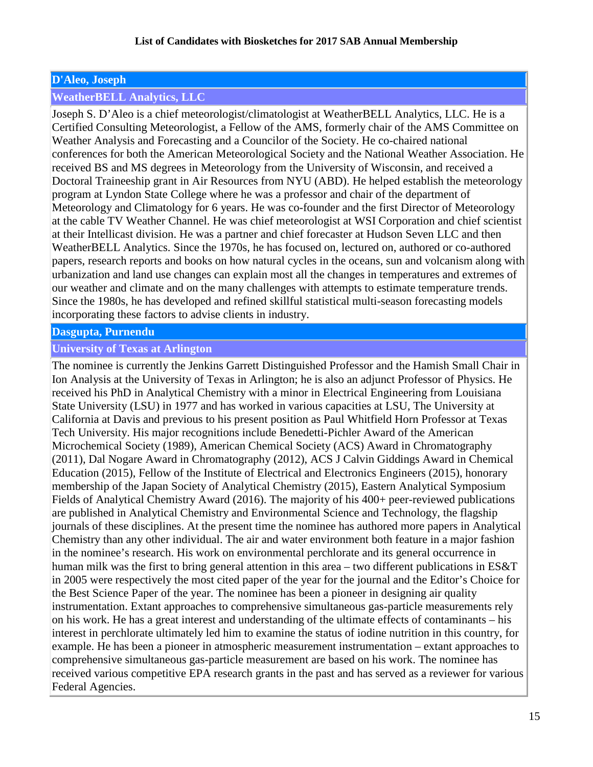# **D'Aleo, Joseph**

### **WeatherBELL Analytics, LLC**

Joseph S. D'Aleo is a chief meteorologist/climatologist at WeatherBELL Analytics, LLC. He is a Certified Consulting Meteorologist, a Fellow of the AMS, formerly chair of the AMS Committee on Weather Analysis and Forecasting and a Councilor of the Society. He co-chaired national conferences for both the American Meteorological Society and the National Weather Association. He received BS and MS degrees in Meteorology from the University of Wisconsin, and received a Doctoral Traineeship grant in Air Resources from NYU (ABD). He helped establish the meteorology program at Lyndon State College where he was a professor and chair of the department of Meteorology and Climatology for 6 years. He was co-founder and the first Director of Meteorology at the cable TV Weather Channel. He was chief meteorologist at WSI Corporation and chief scientist at their Intellicast division. He was a partner and chief forecaster at Hudson Seven LLC and then WeatherBELL Analytics. Since the 1970s, he has focused on, lectured on, authored or co-authored papers, research reports and books on how natural cycles in the oceans, sun and volcanism along with urbanization and land use changes can explain most all the changes in temperatures and extremes of our weather and climate and on the many challenges with attempts to estimate temperature trends. Since the 1980s, he has developed and refined skillful statistical multi-season forecasting models incorporating these factors to advise clients in industry.

### **Dasgupta, Purnendu**

### **University of Texas at Arlington**

The nominee is currently the Jenkins Garrett Distinguished Professor and the Hamish Small Chair in Ion Analysis at the University of Texas in Arlington; he is also an adjunct Professor of Physics. He received his PhD in Analytical Chemistry with a minor in Electrical Engineering from Louisiana State University (LSU) in 1977 and has worked in various capacities at LSU, The University at California at Davis and previous to his present position as Paul Whitfield Horn Professor at Texas Tech University. His major recognitions include Benedetti-Pichler Award of the American Microchemical Society (1989), American Chemical Society (ACS) Award in Chromatography (2011), Dal Nogare Award in Chromatography (2012), ACS J Calvin Giddings Award in Chemical Education (2015), Fellow of the Institute of Electrical and Electronics Engineers (2015), honorary membership of the Japan Society of Analytical Chemistry (2015), Eastern Analytical Symposium Fields of Analytical Chemistry Award (2016). The majority of his 400+ peer-reviewed publications are published in Analytical Chemistry and Environmental Science and Technology, the flagship journals of these disciplines. At the present time the nominee has authored more papers in Analytical Chemistry than any other individual. The air and water environment both feature in a major fashion in the nominee's research. His work on environmental perchlorate and its general occurrence in human milk was the first to bring general attention in this area – two different publications in ES&T in 2005 were respectively the most cited paper of the year for the journal and the Editor's Choice for the Best Science Paper of the year. The nominee has been a pioneer in designing air quality instrumentation. Extant approaches to comprehensive simultaneous gas-particle measurements rely on his work. He has a great interest and understanding of the ultimate effects of contaminants – his interest in perchlorate ultimately led him to examine the status of iodine nutrition in this country, for example. He has been a pioneer in atmospheric measurement instrumentation – extant approaches to comprehensive simultaneous gas-particle measurement are based on his work. The nominee has received various competitive EPA research grants in the past and has served as a reviewer for various Federal Agencies.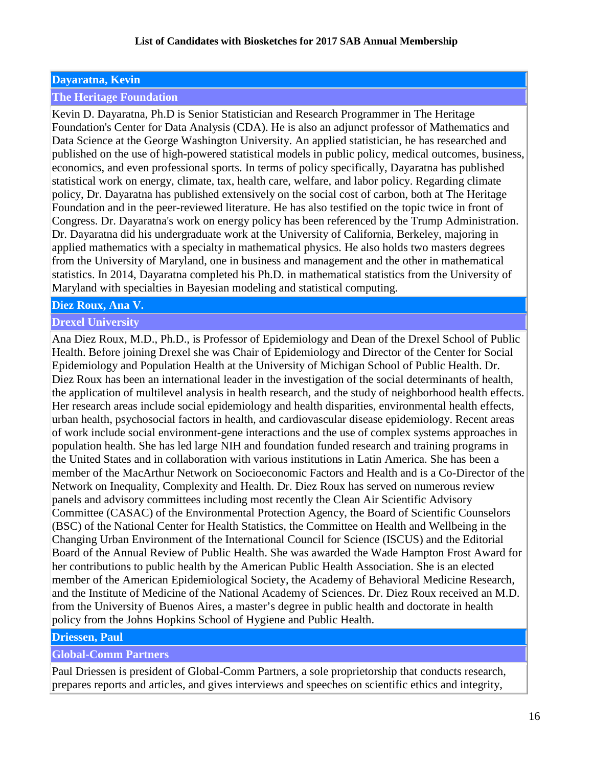# **Dayaratna, Kevin**

### **The Heritage Foundation**

Kevin D. Dayaratna, Ph.D is Senior Statistician and Research Programmer in The Heritage Foundation's Center for Data Analysis (CDA). He is also an adjunct professor of Mathematics and Data Science at the George Washington University. An applied statistician, he has researched and published on the use of high-powered statistical models in public policy, medical outcomes, business, economics, and even professional sports. In terms of policy specifically, Dayaratna has published statistical work on energy, climate, tax, health care, welfare, and labor policy. Regarding climate policy, Dr. Dayaratna has published extensively on the social cost of carbon, both at The Heritage Foundation and in the peer-reviewed literature. He has also testified on the topic twice in front of Congress. Dr. Dayaratna's work on energy policy has been referenced by the Trump Administration. Dr. Dayaratna did his undergraduate work at the University of California, Berkeley, majoring in applied mathematics with a specialty in mathematical physics. He also holds two masters degrees from the University of Maryland, one in business and management and the other in mathematical statistics. In 2014, Dayaratna completed his Ph.D. in mathematical statistics from the University of Maryland with specialties in Bayesian modeling and statistical computing.

### **Diez Roux, Ana V.**

### **Drexel University**

Ana Diez Roux, M.D., Ph.D., is Professor of Epidemiology and Dean of the Drexel School of Public Health. Before joining Drexel she was Chair of Epidemiology and Director of the Center for Social Epidemiology and Population Health at the University of Michigan School of Public Health. Dr. Diez Roux has been an international leader in the investigation of the social determinants of health, the application of multilevel analysis in health research, and the study of neighborhood health effects. Her research areas include social epidemiology and health disparities, environmental health effects, urban health, psychosocial factors in health, and cardiovascular disease epidemiology. Recent areas of work include social environment-gene interactions and the use of complex systems approaches in population health. She has led large NIH and foundation funded research and training programs in the United States and in collaboration with various institutions in Latin America. She has been a member of the MacArthur Network on Socioeconomic Factors and Health and is a Co-Director of the Network on Inequality, Complexity and Health. Dr. Diez Roux has served on numerous review panels and advisory committees including most recently the Clean Air Scientific Advisory Committee (CASAC) of the Environmental Protection Agency, the Board of Scientific Counselors (BSC) of the National Center for Health Statistics, the Committee on Health and Wellbeing in the Changing Urban Environment of the International Council for Science (ISCUS) and the Editorial Board of the Annual Review of Public Health. She was awarded the Wade Hampton Frost Award for her contributions to public health by the American Public Health Association. She is an elected member of the American Epidemiological Society, the Academy of Behavioral Medicine Research, and the Institute of Medicine of the National Academy of Sciences. Dr. Diez Roux received an M.D. from the University of Buenos Aires, a master's degree in public health and doctorate in health policy from the Johns Hopkins School of Hygiene and Public Health.

### **Driessen, Paul**

### **Global-Comm Partners**

Paul Driessen is president of Global-Comm Partners, a sole proprietorship that conducts research, prepares reports and articles, and gives interviews and speeches on scientific ethics and integrity,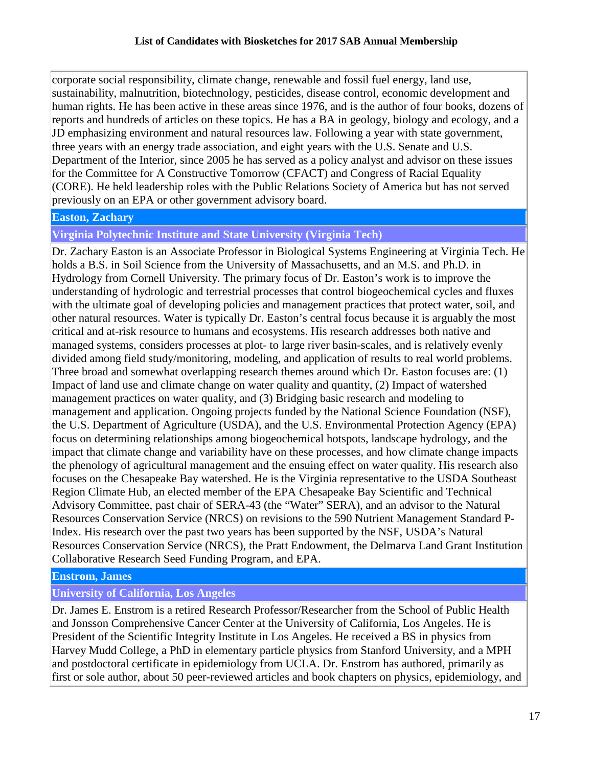corporate social responsibility, climate change, renewable and fossil fuel energy, land use, sustainability, malnutrition, biotechnology, pesticides, disease control, economic development and human rights. He has been active in these areas since 1976, and is the author of four books, dozens of reports and hundreds of articles on these topics. He has a BA in geology, biology and ecology, and a JD emphasizing environment and natural resources law. Following a year with state government, three years with an energy trade association, and eight years with the U.S. Senate and U.S. Department of the Interior, since 2005 he has served as a policy analyst and advisor on these issues for the Committee for A Constructive Tomorrow (CFACT) and Congress of Racial Equality (CORE). He held leadership roles with the Public Relations Society of America but has not served previously on an EPA or other government advisory board.

### **Easton, Zachary**

### **Virginia Polytechnic Institute and State University (Virginia Tech)**

Dr. Zachary Easton is an Associate Professor in Biological Systems Engineering at Virginia Tech. He holds a B.S. in Soil Science from the University of Massachusetts, and an M.S. and Ph.D. in Hydrology from Cornell University. The primary focus of Dr. Easton's work is to improve the understanding of hydrologic and terrestrial processes that control biogeochemical cycles and fluxes with the ultimate goal of developing policies and management practices that protect water, soil, and other natural resources. Water is typically Dr. Easton's central focus because it is arguably the most critical and at-risk resource to humans and ecosystems. His research addresses both native and managed systems, considers processes at plot- to large river basin-scales, and is relatively evenly divided among field study/monitoring, modeling, and application of results to real world problems. Three broad and somewhat overlapping research themes around which Dr. Easton focuses are: (1) Impact of land use and climate change on water quality and quantity, (2) Impact of watershed management practices on water quality, and (3) Bridging basic research and modeling to management and application. Ongoing projects funded by the National Science Foundation (NSF), the U.S. Department of Agriculture (USDA), and the U.S. Environmental Protection Agency (EPA) focus on determining relationships among biogeochemical hotspots, landscape hydrology, and the impact that climate change and variability have on these processes, and how climate change impacts the phenology of agricultural management and the ensuing effect on water quality. His research also focuses on the Chesapeake Bay watershed. He is the Virginia representative to the USDA Southeast Region Climate Hub, an elected member of the EPA Chesapeake Bay Scientific and Technical Advisory Committee, past chair of SERA-43 (the "Water" SERA), and an advisor to the Natural Resources Conservation Service (NRCS) on revisions to the 590 Nutrient Management Standard P-Index. His research over the past two years has been supported by the NSF, USDA's Natural Resources Conservation Service (NRCS), the Pratt Endowment, the Delmarva Land Grant Institution Collaborative Research Seed Funding Program, and EPA.

# **Enstrom, James**

### **University of California, Los Angeles**

Dr. James E. Enstrom is a retired Research Professor/Researcher from the School of Public Health and Jonsson Comprehensive Cancer Center at the University of California, Los Angeles. He is President of the Scientific Integrity Institute in Los Angeles. He received a BS in physics from Harvey Mudd College, a PhD in elementary particle physics from Stanford University, and a MPH and postdoctoral certificate in epidemiology from UCLA. Dr. Enstrom has authored, primarily as first or sole author, about 50 peer-reviewed articles and book chapters on physics, epidemiology, and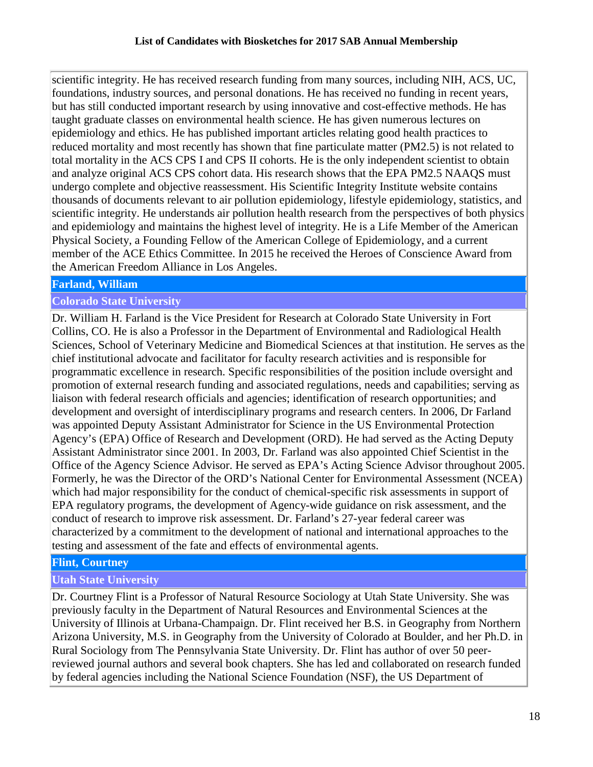scientific integrity. He has received research funding from many sources, including NIH, ACS, UC, foundations, industry sources, and personal donations. He has received no funding in recent years, but has still conducted important research by using innovative and cost-effective methods. He has taught graduate classes on environmental health science. He has given numerous lectures on epidemiology and ethics. He has published important articles relating good health practices to reduced mortality and most recently has shown that fine particulate matter (PM2.5) is not related to total mortality in the ACS CPS I and CPS II cohorts. He is the only independent scientist to obtain and analyze original ACS CPS cohort data. His research shows that the EPA PM2.5 NAAQS must undergo complete and objective reassessment. His Scientific Integrity Institute website contains thousands of documents relevant to air pollution epidemiology, lifestyle epidemiology, statistics, and scientific integrity. He understands air pollution health research from the perspectives of both physics and epidemiology and maintains the highest level of integrity. He is a Life Member of the American Physical Society, a Founding Fellow of the American College of Epidemiology, and a current member of the ACE Ethics Committee. In 2015 he received the Heroes of Conscience Award from the American Freedom Alliance in Los Angeles.

# **Farland, William**

# **Colorado State University**

Dr. William H. Farland is the Vice President for Research at Colorado State University in Fort Collins, CO. He is also a Professor in the Department of Environmental and Radiological Health Sciences, School of Veterinary Medicine and Biomedical Sciences at that institution. He serves as the chief institutional advocate and facilitator for faculty research activities and is responsible for programmatic excellence in research. Specific responsibilities of the position include oversight and promotion of external research funding and associated regulations, needs and capabilities; serving as liaison with federal research officials and agencies; identification of research opportunities; and development and oversight of interdisciplinary programs and research centers. In 2006, Dr Farland was appointed Deputy Assistant Administrator for Science in the US Environmental Protection Agency's (EPA) Office of Research and Development (ORD). He had served as the Acting Deputy Assistant Administrator since 2001. In 2003, Dr. Farland was also appointed Chief Scientist in the Office of the Agency Science Advisor. He served as EPA's Acting Science Advisor throughout 2005. Formerly, he was the Director of the ORD's National Center for Environmental Assessment (NCEA) which had major responsibility for the conduct of chemical-specific risk assessments in support of EPA regulatory programs, the development of Agency-wide guidance on risk assessment, and the conduct of research to improve risk assessment. Dr. Farland's 27-year federal career was characterized by a commitment to the development of national and international approaches to the testing and assessment of the fate and effects of environmental agents.

# **Flint, Courtney**

# **Utah State University**

Dr. Courtney Flint is a Professor of Natural Resource Sociology at Utah State University. She was previously faculty in the Department of Natural Resources and Environmental Sciences at the University of Illinois at Urbana-Champaign. Dr. Flint received her B.S. in Geography from Northern Arizona University, M.S. in Geography from the University of Colorado at Boulder, and her Ph.D. in Rural Sociology from The Pennsylvania State University. Dr. Flint has author of over 50 peerreviewed journal authors and several book chapters. She has led and collaborated on research funded by federal agencies including the National Science Foundation (NSF), the US Department of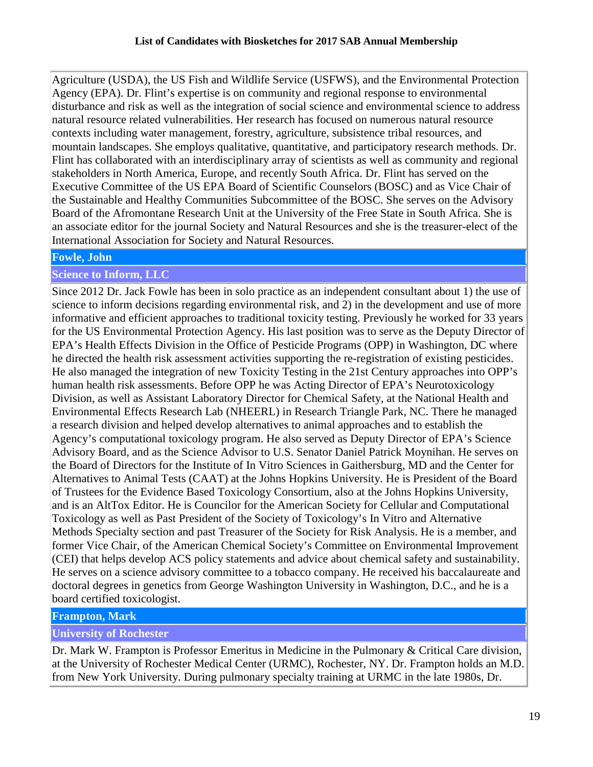Agriculture (USDA), the US Fish and Wildlife Service (USFWS), and the Environmental Protection Agency (EPA). Dr. Flint's expertise is on community and regional response to environmental disturbance and risk as well as the integration of social science and environmental science to address natural resource related vulnerabilities. Her research has focused on numerous natural resource contexts including water management, forestry, agriculture, subsistence tribal resources, and mountain landscapes. She employs qualitative, quantitative, and participatory research methods. Dr. Flint has collaborated with an interdisciplinary array of scientists as well as community and regional stakeholders in North America, Europe, and recently South Africa. Dr. Flint has served on the Executive Committee of the US EPA Board of Scientific Counselors (BOSC) and as Vice Chair of the Sustainable and Healthy Communities Subcommittee of the BOSC. She serves on the Advisory Board of the Afromontane Research Unit at the University of the Free State in South Africa. She is an associate editor for the journal Society and Natural Resources and she is the treasurer-elect of the International Association for Society and Natural Resources.

### **Fowle, John**

### **Science to Inform, LLC**

Since 2012 Dr. Jack Fowle has been in solo practice as an independent consultant about 1) the use of science to inform decisions regarding environmental risk, and 2) in the development and use of more informative and efficient approaches to traditional toxicity testing. Previously he worked for 33 years for the US Environmental Protection Agency. His last position was to serve as the Deputy Director of EPA's Health Effects Division in the Office of Pesticide Programs (OPP) in Washington, DC where he directed the health risk assessment activities supporting the re-registration of existing pesticides. He also managed the integration of new Toxicity Testing in the 21st Century approaches into OPP's human health risk assessments. Before OPP he was Acting Director of EPA's Neurotoxicology Division, as well as Assistant Laboratory Director for Chemical Safety, at the National Health and Environmental Effects Research Lab (NHEERL) in Research Triangle Park, NC. There he managed a research division and helped develop alternatives to animal approaches and to establish the Agency's computational toxicology program. He also served as Deputy Director of EPA's Science Advisory Board, and as the Science Advisor to U.S. Senator Daniel Patrick Moynihan. He serves on the Board of Directors for the Institute of In Vitro Sciences in Gaithersburg, MD and the Center for Alternatives to Animal Tests (CAAT) at the Johns Hopkins University. He is President of the Board of Trustees for the Evidence Based Toxicology Consortium, also at the Johns Hopkins University, and is an AltTox Editor. He is Councilor for the American Society for Cellular and Computational Toxicology as well as Past President of the Society of Toxicology's In Vitro and Alternative Methods Specialty section and past Treasurer of the Society for Risk Analysis. He is a member, and former Vice Chair, of the American Chemical Society's Committee on Environmental Improvement (CEI) that helps develop ACS policy statements and advice about chemical safety and sustainability. He serves on a science advisory committee to a tobacco company. He received his baccalaureate and doctoral degrees in genetics from George Washington University in Washington, D.C., and he is a board certified toxicologist.

### **Frampton, Mark**

### **University of Rochester**

Dr. Mark W. Frampton is Professor Emeritus in Medicine in the Pulmonary & Critical Care division, at the University of Rochester Medical Center (URMC), Rochester, NY. Dr. Frampton holds an M.D. from New York University. During pulmonary specialty training at URMC in the late 1980s, Dr.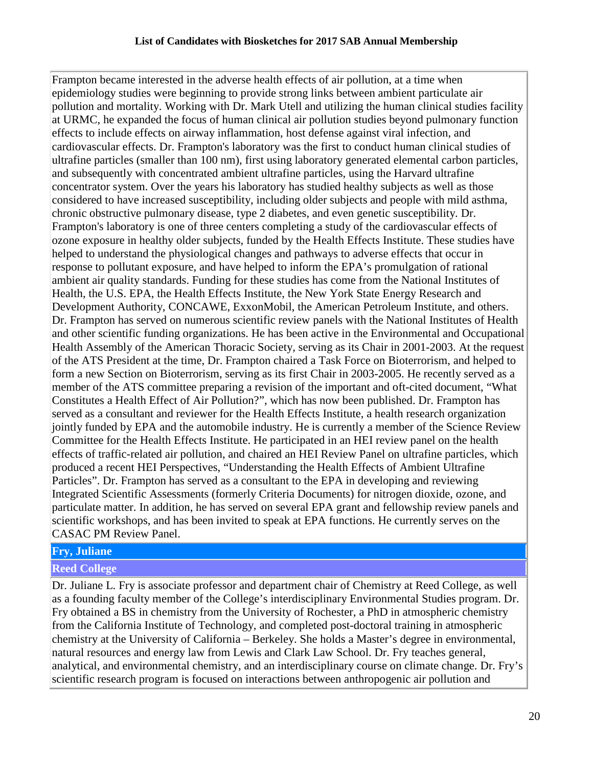Frampton became interested in the adverse health effects of air pollution, at a time when epidemiology studies were beginning to provide strong links between ambient particulate air pollution and mortality. Working with Dr. Mark Utell and utilizing the human clinical studies facility at URMC, he expanded the focus of human clinical air pollution studies beyond pulmonary function effects to include effects on airway inflammation, host defense against viral infection, and cardiovascular effects. Dr. Frampton's laboratory was the first to conduct human clinical studies of ultrafine particles (smaller than 100 nm), first using laboratory generated elemental carbon particles, and subsequently with concentrated ambient ultrafine particles, using the Harvard ultrafine concentrator system. Over the years his laboratory has studied healthy subjects as well as those considered to have increased susceptibility, including older subjects and people with mild asthma, chronic obstructive pulmonary disease, type 2 diabetes, and even genetic susceptibility. Dr. Frampton's laboratory is one of three centers completing a study of the cardiovascular effects of ozone exposure in healthy older subjects, funded by the Health Effects Institute. These studies have helped to understand the physiological changes and pathways to adverse effects that occur in response to pollutant exposure, and have helped to inform the EPA's promulgation of rational ambient air quality standards. Funding for these studies has come from the National Institutes of Health, the U.S. EPA, the Health Effects Institute, the New York State Energy Research and Development Authority, CONCAWE, ExxonMobil, the American Petroleum Institute, and others. Dr. Frampton has served on numerous scientific review panels with the National Institutes of Health and other scientific funding organizations. He has been active in the Environmental and Occupational Health Assembly of the American Thoracic Society, serving as its Chair in 2001-2003. At the request of the ATS President at the time, Dr. Frampton chaired a Task Force on Bioterrorism, and helped to form a new Section on Bioterrorism, serving as its first Chair in 2003-2005. He recently served as a member of the ATS committee preparing a revision of the important and oft-cited document, "What Constitutes a Health Effect of Air Pollution?", which has now been published. Dr. Frampton has served as a consultant and reviewer for the Health Effects Institute, a health research organization jointly funded by EPA and the automobile industry. He is currently a member of the Science Review Committee for the Health Effects Institute. He participated in an HEI review panel on the health effects of traffic-related air pollution, and chaired an HEI Review Panel on ultrafine particles, which produced a recent HEI Perspectives, "Understanding the Health Effects of Ambient Ultrafine Particles". Dr. Frampton has served as a consultant to the EPA in developing and reviewing Integrated Scientific Assessments (formerly Criteria Documents) for nitrogen dioxide, ozone, and particulate matter. In addition, he has served on several EPA grant and fellowship review panels and scientific workshops, and has been invited to speak at EPA functions. He currently serves on the CASAC PM Review Panel.

# **Fry, Juliane**

# **Reed College**

Dr. Juliane L. Fry is associate professor and department chair of Chemistry at Reed College, as well as a founding faculty member of the College's interdisciplinary Environmental Studies program. Dr. Fry obtained a BS in chemistry from the University of Rochester, a PhD in atmospheric chemistry from the California Institute of Technology, and completed post-doctoral training in atmospheric chemistry at the University of California – Berkeley. She holds a Master's degree in environmental, natural resources and energy law from Lewis and Clark Law School. Dr. Fry teaches general, analytical, and environmental chemistry, and an interdisciplinary course on climate change. Dr. Fry's scientific research program is focused on interactions between anthropogenic air pollution and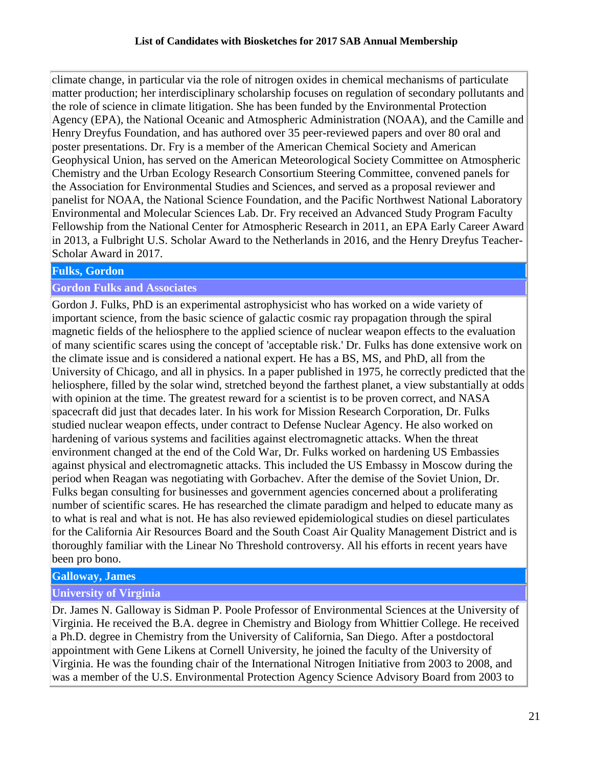climate change, in particular via the role of nitrogen oxides in chemical mechanisms of particulate matter production; her interdisciplinary scholarship focuses on regulation of secondary pollutants and the role of science in climate litigation. She has been funded by the Environmental Protection Agency (EPA), the National Oceanic and Atmospheric Administration (NOAA), and the Camille and Henry Dreyfus Foundation, and has authored over 35 peer-reviewed papers and over 80 oral and poster presentations. Dr. Fry is a member of the American Chemical Society and American Geophysical Union, has served on the American Meteorological Society Committee on Atmospheric Chemistry and the Urban Ecology Research Consortium Steering Committee, convened panels for the Association for Environmental Studies and Sciences, and served as a proposal reviewer and panelist for NOAA, the National Science Foundation, and the Pacific Northwest National Laboratory Environmental and Molecular Sciences Lab. Dr. Fry received an Advanced Study Program Faculty Fellowship from the National Center for Atmospheric Research in 2011, an EPA Early Career Award in 2013, a Fulbright U.S. Scholar Award to the Netherlands in 2016, and the Henry Dreyfus Teacher-Scholar Award in 2017.

# **Fulks, Gordon**

# **Gordon Fulks and Associates**

Gordon J. Fulks, PhD is an experimental astrophysicist who has worked on a wide variety of important science, from the basic science of galactic cosmic ray propagation through the spiral magnetic fields of the heliosphere to the applied science of nuclear weapon effects to the evaluation of many scientific scares using the concept of 'acceptable risk.' Dr. Fulks has done extensive work on the climate issue and is considered a national expert. He has a BS, MS, and PhD, all from the University of Chicago, and all in physics. In a paper published in 1975, he correctly predicted that the heliosphere, filled by the solar wind, stretched beyond the farthest planet, a view substantially at odds with opinion at the time. The greatest reward for a scientist is to be proven correct, and NASA spacecraft did just that decades later. In his work for Mission Research Corporation, Dr. Fulks studied nuclear weapon effects, under contract to Defense Nuclear Agency. He also worked on hardening of various systems and facilities against electromagnetic attacks. When the threat environment changed at the end of the Cold War, Dr. Fulks worked on hardening US Embassies against physical and electromagnetic attacks. This included the US Embassy in Moscow during the period when Reagan was negotiating with Gorbachev. After the demise of the Soviet Union, Dr. Fulks began consulting for businesses and government agencies concerned about a proliferating number of scientific scares. He has researched the climate paradigm and helped to educate many as to what is real and what is not. He has also reviewed epidemiological studies on diesel particulates for the California Air Resources Board and the South Coast Air Quality Management District and is thoroughly familiar with the Linear No Threshold controversy. All his efforts in recent years have been pro bono.

# **Galloway, James**

### **University of Virginia**

Dr. James N. Galloway is Sidman P. Poole Professor of Environmental Sciences at the University of Virginia. He received the B.A. degree in Chemistry and Biology from Whittier College. He received a Ph.D. degree in Chemistry from the University of California, San Diego. After a postdoctoral appointment with Gene Likens at Cornell University, he joined the faculty of the University of Virginia. He was the founding chair of the International Nitrogen Initiative from 2003 to 2008, and was a member of the U.S. Environmental Protection Agency Science Advisory Board from 2003 to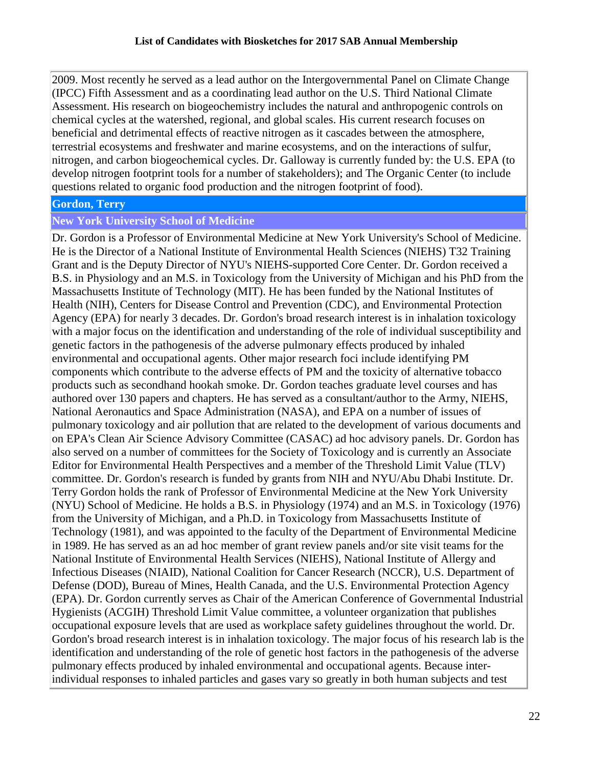2009. Most recently he served as a lead author on the Intergovernmental Panel on Climate Change (IPCC) Fifth Assessment and as a coordinating lead author on the U.S. Third National Climate Assessment. His research on biogeochemistry includes the natural and anthropogenic controls on chemical cycles at the watershed, regional, and global scales. His current research focuses on beneficial and detrimental effects of reactive nitrogen as it cascades between the atmosphere, terrestrial ecosystems and freshwater and marine ecosystems, and on the interactions of sulfur, nitrogen, and carbon biogeochemical cycles. Dr. Galloway is currently funded by: the U.S. EPA (to develop nitrogen footprint tools for a number of stakeholders); and The Organic Center (to include questions related to organic food production and the nitrogen footprint of food).

### **Gordon, Terry**

### **New York University School of Medicine**

Dr. Gordon is a Professor of Environmental Medicine at New York University's School of Medicine. He is the Director of a National Institute of Environmental Health Sciences (NIEHS) T32 Training Grant and is the Deputy Director of NYU's NIEHS-supported Core Center. Dr. Gordon received a B.S. in Physiology and an M.S. in Toxicology from the University of Michigan and his PhD from the Massachusetts Institute of Technology (MIT). He has been funded by the National Institutes of Health (NIH), Centers for Disease Control and Prevention (CDC), and Environmental Protection Agency (EPA) for nearly 3 decades. Dr. Gordon's broad research interest is in inhalation toxicology with a major focus on the identification and understanding of the role of individual susceptibility and genetic factors in the pathogenesis of the adverse pulmonary effects produced by inhaled environmental and occupational agents. Other major research foci include identifying PM components which contribute to the adverse effects of PM and the toxicity of alternative tobacco products such as secondhand hookah smoke. Dr. Gordon teaches graduate level courses and has authored over 130 papers and chapters. He has served as a consultant/author to the Army, NIEHS, National Aeronautics and Space Administration (NASA), and EPA on a number of issues of pulmonary toxicology and air pollution that are related to the development of various documents and on EPA's Clean Air Science Advisory Committee (CASAC) ad hoc advisory panels. Dr. Gordon has also served on a number of committees for the Society of Toxicology and is currently an Associate Editor for Environmental Health Perspectives and a member of the Threshold Limit Value (TLV) committee. Dr. Gordon's research is funded by grants from NIH and NYU/Abu Dhabi Institute. Dr. Terry Gordon holds the rank of Professor of Environmental Medicine at the New York University (NYU) School of Medicine. He holds a B.S. in Physiology (1974) and an M.S. in Toxicology (1976) from the University of Michigan, and a Ph.D. in Toxicology from Massachusetts Institute of Technology (1981), and was appointed to the faculty of the Department of Environmental Medicine in 1989. He has served as an ad hoc member of grant review panels and/or site visit teams for the National Institute of Environmental Health Services (NIEHS), National Institute of Allergy and Infectious Diseases (NIAID), National Coalition for Cancer Research (NCCR), U.S. Department of Defense (DOD), Bureau of Mines, Health Canada, and the U.S. Environmental Protection Agency (EPA). Dr. Gordon currently serves as Chair of the American Conference of Governmental Industrial Hygienists (ACGIH) Threshold Limit Value committee, a volunteer organization that publishes occupational exposure levels that are used as workplace safety guidelines throughout the world. Dr. Gordon's broad research interest is in inhalation toxicology. The major focus of his research lab is the identification and understanding of the role of genetic host factors in the pathogenesis of the adverse pulmonary effects produced by inhaled environmental and occupational agents. Because interindividual responses to inhaled particles and gases vary so greatly in both human subjects and test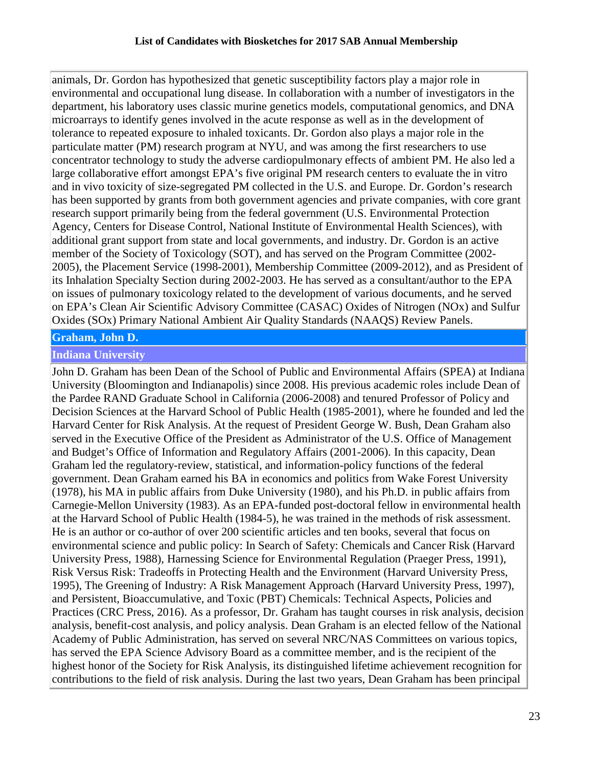animals, Dr. Gordon has hypothesized that genetic susceptibility factors play a major role in environmental and occupational lung disease. In collaboration with a number of investigators in the department, his laboratory uses classic murine genetics models, computational genomics, and DNA microarrays to identify genes involved in the acute response as well as in the development of tolerance to repeated exposure to inhaled toxicants. Dr. Gordon also plays a major role in the particulate matter (PM) research program at NYU, and was among the first researchers to use concentrator technology to study the adverse cardiopulmonary effects of ambient PM. He also led a large collaborative effort amongst EPA's five original PM research centers to evaluate the in vitro and in vivo toxicity of size-segregated PM collected in the U.S. and Europe. Dr. Gordon's research has been supported by grants from both government agencies and private companies, with core grant research support primarily being from the federal government (U.S. Environmental Protection Agency, Centers for Disease Control, National Institute of Environmental Health Sciences), with additional grant support from state and local governments, and industry. Dr. Gordon is an active member of the Society of Toxicology (SOT), and has served on the Program Committee (2002- 2005), the Placement Service (1998-2001), Membership Committee (2009-2012), and as President of its Inhalation Specialty Section during 2002-2003. He has served as a consultant/author to the EPA on issues of pulmonary toxicology related to the development of various documents, and he served on EPA's Clean Air Scientific Advisory Committee (CASAC) Oxides of Nitrogen (NOx) and Sulfur Oxides (SOx) Primary National Ambient Air Quality Standards (NAAQS) Review Panels.

# **Graham, John D.**

### **Indiana University**

John D. Graham has been Dean of the School of Public and Environmental Affairs (SPEA) at Indiana University (Bloomington and Indianapolis) since 2008. His previous academic roles include Dean of the Pardee RAND Graduate School in California (2006-2008) and tenured Professor of Policy and Decision Sciences at the Harvard School of Public Health (1985-2001), where he founded and led the Harvard Center for Risk Analysis. At the request of President George W. Bush, Dean Graham also served in the Executive Office of the President as Administrator of the U.S. Office of Management and Budget's Office of Information and Regulatory Affairs (2001-2006). In this capacity, Dean Graham led the regulatory-review, statistical, and information-policy functions of the federal government. Dean Graham earned his BA in economics and politics from Wake Forest University (1978), his MA in public affairs from Duke University (1980), and his Ph.D. in public affairs from Carnegie-Mellon University (1983). As an EPA-funded post-doctoral fellow in environmental health at the Harvard School of Public Health (1984-5), he was trained in the methods of risk assessment. He is an author or co-author of over 200 scientific articles and ten books, several that focus on environmental science and public policy: In Search of Safety: Chemicals and Cancer Risk (Harvard University Press, 1988), Harnessing Science for Environmental Regulation (Praeger Press, 1991), Risk Versus Risk: Tradeoffs in Protecting Health and the Environment (Harvard University Press, 1995), The Greening of Industry: A Risk Management Approach (Harvard University Press, 1997), and Persistent, Bioaccumulative, and Toxic (PBT) Chemicals: Technical Aspects, Policies and Practices (CRC Press, 2016). As a professor, Dr. Graham has taught courses in risk analysis, decision analysis, benefit-cost analysis, and policy analysis. Dean Graham is an elected fellow of the National Academy of Public Administration, has served on several NRC/NAS Committees on various topics, has served the EPA Science Advisory Board as a committee member, and is the recipient of the highest honor of the Society for Risk Analysis, its distinguished lifetime achievement recognition for contributions to the field of risk analysis. During the last two years, Dean Graham has been principal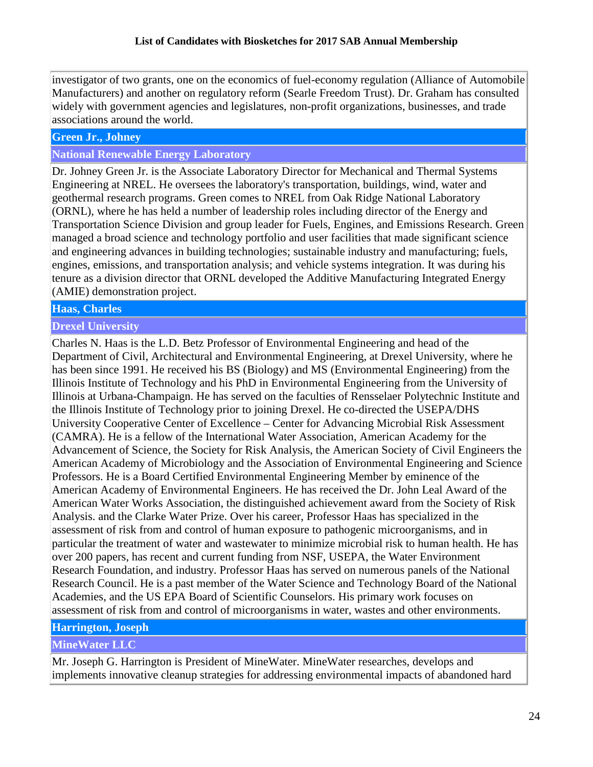investigator of two grants, one on the economics of fuel-economy regulation (Alliance of Automobile Manufacturers) and another on regulatory reform (Searle Freedom Trust). Dr. Graham has consulted widely with government agencies and legislatures, non-profit organizations, businesses, and trade associations around the world.

### **Green Jr., Johney**

### **National Renewable Energy Laboratory**

Dr. Johney Green Jr. is the Associate Laboratory Director for Mechanical and Thermal Systems Engineering at NREL. He oversees the laboratory's transportation, buildings, wind, water and geothermal research programs. Green comes to NREL from Oak Ridge National Laboratory (ORNL), where he has held a number of leadership roles including director of the Energy and Transportation Science Division and group leader for Fuels, Engines, and Emissions Research. Green managed a broad science and technology portfolio and user facilities that made significant science and engineering advances in building technologies; sustainable industry and manufacturing; fuels, engines, emissions, and transportation analysis; and vehicle systems integration. It was during his tenure as a division director that ORNL developed the Additive Manufacturing Integrated Energy (AMIE) demonstration project.

### **Haas, Charles**

### **Drexel University**

Charles N. Haas is the L.D. Betz Professor of Environmental Engineering and head of the Department of Civil, Architectural and Environmental Engineering, at Drexel University, where he has been since 1991. He received his BS (Biology) and MS (Environmental Engineering) from the Illinois Institute of Technology and his PhD in Environmental Engineering from the University of Illinois at Urbana-Champaign. He has served on the faculties of Rensselaer Polytechnic Institute and the Illinois Institute of Technology prior to joining Drexel. He co-directed the USEPA/DHS University Cooperative Center of Excellence – Center for Advancing Microbial Risk Assessment (CAMRA). He is a fellow of the International Water Association, American Academy for the Advancement of Science, the Society for Risk Analysis, the American Society of Civil Engineers the American Academy of Microbiology and the Association of Environmental Engineering and Science Professors. He is a Board Certified Environmental Engineering Member by eminence of the American Academy of Environmental Engineers. He has received the Dr. John Leal Award of the American Water Works Association, the distinguished achievement award from the Society of Risk Analysis. and the Clarke Water Prize. Over his career, Professor Haas has specialized in the assessment of risk from and control of human exposure to pathogenic microorganisms, and in particular the treatment of water and wastewater to minimize microbial risk to human health. He has over 200 papers, has recent and current funding from NSF, USEPA, the Water Environment Research Foundation, and industry. Professor Haas has served on numerous panels of the National Research Council. He is a past member of the Water Science and Technology Board of the National Academies, and the US EPA Board of Scientific Counselors. His primary work focuses on assessment of risk from and control of microorganisms in water, wastes and other environments.

# **Harrington, Joseph**

### **MineWater LLC**

Mr. Joseph G. Harrington is President of MineWater. MineWater researches, develops and implements innovative cleanup strategies for addressing environmental impacts of abandoned hard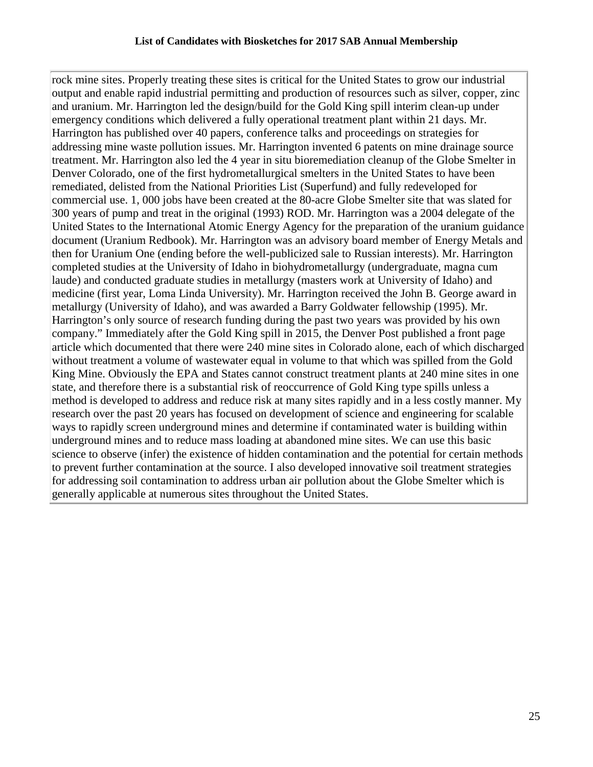rock mine sites. Properly treating these sites is critical for the United States to grow our industrial output and enable rapid industrial permitting and production of resources such as silver, copper, zinc and uranium. Mr. Harrington led the design/build for the Gold King spill interim clean-up under emergency conditions which delivered a fully operational treatment plant within 21 days. Mr. Harrington has published over 40 papers, conference talks and proceedings on strategies for addressing mine waste pollution issues. Mr. Harrington invented 6 patents on mine drainage source treatment. Mr. Harrington also led the 4 year in situ bioremediation cleanup of the Globe Smelter in Denver Colorado, one of the first hydrometallurgical smelters in the United States to have been remediated, delisted from the National Priorities List (Superfund) and fully redeveloped for commercial use. 1, 000 jobs have been created at the 80-acre Globe Smelter site that was slated for 300 years of pump and treat in the original (1993) ROD. Mr. Harrington was a 2004 delegate of the United States to the International Atomic Energy Agency for the preparation of the uranium guidance document (Uranium Redbook). Mr. Harrington was an advisory board member of Energy Metals and then for Uranium One (ending before the well-publicized sale to Russian interests). Mr. Harrington completed studies at the University of Idaho in biohydrometallurgy (undergraduate, magna cum laude) and conducted graduate studies in metallurgy (masters work at University of Idaho) and medicine (first year, Loma Linda University). Mr. Harrington received the John B. George award in metallurgy (University of Idaho), and was awarded a Barry Goldwater fellowship (1995). Mr. Harrington's only source of research funding during the past two years was provided by his own company." Immediately after the Gold King spill in 2015, the Denver Post published a front page article which documented that there were 240 mine sites in Colorado alone, each of which discharged without treatment a volume of wastewater equal in volume to that which was spilled from the Gold King Mine. Obviously the EPA and States cannot construct treatment plants at 240 mine sites in one state, and therefore there is a substantial risk of reoccurrence of Gold King type spills unless a method is developed to address and reduce risk at many sites rapidly and in a less costly manner. My research over the past 20 years has focused on development of science and engineering for scalable ways to rapidly screen underground mines and determine if contaminated water is building within underground mines and to reduce mass loading at abandoned mine sites. We can use this basic science to observe (infer) the existence of hidden contamination and the potential for certain methods to prevent further contamination at the source. I also developed innovative soil treatment strategies for addressing soil contamination to address urban air pollution about the Globe Smelter which is generally applicable at numerous sites throughout the United States.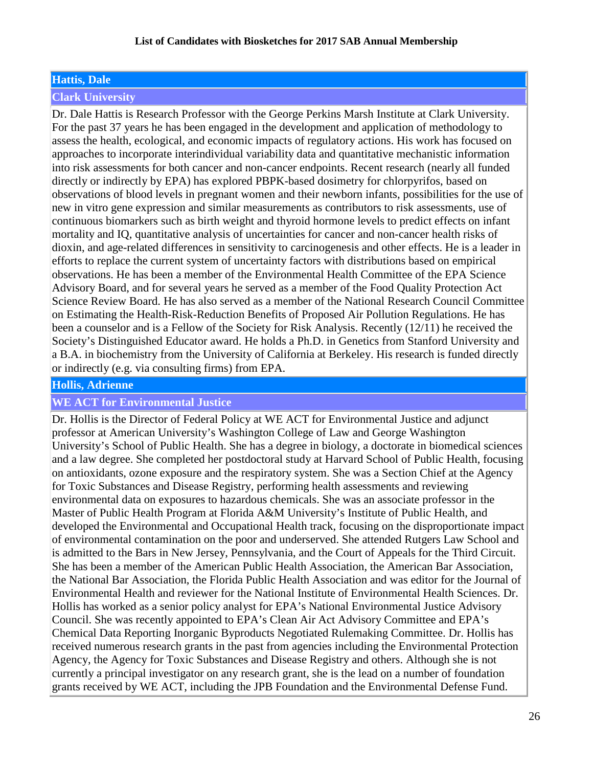# **Hattis, Dale**

# **Clark University**

Dr. Dale Hattis is Research Professor with the George Perkins Marsh Institute at Clark University. For the past 37 years he has been engaged in the development and application of methodology to assess the health, ecological, and economic impacts of regulatory actions. His work has focused on approaches to incorporate interindividual variability data and quantitative mechanistic information into risk assessments for both cancer and non-cancer endpoints. Recent research (nearly all funded directly or indirectly by EPA) has explored PBPK-based dosimetry for chlorpyrifos, based on observations of blood levels in pregnant women and their newborn infants, possibilities for the use of new in vitro gene expression and similar measurements as contributors to risk assessments, use of continuous biomarkers such as birth weight and thyroid hormone levels to predict effects on infant mortality and IQ, quantitative analysis of uncertainties for cancer and non-cancer health risks of dioxin, and age-related differences in sensitivity to carcinogenesis and other effects. He is a leader in efforts to replace the current system of uncertainty factors with distributions based on empirical observations. He has been a member of the Environmental Health Committee of the EPA Science Advisory Board, and for several years he served as a member of the Food Quality Protection Act Science Review Board. He has also served as a member of the National Research Council Committee on Estimating the Health-Risk-Reduction Benefits of Proposed Air Pollution Regulations. He has been a counselor and is a Fellow of the Society for Risk Analysis. Recently (12/11) he received the Society's Distinguished Educator award. He holds a Ph.D. in Genetics from Stanford University and a B.A. in biochemistry from the University of California at Berkeley. His research is funded directly or indirectly (e.g. via consulting firms) from EPA.

# **Hollis, Adrienne**

### **WE ACT for Environmental Justice**

Dr. Hollis is the Director of Federal Policy at WE ACT for Environmental Justice and adjunct professor at American University's Washington College of Law and George Washington University's School of Public Health. She has a degree in biology, a doctorate in biomedical sciences and a law degree. She completed her postdoctoral study at Harvard School of Public Health, focusing on antioxidants, ozone exposure and the respiratory system. She was a Section Chief at the Agency for Toxic Substances and Disease Registry, performing health assessments and reviewing environmental data on exposures to hazardous chemicals. She was an associate professor in the Master of Public Health Program at Florida A&M University's Institute of Public Health, and developed the Environmental and Occupational Health track, focusing on the disproportionate impact of environmental contamination on the poor and underserved. She attended Rutgers Law School and is admitted to the Bars in New Jersey, Pennsylvania, and the Court of Appeals for the Third Circuit. She has been a member of the American Public Health Association, the American Bar Association, the National Bar Association, the Florida Public Health Association and was editor for the Journal of Environmental Health and reviewer for the National Institute of Environmental Health Sciences. Dr. Hollis has worked as a senior policy analyst for EPA's National Environmental Justice Advisory Council. She was recently appointed to EPA's Clean Air Act Advisory Committee and EPA's Chemical Data Reporting Inorganic Byproducts Negotiated Rulemaking Committee. Dr. Hollis has received numerous research grants in the past from agencies including the Environmental Protection Agency, the Agency for Toxic Substances and Disease Registry and others. Although she is not currently a principal investigator on any research grant, she is the lead on a number of foundation grants received by WE ACT, including the JPB Foundation and the Environmental Defense Fund.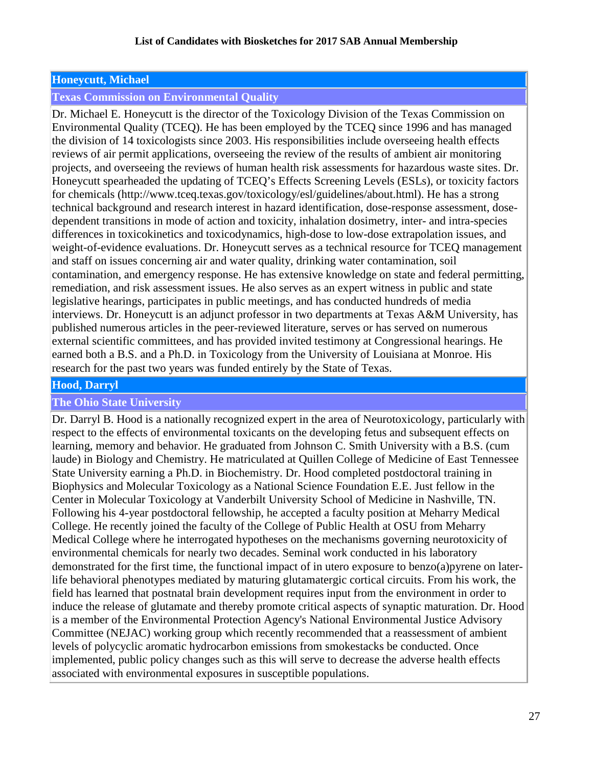# **Honeycutt, Michael**

# **Texas Commission on Environmental Quality**

Dr. Michael E. Honeycutt is the director of the Toxicology Division of the Texas Commission on Environmental Quality (TCEQ). He has been employed by the TCEQ since 1996 and has managed the division of 14 toxicologists since 2003. His responsibilities include overseeing health effects reviews of air permit applications, overseeing the review of the results of ambient air monitoring projects, and overseeing the reviews of human health risk assessments for hazardous waste sites. Dr. Honeycutt spearheaded the updating of TCEQ's Effects Screening Levels (ESLs), or toxicity factors for chemicals (http://www.tceq.texas.gov/toxicology/esl/guidelines/about.html). He has a strong technical background and research interest in hazard identification, dose-response assessment, dosedependent transitions in mode of action and toxicity, inhalation dosimetry, inter- and intra-species differences in toxicokinetics and toxicodynamics, high-dose to low-dose extrapolation issues, and weight-of-evidence evaluations. Dr. Honeycutt serves as a technical resource for TCEQ management and staff on issues concerning air and water quality, drinking water contamination, soil contamination, and emergency response. He has extensive knowledge on state and federal permitting, remediation, and risk assessment issues. He also serves as an expert witness in public and state legislative hearings, participates in public meetings, and has conducted hundreds of media interviews. Dr. Honeycutt is an adjunct professor in two departments at Texas A&M University, has published numerous articles in the peer-reviewed literature, serves or has served on numerous external scientific committees, and has provided invited testimony at Congressional hearings. He earned both a B.S. and a Ph.D. in Toxicology from the University of Louisiana at Monroe. His research for the past two years was funded entirely by the State of Texas.

### **Hood, Darryl**

# **The Ohio State University**

Dr. Darryl B. Hood is a nationally recognized expert in the area of Neurotoxicology, particularly with respect to the effects of environmental toxicants on the developing fetus and subsequent effects on learning, memory and behavior. He graduated from Johnson C. Smith University with a B.S. (cum laude) in Biology and Chemistry. He matriculated at Quillen College of Medicine of East Tennessee State University earning a Ph.D. in Biochemistry. Dr. Hood completed postdoctoral training in Biophysics and Molecular Toxicology as a National Science Foundation E.E. Just fellow in the Center in Molecular Toxicology at Vanderbilt University School of Medicine in Nashville, TN. Following his 4-year postdoctoral fellowship, he accepted a faculty position at Meharry Medical College. He recently joined the faculty of the College of Public Health at OSU from Meharry Medical College where he interrogated hypotheses on the mechanisms governing neurotoxicity of environmental chemicals for nearly two decades. Seminal work conducted in his laboratory demonstrated for the first time, the functional impact of in utero exposure to benzo(a)pyrene on laterlife behavioral phenotypes mediated by maturing glutamatergic cortical circuits. From his work, the field has learned that postnatal brain development requires input from the environment in order to induce the release of glutamate and thereby promote critical aspects of synaptic maturation. Dr. Hood is a member of the Environmental Protection Agency's National Environmental Justice Advisory Committee (NEJAC) working group which recently recommended that a reassessment of ambient levels of polycyclic aromatic hydrocarbon emissions from smokestacks be conducted. Once implemented, public policy changes such as this will serve to decrease the adverse health effects associated with environmental exposures in susceptible populations.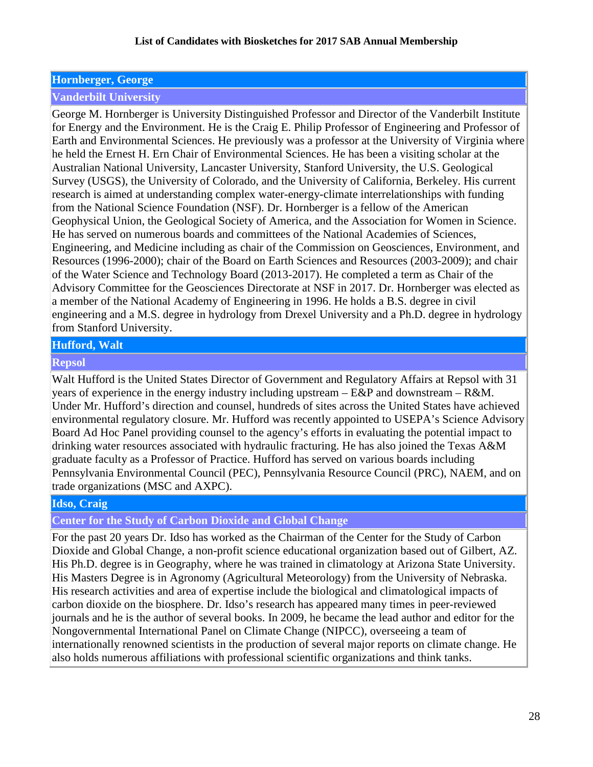# **Hornberger, George**

### **Vanderbilt University**

George M. Hornberger is University Distinguished Professor and Director of the Vanderbilt Institute for Energy and the Environment. He is the Craig E. Philip Professor of Engineering and Professor of Earth and Environmental Sciences. He previously was a professor at the University of Virginia where he held the Ernest H. Ern Chair of Environmental Sciences. He has been a visiting scholar at the Australian National University, Lancaster University, Stanford University, the U.S. Geological Survey (USGS), the University of Colorado, and the University of California, Berkeley. His current research is aimed at understanding complex water-energy-climate interrelationships with funding from the National Science Foundation (NSF). Dr. Hornberger is a fellow of the American Geophysical Union, the Geological Society of America, and the Association for Women in Science. He has served on numerous boards and committees of the National Academies of Sciences, Engineering, and Medicine including as chair of the Commission on Geosciences, Environment, and Resources (1996-2000); chair of the Board on Earth Sciences and Resources (2003-2009); and chair of the Water Science and Technology Board (2013-2017). He completed a term as Chair of the Advisory Committee for the Geosciences Directorate at NSF in 2017. Dr. Hornberger was elected as a member of the National Academy of Engineering in 1996. He holds a B.S. degree in civil engineering and a M.S. degree in hydrology from Drexel University and a Ph.D. degree in hydrology from Stanford University.

### **Hufford, Walt**

### **Repsol**

Walt Hufford is the United States Director of Government and Regulatory Affairs at Repsol with 31 years of experience in the energy industry including upstream  $-E\&P$  and downstream  $-R\&M$ . Under Mr. Hufford's direction and counsel, hundreds of sites across the United States have achieved environmental regulatory closure. Mr. Hufford was recently appointed to USEPA's Science Advisory Board Ad Hoc Panel providing counsel to the agency's efforts in evaluating the potential impact to drinking water resources associated with hydraulic fracturing. He has also joined the Texas A&M graduate faculty as a Professor of Practice. Hufford has served on various boards including Pennsylvania Environmental Council (PEC), Pennsylvania Resource Council (PRC), NAEM, and on trade organizations (MSC and AXPC).

# **Idso, Craig**

### **Center for the Study of Carbon Dioxide and Global Change**

For the past 20 years Dr. Idso has worked as the Chairman of the Center for the Study of Carbon Dioxide and Global Change, a non-profit science educational organization based out of Gilbert, AZ. His Ph.D. degree is in Geography, where he was trained in climatology at Arizona State University. His Masters Degree is in Agronomy (Agricultural Meteorology) from the University of Nebraska. His research activities and area of expertise include the biological and climatological impacts of carbon dioxide on the biosphere. Dr. Idso's research has appeared many times in peer-reviewed journals and he is the author of several books. In 2009, he became the lead author and editor for the Nongovernmental International Panel on Climate Change (NIPCC), overseeing a team of internationally renowned scientists in the production of several major reports on climate change. He also holds numerous affiliations with professional scientific organizations and think tanks.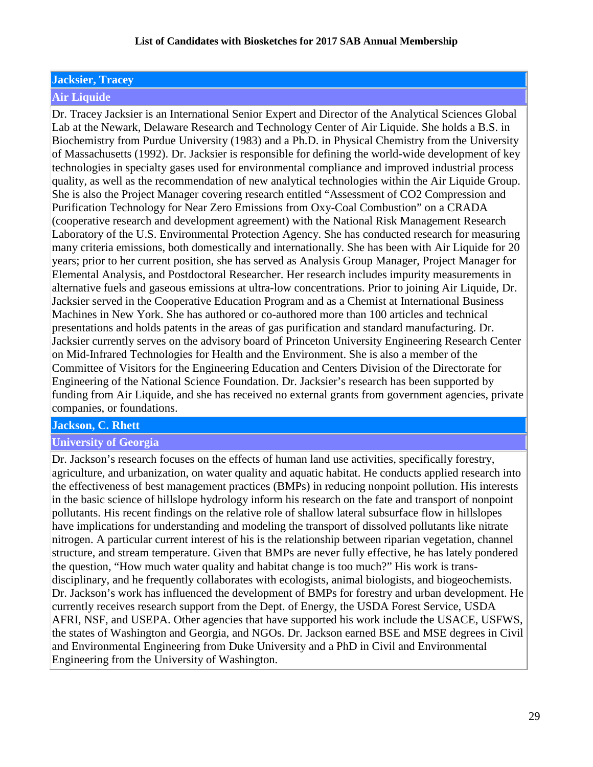# **Jacksier, Tracey**

# **Air Liquide**

Dr. Tracey Jacksier is an International Senior Expert and Director of the Analytical Sciences Global Lab at the Newark, Delaware Research and Technology Center of Air Liquide. She holds a B.S. in Biochemistry from Purdue University (1983) and a Ph.D. in Physical Chemistry from the University of Massachusetts (1992). Dr. Jacksier is responsible for defining the world-wide development of key technologies in specialty gases used for environmental compliance and improved industrial process quality, as well as the recommendation of new analytical technologies within the Air Liquide Group. She is also the Project Manager covering research entitled "Assessment of CO2 Compression and Purification Technology for Near Zero Emissions from Oxy-Coal Combustion" on a CRADA (cooperative research and development agreement) with the National Risk Management Research Laboratory of the U.S. Environmental Protection Agency. She has conducted research for measuring many criteria emissions, both domestically and internationally. She has been with Air Liquide for 20 years; prior to her current position, she has served as Analysis Group Manager, Project Manager for Elemental Analysis, and Postdoctoral Researcher. Her research includes impurity measurements in alternative fuels and gaseous emissions at ultra-low concentrations. Prior to joining Air Liquide, Dr. Jacksier served in the Cooperative Education Program and as a Chemist at International Business Machines in New York. She has authored or co-authored more than 100 articles and technical presentations and holds patents in the areas of gas purification and standard manufacturing. Dr. Jacksier currently serves on the advisory board of Princeton University Engineering Research Center on Mid-Infrared Technologies for Health and the Environment. She is also a member of the Committee of Visitors for the Engineering Education and Centers Division of the Directorate for Engineering of the National Science Foundation. Dr. Jacksier's research has been supported by funding from Air Liquide, and she has received no external grants from government agencies, private companies, or foundations.

# **Jackson, C. Rhett**

# **University of Georgia**

Dr. Jackson's research focuses on the effects of human land use activities, specifically forestry, agriculture, and urbanization, on water quality and aquatic habitat. He conducts applied research into the effectiveness of best management practices (BMPs) in reducing nonpoint pollution. His interests in the basic science of hillslope hydrology inform his research on the fate and transport of nonpoint pollutants. His recent findings on the relative role of shallow lateral subsurface flow in hillslopes have implications for understanding and modeling the transport of dissolved pollutants like nitrate nitrogen. A particular current interest of his is the relationship between riparian vegetation, channel structure, and stream temperature. Given that BMPs are never fully effective, he has lately pondered the question, "How much water quality and habitat change is too much?" His work is transdisciplinary, and he frequently collaborates with ecologists, animal biologists, and biogeochemists. Dr. Jackson's work has influenced the development of BMPs for forestry and urban development. He currently receives research support from the Dept. of Energy, the USDA Forest Service, USDA AFRI, NSF, and USEPA. Other agencies that have supported his work include the USACE, USFWS, the states of Washington and Georgia, and NGOs. Dr. Jackson earned BSE and MSE degrees in Civil and Environmental Engineering from Duke University and a PhD in Civil and Environmental Engineering from the University of Washington.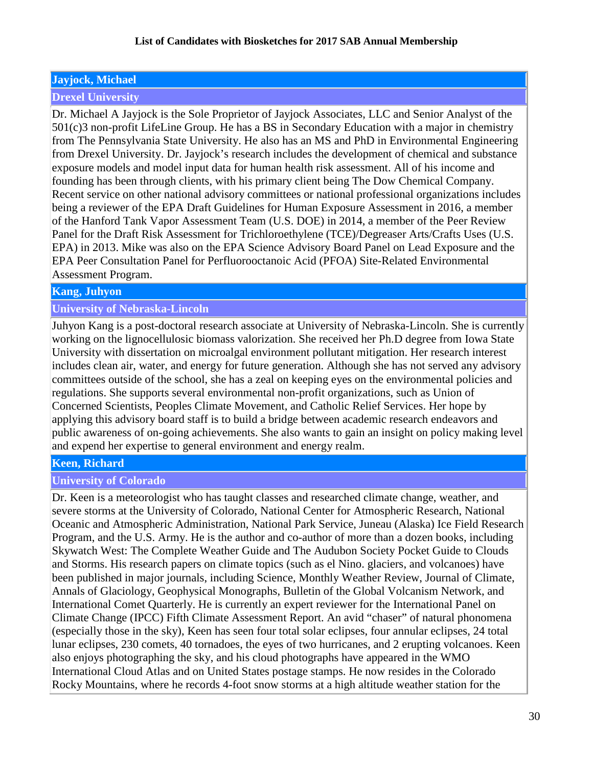# **Jayjock, Michael**

# **Drexel University**

Dr. Michael A Jayjock is the Sole Proprietor of Jayjock Associates, LLC and Senior Analyst of the 501(c)3 non-profit LifeLine Group. He has a BS in Secondary Education with a major in chemistry from The Pennsylvania State University. He also has an MS and PhD in Environmental Engineering from Drexel University. Dr. Jayjock's research includes the development of chemical and substance exposure models and model input data for human health risk assessment. All of his income and founding has been through clients, with his primary client being The Dow Chemical Company. Recent service on other national advisory committees or national professional organizations includes being a reviewer of the EPA Draft Guidelines for Human Exposure Assessment in 2016, a member of the Hanford Tank Vapor Assessment Team (U.S. DOE) in 2014, a member of the Peer Review Panel for the Draft Risk Assessment for Trichloroethylene (TCE)/Degreaser Arts/Crafts Uses (U.S. EPA) in 2013. Mike was also on the EPA Science Advisory Board Panel on Lead Exposure and the EPA Peer Consultation Panel for Perfluorooctanoic Acid (PFOA) Site-Related Environmental Assessment Program.

# **Kang, Juhyon**

# **University of Nebraska-Lincoln**

Juhyon Kang is a post-doctoral research associate at University of Nebraska-Lincoln. She is currently working on the lignocellulosic biomass valorization. She received her Ph.D degree from Iowa State University with dissertation on microalgal environment pollutant mitigation. Her research interest includes clean air, water, and energy for future generation. Although she has not served any advisory committees outside of the school, she has a zeal on keeping eyes on the environmental policies and regulations. She supports several environmental non-profit organizations, such as Union of Concerned Scientists, Peoples Climate Movement, and Catholic Relief Services. Her hope by applying this advisory board staff is to build a bridge between academic research endeavors and public awareness of on-going achievements. She also wants to gain an insight on policy making level and expend her expertise to general environment and energy realm.

# **Keen, Richard**

# **University of Colorado**

Dr. Keen is a meteorologist who has taught classes and researched climate change, weather, and severe storms at the University of Colorado, National Center for Atmospheric Research, National Oceanic and Atmospheric Administration, National Park Service, Juneau (Alaska) Ice Field Research Program, and the U.S. Army. He is the author and co-author of more than a dozen books, including Skywatch West: The Complete Weather Guide and The Audubon Society Pocket Guide to Clouds and Storms. His research papers on climate topics (such as el Nino. glaciers, and volcanoes) have been published in major journals, including Science, Monthly Weather Review, Journal of Climate, Annals of Glaciology, Geophysical Monographs, Bulletin of the Global Volcanism Network, and International Comet Quarterly. He is currently an expert reviewer for the International Panel on Climate Change (IPCC) Fifth Climate Assessment Report. An avid "chaser" of natural phonomena (especially those in the sky), Keen has seen four total solar eclipses, four annular eclipses, 24 total lunar eclipses, 230 comets, 40 tornadoes, the eyes of two hurricanes, and 2 erupting volcanoes. Keen also enjoys photographing the sky, and his cloud photographs have appeared in the WMO International Cloud Atlas and on United States postage stamps. He now resides in the Colorado Rocky Mountains, where he records 4-foot snow storms at a high altitude weather station for the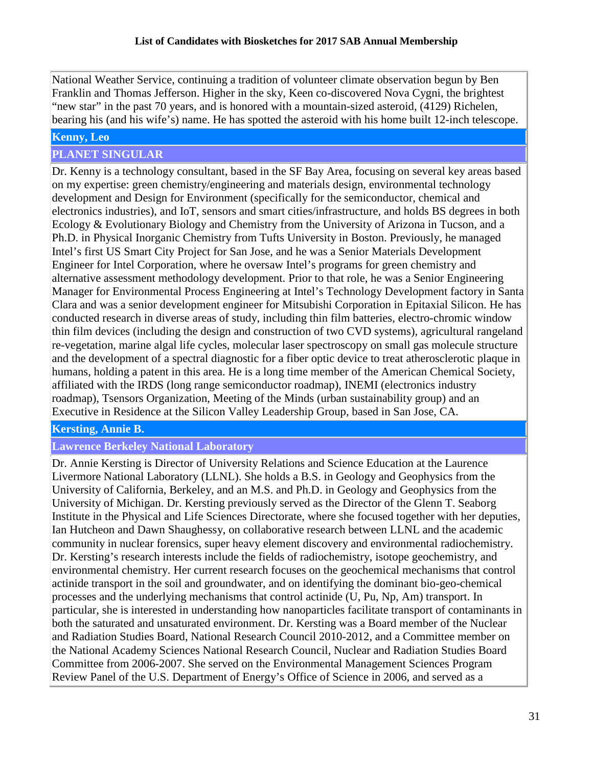National Weather Service, continuing a tradition of volunteer climate observation begun by Ben Franklin and Thomas Jefferson. Higher in the sky, Keen co-discovered Nova Cygni, the brightest "new star" in the past 70 years, and is honored with a mountain-sized asteroid, (4129) Richelen, bearing his (and his wife's) name. He has spotted the asteroid with his home built 12-inch telescope.

### **Kenny, Leo**

# **PLANET SINGULAR**

Dr. Kenny is a technology consultant, based in the SF Bay Area, focusing on several key areas based on my expertise: green chemistry/engineering and materials design, environmental technology development and Design for Environment (specifically for the semiconductor, chemical and electronics industries), and IoT, sensors and smart cities/infrastructure, and holds BS degrees in both Ecology & Evolutionary Biology and Chemistry from the University of Arizona in Tucson, and a Ph.D. in Physical Inorganic Chemistry from Tufts University in Boston. Previously, he managed Intel's first US Smart City Project for San Jose, and he was a Senior Materials Development Engineer for Intel Corporation, where he oversaw Intel's programs for green chemistry and alternative assessment methodology development. Prior to that role, he was a Senior Engineering Manager for Environmental Process Engineering at Intel's Technology Development factory in Santa Clara and was a senior development engineer for Mitsubishi Corporation in Epitaxial Silicon. He has conducted research in diverse areas of study, including thin film batteries, electro-chromic window thin film devices (including the design and construction of two CVD systems), agricultural rangeland re-vegetation, marine algal life cycles, molecular laser spectroscopy on small gas molecule structure and the development of a spectral diagnostic for a fiber optic device to treat atherosclerotic plaque in humans, holding a patent in this area. He is a long time member of the American Chemical Society, affiliated with the IRDS (long range semiconductor roadmap), INEMI (electronics industry roadmap), Tsensors Organization, Meeting of the Minds (urban sustainability group) and an Executive in Residence at the Silicon Valley Leadership Group, based in San Jose, CA.

# **Kersting, Annie B.**

### **Lawrence Berkeley National Laboratory**

Dr. Annie Kersting is Director of University Relations and Science Education at the Laurence Livermore National Laboratory (LLNL). She holds a B.S. in Geology and Geophysics from the University of California, Berkeley, and an M.S. and Ph.D. in Geology and Geophysics from the University of Michigan. Dr. Kersting previously served as the Director of the Glenn T. Seaborg Institute in the Physical and Life Sciences Directorate, where she focused together with her deputies, Ian Hutcheon and Dawn Shaughessy, on collaborative research between LLNL and the academic community in nuclear forensics, super heavy element discovery and environmental radiochemistry. Dr. Kersting's research interests include the fields of radiochemistry, isotope geochemistry, and environmental chemistry. Her current research focuses on the geochemical mechanisms that control actinide transport in the soil and groundwater, and on identifying the dominant bio-geo-chemical processes and the underlying mechanisms that control actinide (U, Pu, Np, Am) transport. In particular, she is interested in understanding how nanoparticles facilitate transport of contaminants in both the saturated and unsaturated environment. Dr. Kersting was a Board member of the Nuclear and Radiation Studies Board, National Research Council 2010-2012, and a Committee member on the National Academy Sciences National Research Council, Nuclear and Radiation Studies Board Committee from 2006-2007. She served on the Environmental Management Sciences Program Review Panel of the U.S. Department of Energy's Office of Science in 2006, and served as a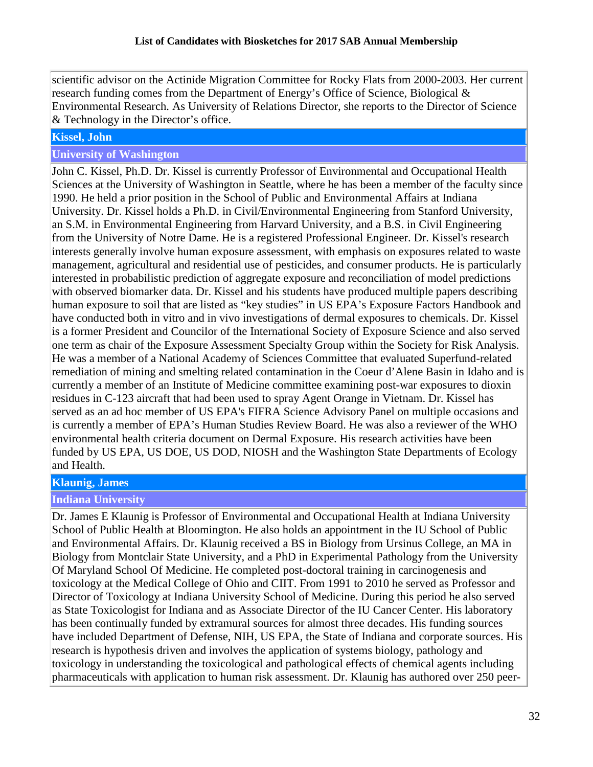scientific advisor on the Actinide Migration Committee for Rocky Flats from 2000-2003. Her current research funding comes from the Department of Energy's Office of Science, Biological & Environmental Research. As University of Relations Director, she reports to the Director of Science & Technology in the Director's office.

### **Kissel, John**

### **University of Washington**

John C. Kissel, Ph.D. Dr. Kissel is currently Professor of Environmental and Occupational Health Sciences at the University of Washington in Seattle, where he has been a member of the faculty since 1990. He held a prior position in the School of Public and Environmental Affairs at Indiana University. Dr. Kissel holds a Ph.D. in Civil/Environmental Engineering from Stanford University, an S.M. in Environmental Engineering from Harvard University, and a B.S. in Civil Engineering from the University of Notre Dame. He is a registered Professional Engineer. Dr. Kissel's research interests generally involve human exposure assessment, with emphasis on exposures related to waste management, agricultural and residential use of pesticides, and consumer products. He is particularly interested in probabilistic prediction of aggregate exposure and reconciliation of model predictions with observed biomarker data. Dr. Kissel and his students have produced multiple papers describing human exposure to soil that are listed as "key studies" in US EPA's Exposure Factors Handbook and have conducted both in vitro and in vivo investigations of dermal exposures to chemicals. Dr. Kissel is a former President and Councilor of the International Society of Exposure Science and also served one term as chair of the Exposure Assessment Specialty Group within the Society for Risk Analysis. He was a member of a National Academy of Sciences Committee that evaluated Superfund-related remediation of mining and smelting related contamination in the Coeur d'Alene Basin in Idaho and is currently a member of an Institute of Medicine committee examining post-war exposures to dioxin residues in C-123 aircraft that had been used to spray Agent Orange in Vietnam. Dr. Kissel has served as an ad hoc member of US EPA's FIFRA Science Advisory Panel on multiple occasions and is currently a member of EPA's Human Studies Review Board. He was also a reviewer of the WHO environmental health criteria document on Dermal Exposure. His research activities have been funded by US EPA, US DOE, US DOD, NIOSH and the Washington State Departments of Ecology and Health.

### **Klaunig, James**

# **Indiana University**

Dr. James E Klaunig is Professor of Environmental and Occupational Health at Indiana University School of Public Health at Bloomington. He also holds an appointment in the IU School of Public and Environmental Affairs. Dr. Klaunig received a BS in Biology from Ursinus College, an MA in Biology from Montclair State University, and a PhD in Experimental Pathology from the University Of Maryland School Of Medicine. He completed post-doctoral training in carcinogenesis and toxicology at the Medical College of Ohio and CIIT. From 1991 to 2010 he served as Professor and Director of Toxicology at Indiana University School of Medicine. During this period he also served as State Toxicologist for Indiana and as Associate Director of the IU Cancer Center. His laboratory has been continually funded by extramural sources for almost three decades. His funding sources have included Department of Defense, NIH, US EPA, the State of Indiana and corporate sources. His research is hypothesis driven and involves the application of systems biology, pathology and toxicology in understanding the toxicological and pathological effects of chemical agents including pharmaceuticals with application to human risk assessment. Dr. Klaunig has authored over 250 peer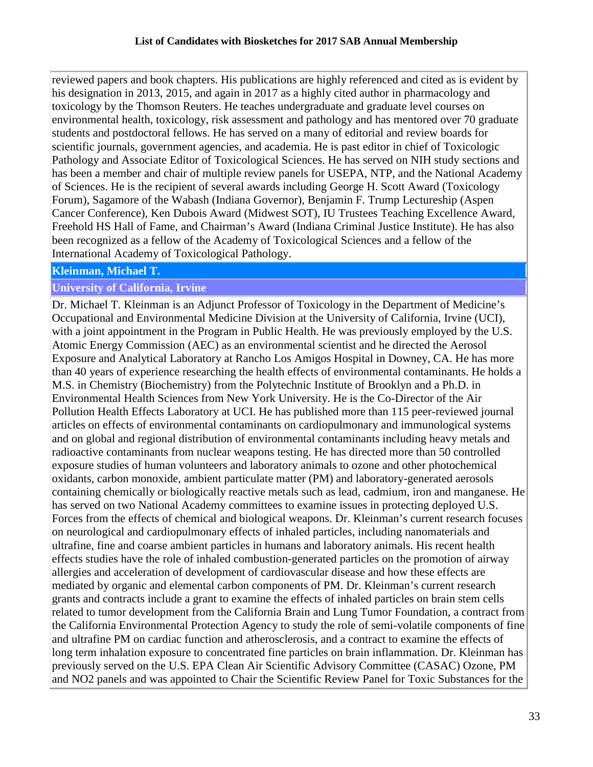reviewed papers and book chapters. His publications are highly referenced and cited as is evident by his designation in 2013, 2015, and again in 2017 as a highly cited author in pharmacology and toxicology by the Thomson Reuters. He teaches undergraduate and graduate level courses on environmental health, toxicology, risk assessment and pathology and has mentored over 70 graduate students and postdoctoral fellows. He has served on a many of editorial and review boards for scientific journals, government agencies, and academia. He is past editor in chief of Toxicologic Pathology and Associate Editor of Toxicological Sciences. He has served on NIH study sections and has been a member and chair of multiple review panels for USEPA, NTP, and the National Academy of Sciences. He is the recipient of several awards including George H. Scott Award (Toxicology Forum), Sagamore of the Wabash (Indiana Governor), Benjamin F. Trump Lectureship (Aspen Cancer Conference), Ken Dubois Award (Midwest SOT), IU Trustees Teaching Excellence Award, Freehold HS Hall of Fame, and Chairman's Award (Indiana Criminal Justice Institute). He has also been recognized as a fellow of the Academy of Toxicological Sciences and a fellow of the International Academy of Toxicological Pathology.

# **Kleinman, Michael T.**

### **University of California, Irvine**

Dr. Michael T. Kleinman is an Adjunct Professor of Toxicology in the Department of Medicine's Occupational and Environmental Medicine Division at the University of California, Irvine (UCI), with a joint appointment in the Program in Public Health. He was previously employed by the U.S. Atomic Energy Commission (AEC) as an environmental scientist and he directed the Aerosol Exposure and Analytical Laboratory at Rancho Los Amigos Hospital in Downey, CA. He has more than 40 years of experience researching the health effects of environmental contaminants. He holds a M.S. in Chemistry (Biochemistry) from the Polytechnic Institute of Brooklyn and a Ph.D. in Environmental Health Sciences from New York University. He is the Co-Director of the Air Pollution Health Effects Laboratory at UCI. He has published more than 115 peer-reviewed journal articles on effects of environmental contaminants on cardiopulmonary and immunological systems and on global and regional distribution of environmental contaminants including heavy metals and radioactive contaminants from nuclear weapons testing. He has directed more than 50 controlled exposure studies of human volunteers and laboratory animals to ozone and other photochemical oxidants, carbon monoxide, ambient particulate matter (PM) and laboratory-generated aerosols containing chemically or biologically reactive metals such as lead, cadmium, iron and manganese. He has served on two National Academy committees to examine issues in protecting deployed U.S. Forces from the effects of chemical and biological weapons. Dr. Kleinman's current research focuses on neurological and cardiopulmonary effects of inhaled particles, including nanomaterials and ultrafine, fine and coarse ambient particles in humans and laboratory animals. His recent health effects studies have the role of inhaled combustion-generated particles on the promotion of airway allergies and acceleration of development of cardiovascular disease and how these effects are mediated by organic and elemental carbon components of PM. Dr. Kleinman's current research grants and contracts include a grant to examine the effects of inhaled particles on brain stem cells related to tumor development from the California Brain and Lung Tumor Foundation, a contract from the California Environmental Protection Agency to study the role of semi-volatile components of fine and ultrafine PM on cardiac function and atherosclerosis, and a contract to examine the effects of long term inhalation exposure to concentrated fine particles on brain inflammation. Dr. Kleinman has previously served on the U.S. EPA Clean Air Scientific Advisory Committee (CASAC) Ozone, PM and NO2 panels and was appointed to Chair the Scientific Review Panel for Toxic Substances for the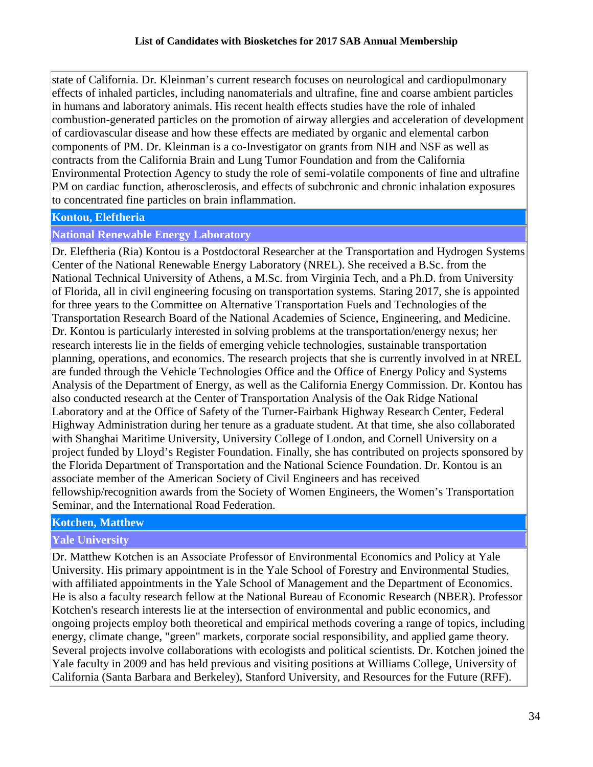state of California. Dr. Kleinman's current research focuses on neurological and cardiopulmonary effects of inhaled particles, including nanomaterials and ultrafine, fine and coarse ambient particles in humans and laboratory animals. His recent health effects studies have the role of inhaled combustion-generated particles on the promotion of airway allergies and acceleration of development of cardiovascular disease and how these effects are mediated by organic and elemental carbon components of PM. Dr. Kleinman is a co-Investigator on grants from NIH and NSF as well as contracts from the California Brain and Lung Tumor Foundation and from the California Environmental Protection Agency to study the role of semi-volatile components of fine and ultrafine PM on cardiac function, atherosclerosis, and effects of subchronic and chronic inhalation exposures to concentrated fine particles on brain inflammation.

### **Kontou, Eleftheria**

### **National Renewable Energy Laboratory**

Dr. Eleftheria (Ria) Kontou is a Postdoctoral Researcher at the Transportation and Hydrogen Systems Center of the National Renewable Energy Laboratory (NREL). She received a B.Sc. from the National Technical University of Athens, a M.Sc. from Virginia Tech, and a Ph.D. from University of Florida, all in civil engineering focusing on transportation systems. Staring 2017, she is appointed for three years to the Committee on Alternative Transportation Fuels and Technologies of the Transportation Research Board of the National Academies of Science, Engineering, and Medicine. Dr. Kontou is particularly interested in solving problems at the transportation/energy nexus; her research interests lie in the fields of emerging vehicle technologies, sustainable transportation planning, operations, and economics. The research projects that she is currently involved in at NREL are funded through the Vehicle Technologies Office and the Office of Energy Policy and Systems Analysis of the Department of Energy, as well as the California Energy Commission. Dr. Kontou has also conducted research at the Center of Transportation Analysis of the Oak Ridge National Laboratory and at the Office of Safety of the Turner-Fairbank Highway Research Center, Federal Highway Administration during her tenure as a graduate student. At that time, she also collaborated with Shanghai Maritime University, University College of London, and Cornell University on a project funded by Lloyd's Register Foundation. Finally, she has contributed on projects sponsored by the Florida Department of Transportation and the National Science Foundation. Dr. Kontou is an associate member of the American Society of Civil Engineers and has received fellowship/recognition awards from the Society of Women Engineers, the Women's Transportation Seminar, and the International Road Federation.

### **Kotchen, Matthew**

# **Yale University**

Dr. Matthew Kotchen is an Associate Professor of Environmental Economics and Policy at Yale University. His primary appointment is in the Yale School of Forestry and Environmental Studies, with affiliated appointments in the Yale School of Management and the Department of Economics. He is also a faculty research fellow at the National Bureau of Economic Research (NBER). Professor Kotchen's research interests lie at the intersection of environmental and public economics, and ongoing projects employ both theoretical and empirical methods covering a range of topics, including energy, climate change, "green" markets, corporate social responsibility, and applied game theory. Several projects involve collaborations with ecologists and political scientists. Dr. Kotchen joined the Yale faculty in 2009 and has held previous and visiting positions at Williams College, University of California (Santa Barbara and Berkeley), Stanford University, and Resources for the Future (RFF).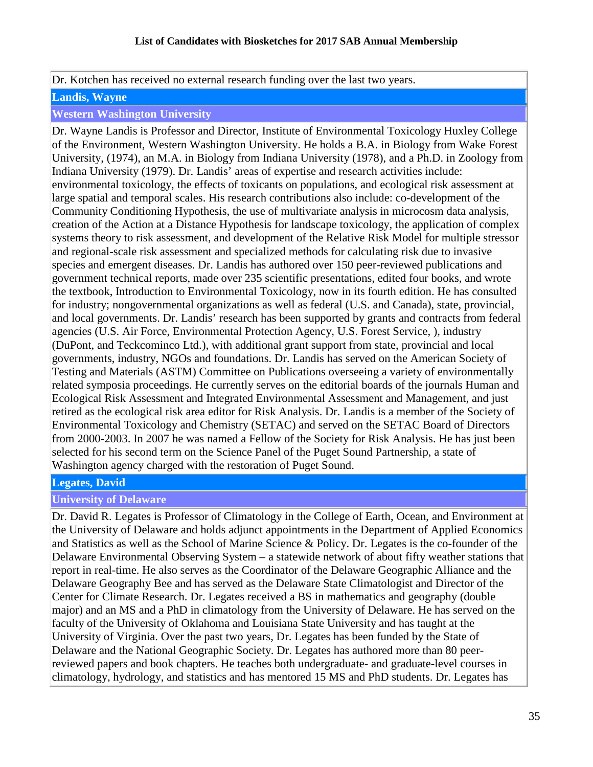Dr. Kotchen has received no external research funding over the last two years.

### **Landis, Wayne**

# **Western Washington University**

Dr. Wayne Landis is Professor and Director, Institute of Environmental Toxicology Huxley College of the Environment, Western Washington University. He holds a B.A. in Biology from Wake Forest University, (1974), an M.A. in Biology from Indiana University (1978), and a Ph.D. in Zoology from Indiana University (1979). Dr. Landis' areas of expertise and research activities include: environmental toxicology, the effects of toxicants on populations, and ecological risk assessment at large spatial and temporal scales. His research contributions also include: co-development of the Community Conditioning Hypothesis, the use of multivariate analysis in microcosm data analysis, creation of the Action at a Distance Hypothesis for landscape toxicology, the application of complex systems theory to risk assessment, and development of the Relative Risk Model for multiple stressor and regional-scale risk assessment and specialized methods for calculating risk due to invasive species and emergent diseases. Dr. Landis has authored over 150 peer-reviewed publications and government technical reports, made over 235 scientific presentations, edited four books, and wrote the textbook, Introduction to Environmental Toxicology, now in its fourth edition. He has consulted for industry; nongovernmental organizations as well as federal (U.S. and Canada), state, provincial, and local governments. Dr. Landis' research has been supported by grants and contracts from federal agencies (U.S. Air Force, Environmental Protection Agency, U.S. Forest Service, ), industry (DuPont, and Teckcominco Ltd.), with additional grant support from state, provincial and local governments, industry, NGOs and foundations. Dr. Landis has served on the American Society of Testing and Materials (ASTM) Committee on Publications overseeing a variety of environmentally related symposia proceedings. He currently serves on the editorial boards of the journals Human and Ecological Risk Assessment and Integrated Environmental Assessment and Management, and just retired as the ecological risk area editor for Risk Analysis. Dr. Landis is a member of the Society of Environmental Toxicology and Chemistry (SETAC) and served on the SETAC Board of Directors from 2000-2003. In 2007 he was named a Fellow of the Society for Risk Analysis. He has just been selected for his second term on the Science Panel of the Puget Sound Partnership, a state of Washington agency charged with the restoration of Puget Sound.

# **Legates, David**

# **University of Delaware**

Dr. David R. Legates is Professor of Climatology in the College of Earth, Ocean, and Environment at the University of Delaware and holds adjunct appointments in the Department of Applied Economics and Statistics as well as the School of Marine Science & Policy. Dr. Legates is the co-founder of the Delaware Environmental Observing System – a statewide network of about fifty weather stations that report in real-time. He also serves as the Coordinator of the Delaware Geographic Alliance and the Delaware Geography Bee and has served as the Delaware State Climatologist and Director of the Center for Climate Research. Dr. Legates received a BS in mathematics and geography (double major) and an MS and a PhD in climatology from the University of Delaware. He has served on the faculty of the University of Oklahoma and Louisiana State University and has taught at the University of Virginia. Over the past two years, Dr. Legates has been funded by the State of Delaware and the National Geographic Society. Dr. Legates has authored more than 80 peerreviewed papers and book chapters. He teaches both undergraduate- and graduate-level courses in climatology, hydrology, and statistics and has mentored 15 MS and PhD students. Dr. Legates has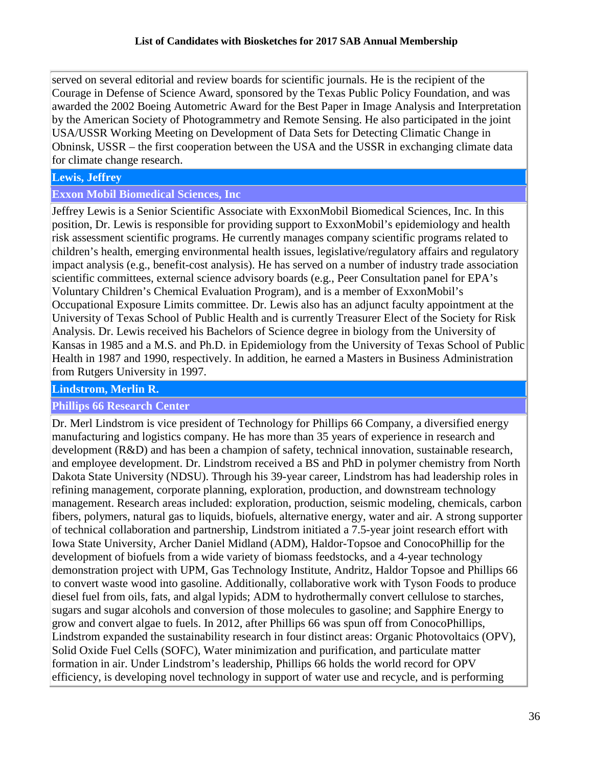served on several editorial and review boards for scientific journals. He is the recipient of the Courage in Defense of Science Award, sponsored by the Texas Public Policy Foundation, and was awarded the 2002 Boeing Autometric Award for the Best Paper in Image Analysis and Interpretation by the American Society of Photogrammetry and Remote Sensing. He also participated in the joint USA/USSR Working Meeting on Development of Data Sets for Detecting Climatic Change in Obninsk, USSR – the first cooperation between the USA and the USSR in exchanging climate data for climate change research.

# **Lewis, Jeffrey**

# **Exxon Mobil Biomedical Sciences, Inc**

Jeffrey Lewis is a Senior Scientific Associate with ExxonMobil Biomedical Sciences, Inc. In this position, Dr. Lewis is responsible for providing support to ExxonMobil's epidemiology and health risk assessment scientific programs. He currently manages company scientific programs related to children's health, emerging environmental health issues, legislative/regulatory affairs and regulatory impact analysis (e.g., benefit-cost analysis). He has served on a number of industry trade association scientific committees, external science advisory boards (e.g., Peer Consultation panel for EPA's Voluntary Children's Chemical Evaluation Program), and is a member of ExxonMobil's Occupational Exposure Limits committee. Dr. Lewis also has an adjunct faculty appointment at the University of Texas School of Public Health and is currently Treasurer Elect of the Society for Risk Analysis. Dr. Lewis received his Bachelors of Science degree in biology from the University of Kansas in 1985 and a M.S. and Ph.D. in Epidemiology from the University of Texas School of Public Health in 1987 and 1990, respectively. In addition, he earned a Masters in Business Administration from Rutgers University in 1997.

# **Lindstrom, Merlin R.**

# **Phillips 66 Research Center**

Dr. Merl Lindstrom is vice president of Technology for Phillips 66 Company, a diversified energy manufacturing and logistics company. He has more than 35 years of experience in research and development (R&D) and has been a champion of safety, technical innovation, sustainable research, and employee development. Dr. Lindstrom received a BS and PhD in polymer chemistry from North Dakota State University (NDSU). Through his 39-year career, Lindstrom has had leadership roles in refining management, corporate planning, exploration, production, and downstream technology management. Research areas included: exploration, production, seismic modeling, chemicals, carbon fibers, polymers, natural gas to liquids, biofuels, alternative energy, water and air. A strong supporter of technical collaboration and partnership, Lindstrom initiated a 7.5-year joint research effort with Iowa State University, Archer Daniel Midland (ADM), Haldor-Topsoe and ConocoPhillip for the development of biofuels from a wide variety of biomass feedstocks, and a 4-year technology demonstration project with UPM, Gas Technology Institute, Andritz, Haldor Topsoe and Phillips 66 to convert waste wood into gasoline. Additionally, collaborative work with Tyson Foods to produce diesel fuel from oils, fats, and algal lypids; ADM to hydrothermally convert cellulose to starches, sugars and sugar alcohols and conversion of those molecules to gasoline; and Sapphire Energy to grow and convert algae to fuels. In 2012, after Phillips 66 was spun off from ConocoPhillips, Lindstrom expanded the sustainability research in four distinct areas: Organic Photovoltaics (OPV), Solid Oxide Fuel Cells (SOFC), Water minimization and purification, and particulate matter formation in air. Under Lindstrom's leadership, Phillips 66 holds the world record for OPV efficiency, is developing novel technology in support of water use and recycle, and is performing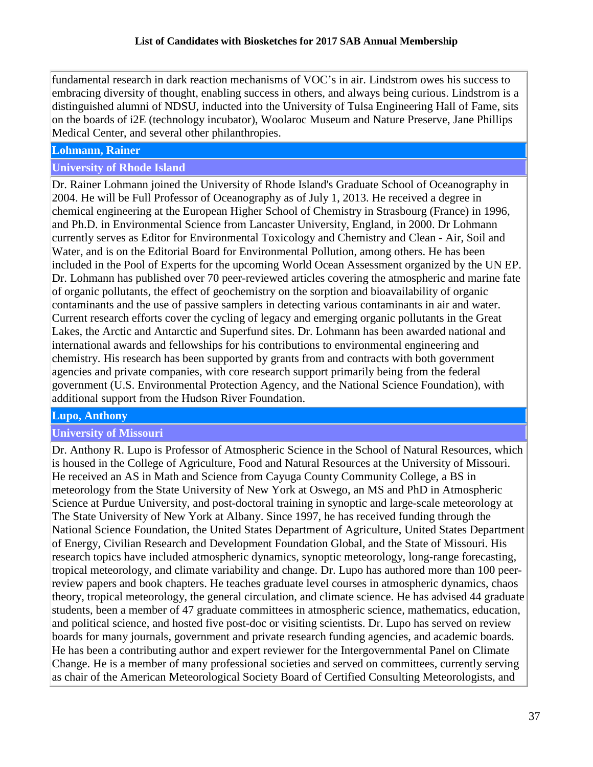fundamental research in dark reaction mechanisms of VOC's in air. Lindstrom owes his success to embracing diversity of thought, enabling success in others, and always being curious. Lindstrom is a distinguished alumni of NDSU, inducted into the University of Tulsa Engineering Hall of Fame, sits on the boards of i2E (technology incubator), Woolaroc Museum and Nature Preserve, Jane Phillips Medical Center, and several other philanthropies.

# **Lohmann, Rainer**

### **University of Rhode Island**

Dr. Rainer Lohmann joined the University of Rhode Island's Graduate School of Oceanography in 2004. He will be Full Professor of Oceanography as of July 1, 2013. He received a degree in chemical engineering at the European Higher School of Chemistry in Strasbourg (France) in 1996, and Ph.D. in Environmental Science from Lancaster University, England, in 2000. Dr Lohmann currently serves as Editor for Environmental Toxicology and Chemistry and Clean - Air, Soil and Water, and is on the Editorial Board for Environmental Pollution, among others. He has been included in the Pool of Experts for the upcoming World Ocean Assessment organized by the UN EP. Dr. Lohmann has published over 70 peer-reviewed articles covering the atmospheric and marine fate of organic pollutants, the effect of geochemistry on the sorption and bioavailability of organic contaminants and the use of passive samplers in detecting various contaminants in air and water. Current research efforts cover the cycling of legacy and emerging organic pollutants in the Great Lakes, the Arctic and Antarctic and Superfund sites. Dr. Lohmann has been awarded national and international awards and fellowships for his contributions to environmental engineering and chemistry. His research has been supported by grants from and contracts with both government agencies and private companies, with core research support primarily being from the federal government (U.S. Environmental Protection Agency, and the National Science Foundation), with additional support from the Hudson River Foundation.

# **Lupo, Anthony**

# **University of Missouri**

Dr. Anthony R. Lupo is Professor of Atmospheric Science in the School of Natural Resources, which is housed in the College of Agriculture, Food and Natural Resources at the University of Missouri. He received an AS in Math and Science from Cayuga County Community College, a BS in meteorology from the State University of New York at Oswego, an MS and PhD in Atmospheric Science at Purdue University, and post-doctoral training in synoptic and large-scale meteorology at The State University of New York at Albany. Since 1997, he has received funding through the National Science Foundation, the United States Department of Agriculture, United States Department of Energy, Civilian Research and Development Foundation Global, and the State of Missouri. His research topics have included atmospheric dynamics, synoptic meteorology, long-range forecasting, tropical meteorology, and climate variability and change. Dr. Lupo has authored more than 100 peerreview papers and book chapters. He teaches graduate level courses in atmospheric dynamics, chaos theory, tropical meteorology, the general circulation, and climate science. He has advised 44 graduate students, been a member of 47 graduate committees in atmospheric science, mathematics, education, and political science, and hosted five post-doc or visiting scientists. Dr. Lupo has served on review boards for many journals, government and private research funding agencies, and academic boards. He has been a contributing author and expert reviewer for the Intergovernmental Panel on Climate Change. He is a member of many professional societies and served on committees, currently serving as chair of the American Meteorological Society Board of Certified Consulting Meteorologists, and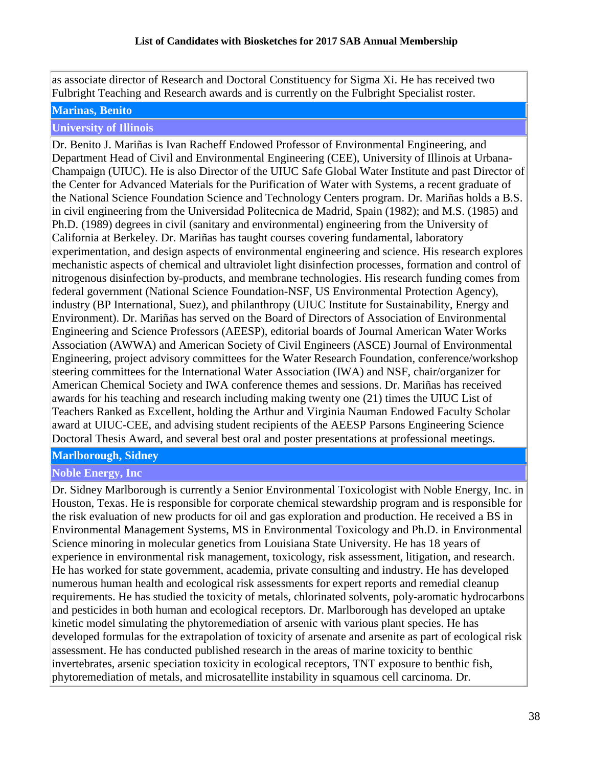as associate director of Research and Doctoral Constituency for Sigma Xi. He has received two Fulbright Teaching and Research awards and is currently on the Fulbright Specialist roster.

### **Marinas, Benito**

### **University of Illinois**

Dr. Benito J. Mariñas is Ivan Racheff Endowed Professor of Environmental Engineering, and Department Head of Civil and Environmental Engineering (CEE), University of Illinois at Urbana-Champaign (UIUC). He is also Director of the UIUC Safe Global Water Institute and past Director of the Center for Advanced Materials for the Purification of Water with Systems, a recent graduate of the National Science Foundation Science and Technology Centers program. Dr. Mariñas holds a B.S. in civil engineering from the Universidad Politecnica de Madrid, Spain (1982); and M.S. (1985) and Ph.D. (1989) degrees in civil (sanitary and environmental) engineering from the University of California at Berkeley. Dr. Mariñas has taught courses covering fundamental, laboratory experimentation, and design aspects of environmental engineering and science. His research explores mechanistic aspects of chemical and ultraviolet light disinfection processes, formation and control of nitrogenous disinfection by-products, and membrane technologies. His research funding comes from federal government (National Science Foundation-NSF, US Environmental Protection Agency), industry (BP International, Suez), and philanthropy (UIUC Institute for Sustainability, Energy and Environment). Dr. Mariñas has served on the Board of Directors of Association of Environmental Engineering and Science Professors (AEESP), editorial boards of Journal American Water Works Association (AWWA) and American Society of Civil Engineers (ASCE) Journal of Environmental Engineering, project advisory committees for the Water Research Foundation, conference/workshop steering committees for the International Water Association (IWA) and NSF, chair/organizer for American Chemical Society and IWA conference themes and sessions. Dr. Mariñas has received awards for his teaching and research including making twenty one (21) times the UIUC List of Teachers Ranked as Excellent, holding the Arthur and Virginia Nauman Endowed Faculty Scholar award at UIUC-CEE, and advising student recipients of the AEESP Parsons Engineering Science Doctoral Thesis Award, and several best oral and poster presentations at professional meetings.

### **Marlborough, Sidney**

# **Noble Energy, Inc**

Dr. Sidney Marlborough is currently a Senior Environmental Toxicologist with Noble Energy, Inc. in Houston, Texas. He is responsible for corporate chemical stewardship program and is responsible for the risk evaluation of new products for oil and gas exploration and production. He received a BS in Environmental Management Systems, MS in Environmental Toxicology and Ph.D. in Environmental Science minoring in molecular genetics from Louisiana State University. He has 18 years of experience in environmental risk management, toxicology, risk assessment, litigation, and research. He has worked for state government, academia, private consulting and industry. He has developed numerous human health and ecological risk assessments for expert reports and remedial cleanup requirements. He has studied the toxicity of metals, chlorinated solvents, poly-aromatic hydrocarbons and pesticides in both human and ecological receptors. Dr. Marlborough has developed an uptake kinetic model simulating the phytoremediation of arsenic with various plant species. He has developed formulas for the extrapolation of toxicity of arsenate and arsenite as part of ecological risk assessment. He has conducted published research in the areas of marine toxicity to benthic invertebrates, arsenic speciation toxicity in ecological receptors, TNT exposure to benthic fish, phytoremediation of metals, and microsatellite instability in squamous cell carcinoma. Dr.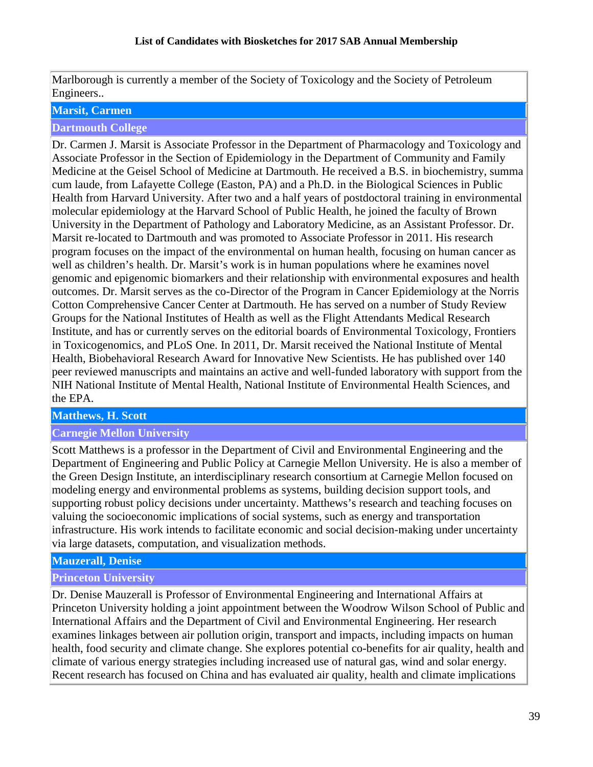Marlborough is currently a member of the Society of Toxicology and the Society of Petroleum Engineers..

# **Marsit, Carmen**

# **Dartmouth College**

Dr. Carmen J. Marsit is Associate Professor in the Department of Pharmacology and Toxicology and Associate Professor in the Section of Epidemiology in the Department of Community and Family Medicine at the Geisel School of Medicine at Dartmouth. He received a B.S. in biochemistry, summa cum laude, from Lafayette College (Easton, PA) and a Ph.D. in the Biological Sciences in Public Health from Harvard University. After two and a half years of postdoctoral training in environmental molecular epidemiology at the Harvard School of Public Health, he joined the faculty of Brown University in the Department of Pathology and Laboratory Medicine, as an Assistant Professor. Dr. Marsit re-located to Dartmouth and was promoted to Associate Professor in 2011. His research program focuses on the impact of the environmental on human health, focusing on human cancer as well as children's health. Dr. Marsit's work is in human populations where he examines novel genomic and epigenomic biomarkers and their relationship with environmental exposures and health outcomes. Dr. Marsit serves as the co-Director of the Program in Cancer Epidemiology at the Norris Cotton Comprehensive Cancer Center at Dartmouth. He has served on a number of Study Review Groups for the National Institutes of Health as well as the Flight Attendants Medical Research Institute, and has or currently serves on the editorial boards of Environmental Toxicology, Frontiers in Toxicogenomics, and PLoS One. In 2011, Dr. Marsit received the National Institute of Mental Health, Biobehavioral Research Award for Innovative New Scientists. He has published over 140 peer reviewed manuscripts and maintains an active and well-funded laboratory with support from the NIH National Institute of Mental Health, National Institute of Environmental Health Sciences, and the EPA.

# **Matthews, H. Scott**

# **Carnegie Mellon University**

Scott Matthews is a professor in the Department of Civil and Environmental Engineering and the Department of Engineering and Public Policy at Carnegie Mellon University. He is also a member of the Green Design Institute, an interdisciplinary research consortium at Carnegie Mellon focused on modeling energy and environmental problems as systems, building decision support tools, and supporting robust policy decisions under uncertainty. Matthews's research and teaching focuses on valuing the socioeconomic implications of social systems, such as energy and transportation infrastructure. His work intends to facilitate economic and social decision-making under uncertainty via large datasets, computation, and visualization methods.

# **Mauzerall, Denise**

# **Princeton University**

Dr. Denise Mauzerall is Professor of Environmental Engineering and International Affairs at Princeton University holding a joint appointment between the Woodrow Wilson School of Public and International Affairs and the Department of Civil and Environmental Engineering. Her research examines linkages between air pollution origin, transport and impacts, including impacts on human health, food security and climate change. She explores potential co-benefits for air quality, health and climate of various energy strategies including increased use of natural gas, wind and solar energy. Recent research has focused on China and has evaluated air quality, health and climate implications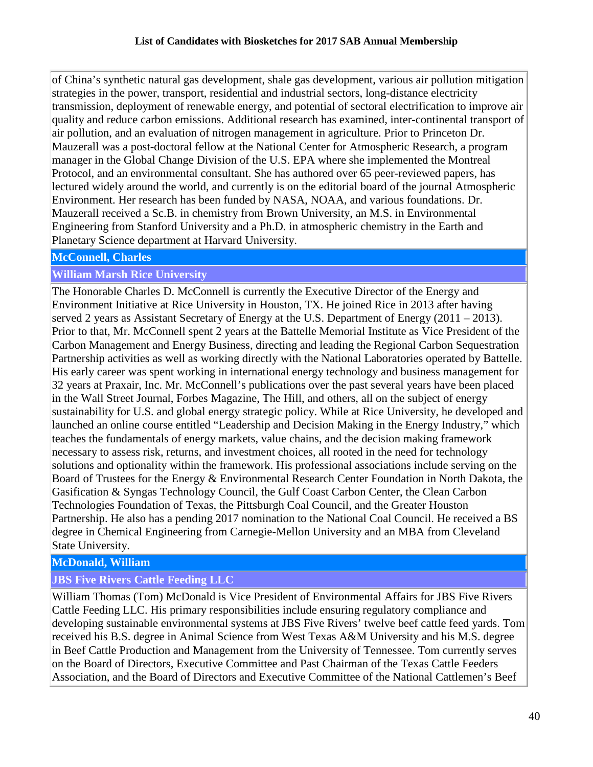of China's synthetic natural gas development, shale gas development, various air pollution mitigation strategies in the power, transport, residential and industrial sectors, long-distance electricity transmission, deployment of renewable energy, and potential of sectoral electrification to improve air quality and reduce carbon emissions. Additional research has examined, inter-continental transport of air pollution, and an evaluation of nitrogen management in agriculture. Prior to Princeton Dr. Mauzerall was a post-doctoral fellow at the National Center for Atmospheric Research, a program manager in the Global Change Division of the U.S. EPA where she implemented the Montreal Protocol, and an environmental consultant. She has authored over 65 peer-reviewed papers, has lectured widely around the world, and currently is on the editorial board of the journal Atmospheric Environment. Her research has been funded by NASA, NOAA, and various foundations. Dr. Mauzerall received a Sc.B. in chemistry from Brown University, an M.S. in Environmental Engineering from Stanford University and a Ph.D. in atmospheric chemistry in the Earth and Planetary Science department at Harvard University.

# **McConnell, Charles**

# **William Marsh Rice University**

The Honorable Charles D. McConnell is currently the Executive Director of the Energy and Environment Initiative at Rice University in Houston, TX. He joined Rice in 2013 after having served 2 years as Assistant Secretary of Energy at the U.S. Department of Energy (2011 – 2013). Prior to that, Mr. McConnell spent 2 years at the Battelle Memorial Institute as Vice President of the Carbon Management and Energy Business, directing and leading the Regional Carbon Sequestration Partnership activities as well as working directly with the National Laboratories operated by Battelle. His early career was spent working in international energy technology and business management for 32 years at Praxair, Inc. Mr. McConnell's publications over the past several years have been placed in the Wall Street Journal, Forbes Magazine, The Hill, and others, all on the subject of energy sustainability for U.S. and global energy strategic policy. While at Rice University, he developed and launched an online course entitled "Leadership and Decision Making in the Energy Industry," which teaches the fundamentals of energy markets, value chains, and the decision making framework necessary to assess risk, returns, and investment choices, all rooted in the need for technology solutions and optionality within the framework. His professional associations include serving on the Board of Trustees for the Energy & Environmental Research Center Foundation in North Dakota, the Gasification & Syngas Technology Council, the Gulf Coast Carbon Center, the Clean Carbon Technologies Foundation of Texas, the Pittsburgh Coal Council, and the Greater Houston Partnership. He also has a pending 2017 nomination to the National Coal Council. He received a BS degree in Chemical Engineering from Carnegie-Mellon University and an MBA from Cleveland State University.

# **McDonald, William**

# **JBS Five Rivers Cattle Feeding LLC**

William Thomas (Tom) McDonald is Vice President of Environmental Affairs for JBS Five Rivers Cattle Feeding LLC. His primary responsibilities include ensuring regulatory compliance and developing sustainable environmental systems at JBS Five Rivers' twelve beef cattle feed yards. Tom received his B.S. degree in Animal Science from West Texas A&M University and his M.S. degree in Beef Cattle Production and Management from the University of Tennessee. Tom currently serves on the Board of Directors, Executive Committee and Past Chairman of the Texas Cattle Feeders Association, and the Board of Directors and Executive Committee of the National Cattlemen's Beef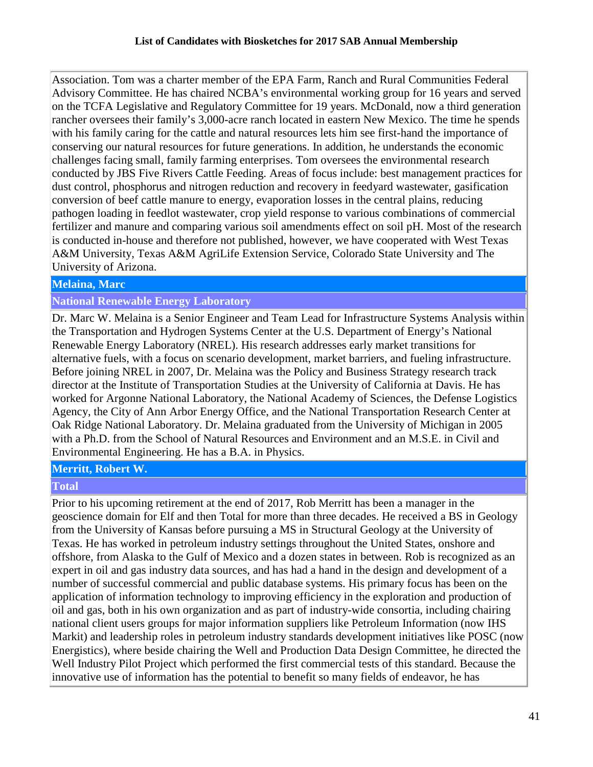Association. Tom was a charter member of the EPA Farm, Ranch and Rural Communities Federal Advisory Committee. He has chaired NCBA's environmental working group for 16 years and served on the TCFA Legislative and Regulatory Committee for 19 years. McDonald, now a third generation rancher oversees their family's 3,000-acre ranch located in eastern New Mexico. The time he spends with his family caring for the cattle and natural resources lets him see first-hand the importance of conserving our natural resources for future generations. In addition, he understands the economic challenges facing small, family farming enterprises. Tom oversees the environmental research conducted by JBS Five Rivers Cattle Feeding. Areas of focus include: best management practices for dust control, phosphorus and nitrogen reduction and recovery in feedyard wastewater, gasification conversion of beef cattle manure to energy, evaporation losses in the central plains, reducing pathogen loading in feedlot wastewater, crop yield response to various combinations of commercial fertilizer and manure and comparing various soil amendments effect on soil pH. Most of the research is conducted in-house and therefore not published, however, we have cooperated with West Texas A&M University, Texas A&M AgriLife Extension Service, Colorado State University and The University of Arizona.

### **Melaina, Marc**

**National Renewable Energy Laboratory**

Dr. Marc W. Melaina is a Senior Engineer and Team Lead for Infrastructure Systems Analysis within the Transportation and Hydrogen Systems Center at the U.S. Department of Energy's National Renewable Energy Laboratory (NREL). His research addresses early market transitions for alternative fuels, with a focus on scenario development, market barriers, and fueling infrastructure. Before joining NREL in 2007, Dr. Melaina was the Policy and Business Strategy research track director at the Institute of Transportation Studies at the University of California at Davis. He has worked for Argonne National Laboratory, the National Academy of Sciences, the Defense Logistics Agency, the City of Ann Arbor Energy Office, and the National Transportation Research Center at Oak Ridge National Laboratory. Dr. Melaina graduated from the University of Michigan in 2005 with a Ph.D. from the School of Natural Resources and Environment and an M.S.E. in Civil and Environmental Engineering. He has a B.A. in Physics.

# **Merritt, Robert W.**

### **Total**

Prior to his upcoming retirement at the end of 2017, Rob Merritt has been a manager in the geoscience domain for Elf and then Total for more than three decades. He received a BS in Geology from the University of Kansas before pursuing a MS in Structural Geology at the University of Texas. He has worked in petroleum industry settings throughout the United States, onshore and offshore, from Alaska to the Gulf of Mexico and a dozen states in between. Rob is recognized as an expert in oil and gas industry data sources, and has had a hand in the design and development of a number of successful commercial and public database systems. His primary focus has been on the application of information technology to improving efficiency in the exploration and production of oil and gas, both in his own organization and as part of industry-wide consortia, including chairing national client users groups for major information suppliers like Petroleum Information (now IHS Markit) and leadership roles in petroleum industry standards development initiatives like POSC (now Energistics), where beside chairing the Well and Production Data Design Committee, he directed the Well Industry Pilot Project which performed the first commercial tests of this standard. Because the innovative use of information has the potential to benefit so many fields of endeavor, he has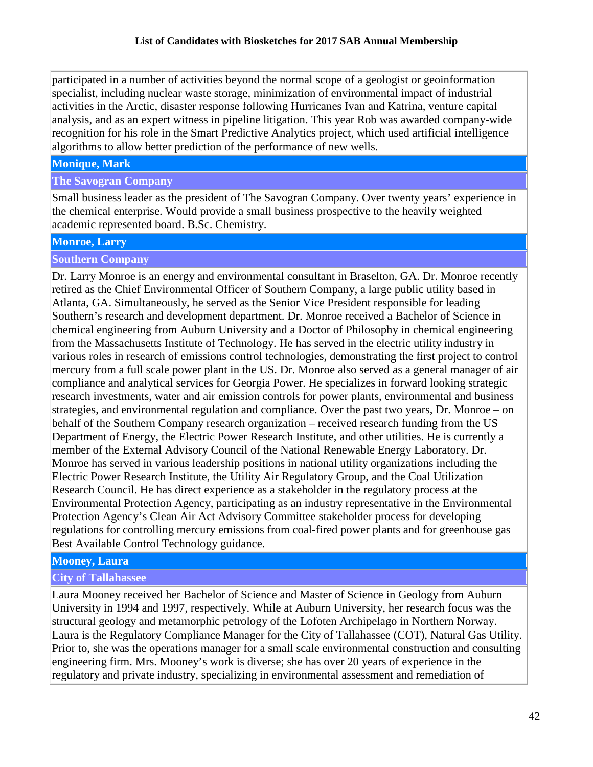participated in a number of activities beyond the normal scope of a geologist or geoinformation specialist, including nuclear waste storage, minimization of environmental impact of industrial activities in the Arctic, disaster response following Hurricanes Ivan and Katrina, venture capital analysis, and as an expert witness in pipeline litigation. This year Rob was awarded company-wide recognition for his role in the Smart Predictive Analytics project, which used artificial intelligence algorithms to allow better prediction of the performance of new wells.

# **Monique, Mark**

### **The Savogran Company**

Small business leader as the president of The Savogran Company. Over twenty years' experience in the chemical enterprise. Would provide a small business prospective to the heavily weighted academic represented board. B.Sc. Chemistry.

### **Monroe, Larry**

### **Southern Company**

Dr. Larry Monroe is an energy and environmental consultant in Braselton, GA. Dr. Monroe recently retired as the Chief Environmental Officer of Southern Company, a large public utility based in Atlanta, GA. Simultaneously, he served as the Senior Vice President responsible for leading Southern's research and development department. Dr. Monroe received a Bachelor of Science in chemical engineering from Auburn University and a Doctor of Philosophy in chemical engineering from the Massachusetts Institute of Technology. He has served in the electric utility industry in various roles in research of emissions control technologies, demonstrating the first project to control mercury from a full scale power plant in the US. Dr. Monroe also served as a general manager of air compliance and analytical services for Georgia Power. He specializes in forward looking strategic research investments, water and air emission controls for power plants, environmental and business strategies, and environmental regulation and compliance. Over the past two years, Dr. Monroe – on behalf of the Southern Company research organization – received research funding from the US Department of Energy, the Electric Power Research Institute, and other utilities. He is currently a member of the External Advisory Council of the National Renewable Energy Laboratory. Dr. Monroe has served in various leadership positions in national utility organizations including the Electric Power Research Institute, the Utility Air Regulatory Group, and the Coal Utilization Research Council. He has direct experience as a stakeholder in the regulatory process at the Environmental Protection Agency, participating as an industry representative in the Environmental Protection Agency's Clean Air Act Advisory Committee stakeholder process for developing regulations for controlling mercury emissions from coal-fired power plants and for greenhouse gas Best Available Control Technology guidance.

### **Mooney, Laura**

# **City of Tallahassee**

Laura Mooney received her Bachelor of Science and Master of Science in Geology from Auburn University in 1994 and 1997, respectively. While at Auburn University, her research focus was the structural geology and metamorphic petrology of the Lofoten Archipelago in Northern Norway. Laura is the Regulatory Compliance Manager for the City of Tallahassee (COT), Natural Gas Utility. Prior to, she was the operations manager for a small scale environmental construction and consulting engineering firm. Mrs. Mooney's work is diverse; she has over 20 years of experience in the regulatory and private industry, specializing in environmental assessment and remediation of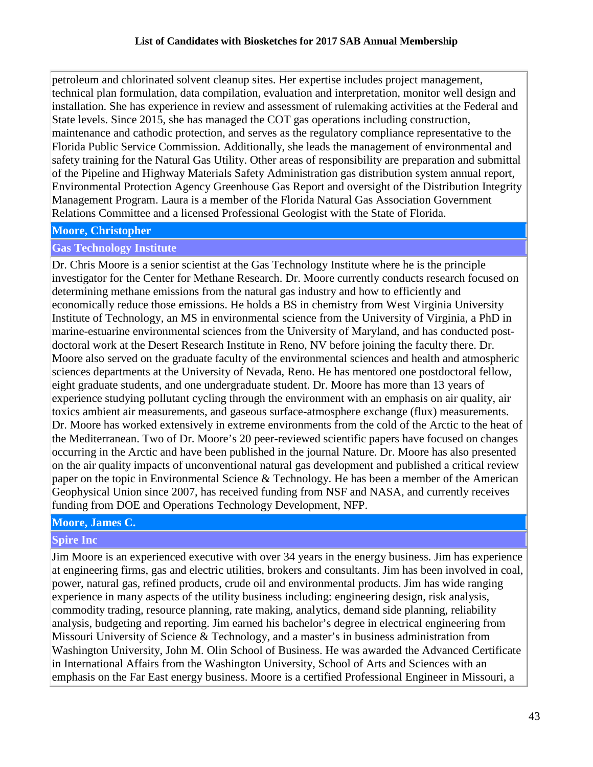petroleum and chlorinated solvent cleanup sites. Her expertise includes project management, technical plan formulation, data compilation, evaluation and interpretation, monitor well design and installation. She has experience in review and assessment of rulemaking activities at the Federal and State levels. Since 2015, she has managed the COT gas operations including construction, maintenance and cathodic protection, and serves as the regulatory compliance representative to the Florida Public Service Commission. Additionally, she leads the management of environmental and safety training for the Natural Gas Utility. Other areas of responsibility are preparation and submittal of the Pipeline and Highway Materials Safety Administration gas distribution system annual report, Environmental Protection Agency Greenhouse Gas Report and oversight of the Distribution Integrity Management Program. Laura is a member of the Florida Natural Gas Association Government Relations Committee and a licensed Professional Geologist with the State of Florida.

### **Moore, Christopher**

# **Gas Technology Institute**

Dr. Chris Moore is a senior scientist at the Gas Technology Institute where he is the principle investigator for the Center for Methane Research. Dr. Moore currently conducts research focused on determining methane emissions from the natural gas industry and how to efficiently and economically reduce those emissions. He holds a BS in chemistry from West Virginia University Institute of Technology, an MS in environmental science from the University of Virginia, a PhD in marine-estuarine environmental sciences from the University of Maryland, and has conducted postdoctoral work at the Desert Research Institute in Reno, NV before joining the faculty there. Dr. Moore also served on the graduate faculty of the environmental sciences and health and atmospheric sciences departments at the University of Nevada, Reno. He has mentored one postdoctoral fellow, eight graduate students, and one undergraduate student. Dr. Moore has more than 13 years of experience studying pollutant cycling through the environment with an emphasis on air quality, air toxics ambient air measurements, and gaseous surface-atmosphere exchange (flux) measurements. Dr. Moore has worked extensively in extreme environments from the cold of the Arctic to the heat of the Mediterranean. Two of Dr. Moore's 20 peer-reviewed scientific papers have focused on changes occurring in the Arctic and have been published in the journal Nature. Dr. Moore has also presented on the air quality impacts of unconventional natural gas development and published a critical review paper on the topic in Environmental Science & Technology. He has been a member of the American Geophysical Union since 2007, has received funding from NSF and NASA, and currently receives funding from DOE and Operations Technology Development, NFP.

# **Moore, James C.**

# **Spire Inc**

Jim Moore is an experienced executive with over 34 years in the energy business. Jim has experience at engineering firms, gas and electric utilities, brokers and consultants. Jim has been involved in coal, power, natural gas, refined products, crude oil and environmental products. Jim has wide ranging experience in many aspects of the utility business including: engineering design, risk analysis, commodity trading, resource planning, rate making, analytics, demand side planning, reliability analysis, budgeting and reporting. Jim earned his bachelor's degree in electrical engineering from Missouri University of Science & Technology, and a master's in business administration from Washington University, John M. Olin School of Business. He was awarded the Advanced Certificate in International Affairs from the Washington University, School of Arts and Sciences with an emphasis on the Far East energy business. Moore is a certified Professional Engineer in Missouri, a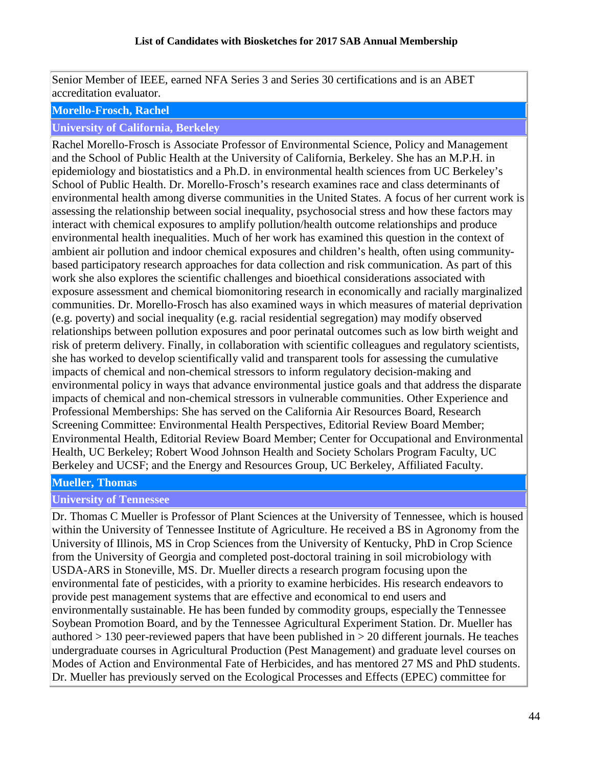Senior Member of IEEE, earned NFA Series 3 and Series 30 certifications and is an ABET accreditation evaluator.

### **Morello-Frosch, Rachel**

#### **University of California, Berkeley**

Rachel Morello-Frosch is Associate Professor of Environmental Science, Policy and Management and the School of Public Health at the University of California, Berkeley. She has an M.P.H. in epidemiology and biostatistics and a Ph.D. in environmental health sciences from UC Berkeley's School of Public Health. Dr. Morello-Frosch's research examines race and class determinants of environmental health among diverse communities in the United States. A focus of her current work is assessing the relationship between social inequality, psychosocial stress and how these factors may interact with chemical exposures to amplify pollution/health outcome relationships and produce environmental health inequalities. Much of her work has examined this question in the context of ambient air pollution and indoor chemical exposures and children's health, often using communitybased participatory research approaches for data collection and risk communication. As part of this work she also explores the scientific challenges and bioethical considerations associated with exposure assessment and chemical biomonitoring research in economically and racially marginalized communities. Dr. Morello-Frosch has also examined ways in which measures of material deprivation (e.g. poverty) and social inequality (e.g. racial residential segregation) may modify observed relationships between pollution exposures and poor perinatal outcomes such as low birth weight and risk of preterm delivery. Finally, in collaboration with scientific colleagues and regulatory scientists, she has worked to develop scientifically valid and transparent tools for assessing the cumulative impacts of chemical and non-chemical stressors to inform regulatory decision-making and environmental policy in ways that advance environmental justice goals and that address the disparate impacts of chemical and non-chemical stressors in vulnerable communities. Other Experience and Professional Memberships: She has served on the California Air Resources Board, Research Screening Committee: Environmental Health Perspectives, Editorial Review Board Member; Environmental Health, Editorial Review Board Member; Center for Occupational and Environmental Health, UC Berkeley; Robert Wood Johnson Health and Society Scholars Program Faculty, UC Berkeley and UCSF; and the Energy and Resources Group, UC Berkeley, Affiliated Faculty.

### **Mueller, Thomas**

### **University of Tennessee**

Dr. Thomas C Mueller is Professor of Plant Sciences at the University of Tennessee, which is housed within the University of Tennessee Institute of Agriculture. He received a BS in Agronomy from the University of Illinois, MS in Crop Sciences from the University of Kentucky, PhD in Crop Science from the University of Georgia and completed post-doctoral training in soil microbiology with USDA-ARS in Stoneville, MS. Dr. Mueller directs a research program focusing upon the environmental fate of pesticides, with a priority to examine herbicides. His research endeavors to provide pest management systems that are effective and economical to end users and environmentally sustainable. He has been funded by commodity groups, especially the Tennessee Soybean Promotion Board, and by the Tennessee Agricultural Experiment Station. Dr. Mueller has authored  $> 130$  peer-reviewed papers that have been published in  $> 20$  different journals. He teaches undergraduate courses in Agricultural Production (Pest Management) and graduate level courses on Modes of Action and Environmental Fate of Herbicides, and has mentored 27 MS and PhD students. Dr. Mueller has previously served on the Ecological Processes and Effects (EPEC) committee for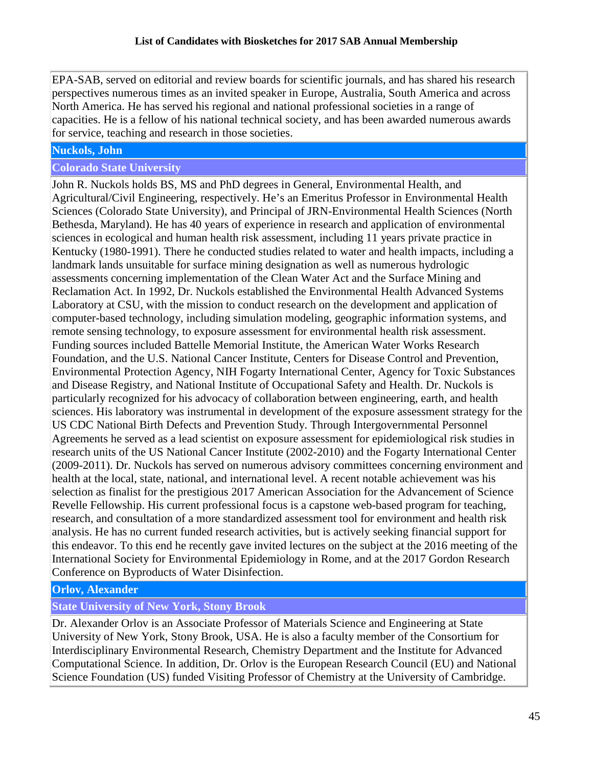EPA-SAB, served on editorial and review boards for scientific journals, and has shared his research perspectives numerous times as an invited speaker in Europe, Australia, South America and across North America. He has served his regional and national professional societies in a range of capacities. He is a fellow of his national technical society, and has been awarded numerous awards for service, teaching and research in those societies.

# **Nuckols, John**

# **Colorado State University**

John R. Nuckols holds BS, MS and PhD degrees in General, Environmental Health, and Agricultural/Civil Engineering, respectively. He's an Emeritus Professor in Environmental Health Sciences (Colorado State University), and Principal of JRN-Environmental Health Sciences (North Bethesda, Maryland). He has 40 years of experience in research and application of environmental sciences in ecological and human health risk assessment, including 11 years private practice in Kentucky (1980-1991). There he conducted studies related to water and health impacts, including a landmark lands unsuitable for surface mining designation as well as numerous hydrologic assessments concerning implementation of the Clean Water Act and the Surface Mining and Reclamation Act. In 1992, Dr. Nuckols established the Environmental Health Advanced Systems Laboratory at CSU, with the mission to conduct research on the development and application of computer-based technology, including simulation modeling, geographic information systems, and remote sensing technology, to exposure assessment for environmental health risk assessment. Funding sources included Battelle Memorial Institute, the American Water Works Research Foundation, and the U.S. National Cancer Institute, Centers for Disease Control and Prevention, Environmental Protection Agency, NIH Fogarty International Center, Agency for Toxic Substances and Disease Registry, and National Institute of Occupational Safety and Health. Dr. Nuckols is particularly recognized for his advocacy of collaboration between engineering, earth, and health sciences. His laboratory was instrumental in development of the exposure assessment strategy for the US CDC National Birth Defects and Prevention Study. Through Intergovernmental Personnel Agreements he served as a lead scientist on exposure assessment for epidemiological risk studies in research units of the US National Cancer Institute (2002-2010) and the Fogarty International Center (2009-2011). Dr. Nuckols has served on numerous advisory committees concerning environment and health at the local, state, national, and international level. A recent notable achievement was his selection as finalist for the prestigious 2017 American Association for the Advancement of Science Revelle Fellowship. His current professional focus is a capstone web-based program for teaching, research, and consultation of a more standardized assessment tool for environment and health risk analysis. He has no current funded research activities, but is actively seeking financial support for this endeavor. To this end he recently gave invited lectures on the subject at the 2016 meeting of the International Society for Environmental Epidemiology in Rome, and at the 2017 Gordon Research Conference on Byproducts of Water Disinfection.

# **Orlov, Alexander**

**State University of New York, Stony Brook**

Dr. Alexander Orlov is an Associate Professor of Materials Science and Engineering at State University of New York, Stony Brook, USA. He is also a faculty member of the Consortium for Interdisciplinary Environmental Research, Chemistry Department and the Institute for Advanced Computational Science. In addition, Dr. Orlov is the European Research Council (EU) and National Science Foundation (US) funded Visiting Professor of Chemistry at the University of Cambridge.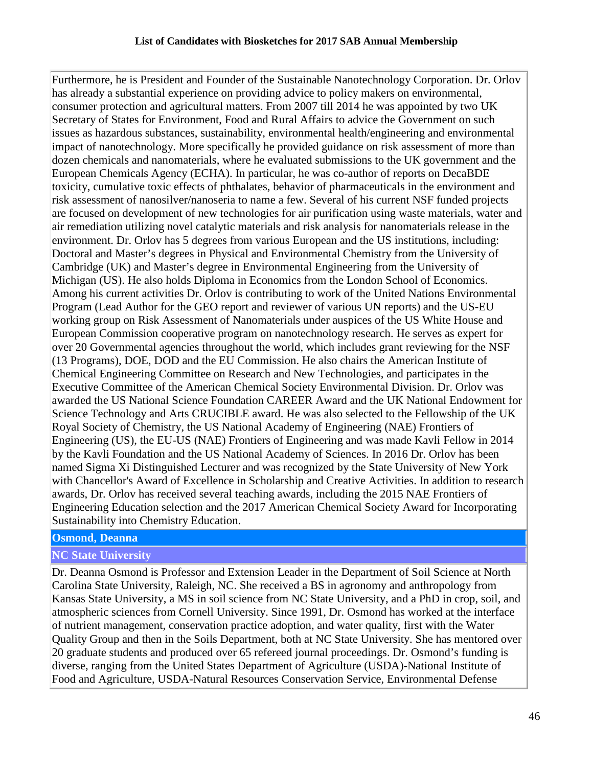Furthermore, he is President and Founder of the Sustainable Nanotechnology Corporation. Dr. Orlov has already a substantial experience on providing advice to policy makers on environmental, consumer protection and agricultural matters. From 2007 till 2014 he was appointed by two UK Secretary of States for Environment, Food and Rural Affairs to advice the Government on such issues as hazardous substances, sustainability, environmental health/engineering and environmental impact of nanotechnology. More specifically he provided guidance on risk assessment of more than dozen chemicals and nanomaterials, where he evaluated submissions to the UK government and the European Chemicals Agency (ECHA). In particular, he was co-author of reports on DecaBDE toxicity, cumulative toxic effects of phthalates, behavior of pharmaceuticals in the environment and risk assessment of nanosilver/nanoseria to name a few. Several of his current NSF funded projects are focused on development of new technologies for air purification using waste materials, water and air remediation utilizing novel catalytic materials and risk analysis for nanomaterials release in the environment. Dr. Orlov has 5 degrees from various European and the US institutions, including: Doctoral and Master's degrees in Physical and Environmental Chemistry from the University of Cambridge (UK) and Master's degree in Environmental Engineering from the University of Michigan (US). He also holds Diploma in Economics from the London School of Economics. Among his current activities Dr. Orlov is contributing to work of the United Nations Environmental Program (Lead Author for the GEO report and reviewer of various UN reports) and the US-EU working group on Risk Assessment of Nanomaterials under auspices of the US White House and European Commission cooperative program on nanotechnology research. He serves as expert for over 20 Governmental agencies throughout the world, which includes grant reviewing for the NSF (13 Programs), DOE, DOD and the EU Commission. He also chairs the American Institute of Chemical Engineering Committee on Research and New Technologies, and participates in the Executive Committee of the American Chemical Society Environmental Division. Dr. Orlov was awarded the US National Science Foundation CAREER Award and the UK National Endowment for Science Technology and Arts CRUCIBLE award. He was also selected to the Fellowship of the UK Royal Society of Chemistry, the US National Academy of Engineering (NAE) Frontiers of Engineering (US), the EU-US (NAE) Frontiers of Engineering and was made Kavli Fellow in 2014 by the Kavli Foundation and the US National Academy of Sciences. In 2016 Dr. Orlov has been named Sigma Xi Distinguished Lecturer and was recognized by the State University of New York with Chancellor's Award of Excellence in Scholarship and Creative Activities. In addition to research awards, Dr. Orlov has received several teaching awards, including the 2015 NAE Frontiers of Engineering Education selection and the 2017 American Chemical Society Award for Incorporating Sustainability into Chemistry Education.

### **Osmond, Deanna**

# **NC State University**

Dr. Deanna Osmond is Professor and Extension Leader in the Department of Soil Science at North Carolina State University, Raleigh, NC. She received a BS in agronomy and anthropology from Kansas State University, a MS in soil science from NC State University, and a PhD in crop, soil, and atmospheric sciences from Cornell University. Since 1991, Dr. Osmond has worked at the interface of nutrient management, conservation practice adoption, and water quality, first with the Water Quality Group and then in the Soils Department, both at NC State University. She has mentored over 20 graduate students and produced over 65 refereed journal proceedings. Dr. Osmond's funding is diverse, ranging from the United States Department of Agriculture (USDA)-National Institute of Food and Agriculture, USDA-Natural Resources Conservation Service, Environmental Defense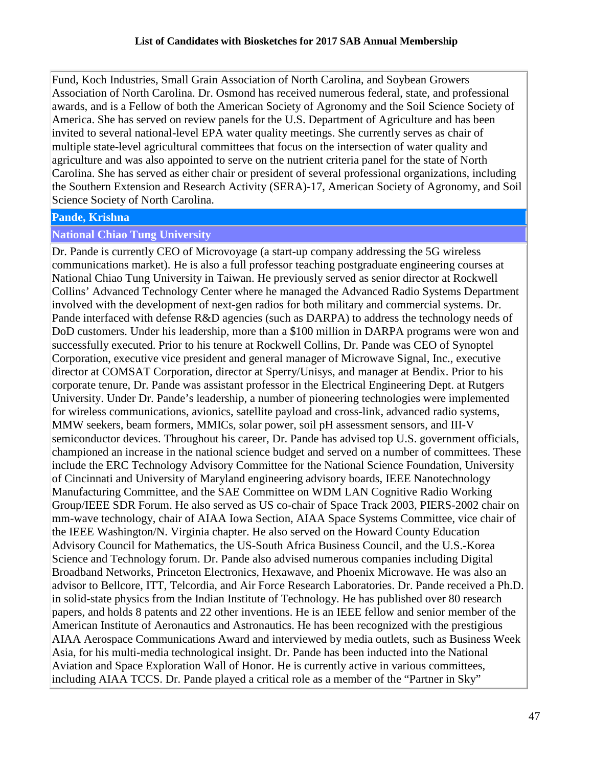Fund, Koch Industries, Small Grain Association of North Carolina, and Soybean Growers Association of North Carolina. Dr. Osmond has received numerous federal, state, and professional awards, and is a Fellow of both the American Society of Agronomy and the Soil Science Society of America. She has served on review panels for the U.S. Department of Agriculture and has been invited to several national-level EPA water quality meetings. She currently serves as chair of multiple state-level agricultural committees that focus on the intersection of water quality and agriculture and was also appointed to serve on the nutrient criteria panel for the state of North Carolina. She has served as either chair or president of several professional organizations, including the Southern Extension and Research Activity (SERA)-17, American Society of Agronomy, and Soil Science Society of North Carolina.

### **Pande, Krishna**

### **National Chiao Tung University**

Dr. Pande is currently CEO of Microvoyage (a start-up company addressing the 5G wireless communications market). He is also a full professor teaching postgraduate engineering courses at National Chiao Tung University in Taiwan. He previously served as senior director at Rockwell Collins' Advanced Technology Center where he managed the Advanced Radio Systems Department involved with the development of next-gen radios for both military and commercial systems. Dr. Pande interfaced with defense R&D agencies (such as DARPA) to address the technology needs of DoD customers. Under his leadership, more than a \$100 million in DARPA programs were won and successfully executed. Prior to his tenure at Rockwell Collins, Dr. Pande was CEO of Synoptel Corporation, executive vice president and general manager of Microwave Signal, Inc., executive director at COMSAT Corporation, director at Sperry/Unisys, and manager at Bendix. Prior to his corporate tenure, Dr. Pande was assistant professor in the Electrical Engineering Dept. at Rutgers University. Under Dr. Pande's leadership, a number of pioneering technologies were implemented for wireless communications, avionics, satellite payload and cross-link, advanced radio systems, MMW seekers, beam formers, MMICs, solar power, soil pH assessment sensors, and III-V semiconductor devices. Throughout his career, Dr. Pande has advised top U.S. government officials, championed an increase in the national science budget and served on a number of committees. These include the ERC Technology Advisory Committee for the National Science Foundation, University of Cincinnati and University of Maryland engineering advisory boards, IEEE Nanotechnology Manufacturing Committee, and the SAE Committee on WDM LAN Cognitive Radio Working Group/IEEE SDR Forum. He also served as US co-chair of Space Track 2003, PIERS-2002 chair on mm-wave technology, chair of AIAA Iowa Section, AIAA Space Systems Committee, vice chair of the IEEE Washington/N. Virginia chapter. He also served on the Howard County Education Advisory Council for Mathematics, the US-South Africa Business Council, and the U.S.-Korea Science and Technology forum. Dr. Pande also advised numerous companies including Digital Broadband Networks, Princeton Electronics, Hexawave, and Phoenix Microwave. He was also an advisor to Bellcore, ITT, Telcordia, and Air Force Research Laboratories. Dr. Pande received a Ph.D. in solid-state physics from the Indian Institute of Technology. He has published over 80 research papers, and holds 8 patents and 22 other inventions. He is an IEEE fellow and senior member of the American Institute of Aeronautics and Astronautics. He has been recognized with the prestigious AIAA Aerospace Communications Award and interviewed by media outlets, such as Business Week Asia, for his multi-media technological insight. Dr. Pande has been inducted into the National Aviation and Space Exploration Wall of Honor. He is currently active in various committees, including AIAA TCCS. Dr. Pande played a critical role as a member of the "Partner in Sky"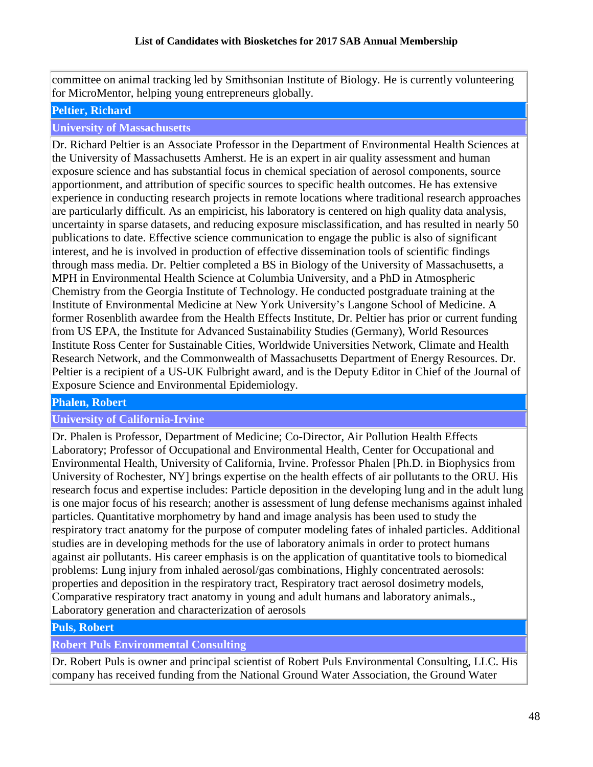committee on animal tracking led by Smithsonian Institute of Biology. He is currently volunteering for MicroMentor, helping young entrepreneurs globally.

# **Peltier, Richard**

### **University of Massachusetts**

Dr. Richard Peltier is an Associate Professor in the Department of Environmental Health Sciences at the University of Massachusetts Amherst. He is an expert in air quality assessment and human exposure science and has substantial focus in chemical speciation of aerosol components, source apportionment, and attribution of specific sources to specific health outcomes. He has extensive experience in conducting research projects in remote locations where traditional research approaches are particularly difficult. As an empiricist, his laboratory is centered on high quality data analysis, uncertainty in sparse datasets, and reducing exposure misclassification, and has resulted in nearly 50 publications to date. Effective science communication to engage the public is also of significant interest, and he is involved in production of effective dissemination tools of scientific findings through mass media. Dr. Peltier completed a BS in Biology of the University of Massachusetts, a MPH in Environmental Health Science at Columbia University, and a PhD in Atmospheric Chemistry from the Georgia Institute of Technology. He conducted postgraduate training at the Institute of Environmental Medicine at New York University's Langone School of Medicine. A former Rosenblith awardee from the Health Effects Institute, Dr. Peltier has prior or current funding from US EPA, the Institute for Advanced Sustainability Studies (Germany), World Resources Institute Ross Center for Sustainable Cities, Worldwide Universities Network, Climate and Health Research Network, and the Commonwealth of Massachusetts Department of Energy Resources. Dr. Peltier is a recipient of a US-UK Fulbright award, and is the Deputy Editor in Chief of the Journal of Exposure Science and Environmental Epidemiology.

# **Phalen, Robert**

# **University of California-Irvine**

Dr. Phalen is Professor, Department of Medicine; Co-Director, Air Pollution Health Effects Laboratory; Professor of Occupational and Environmental Health, Center for Occupational and Environmental Health, University of California, Irvine. Professor Phalen [Ph.D. in Biophysics from University of Rochester, NY] brings expertise on the health effects of air pollutants to the ORU. His research focus and expertise includes: Particle deposition in the developing lung and in the adult lung is one major focus of his research; another is assessment of lung defense mechanisms against inhaled particles. Quantitative morphometry by hand and image analysis has been used to study the respiratory tract anatomy for the purpose of computer modeling fates of inhaled particles. Additional studies are in developing methods for the use of laboratory animals in order to protect humans against air pollutants. His career emphasis is on the application of quantitative tools to biomedical problems: Lung injury from inhaled aerosol/gas combinations, Highly concentrated aerosols: properties and deposition in the respiratory tract, Respiratory tract aerosol dosimetry models, Comparative respiratory tract anatomy in young and adult humans and laboratory animals., Laboratory generation and characterization of aerosols

### **Puls, Robert**

# **Robert Puls Environmental Consulting**

Dr. Robert Puls is owner and principal scientist of Robert Puls Environmental Consulting, LLC. His company has received funding from the National Ground Water Association, the Ground Water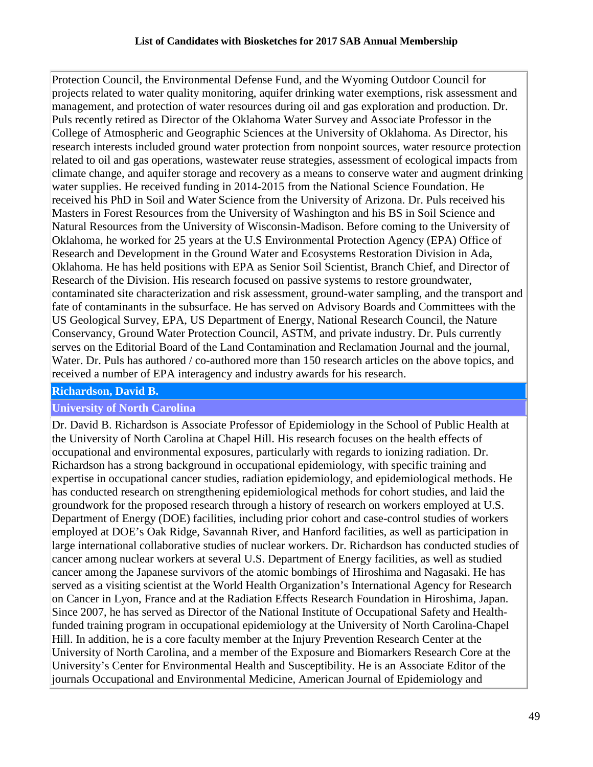Protection Council, the Environmental Defense Fund, and the Wyoming Outdoor Council for projects related to water quality monitoring, aquifer drinking water exemptions, risk assessment and management, and protection of water resources during oil and gas exploration and production. Dr. Puls recently retired as Director of the Oklahoma Water Survey and Associate Professor in the College of Atmospheric and Geographic Sciences at the University of Oklahoma. As Director, his research interests included ground water protection from nonpoint sources, water resource protection related to oil and gas operations, wastewater reuse strategies, assessment of ecological impacts from climate change, and aquifer storage and recovery as a means to conserve water and augment drinking water supplies. He received funding in 2014-2015 from the National Science Foundation. He received his PhD in Soil and Water Science from the University of Arizona. Dr. Puls received his Masters in Forest Resources from the University of Washington and his BS in Soil Science and Natural Resources from the University of Wisconsin-Madison. Before coming to the University of Oklahoma, he worked for 25 years at the U.S Environmental Protection Agency (EPA) Office of Research and Development in the Ground Water and Ecosystems Restoration Division in Ada, Oklahoma. He has held positions with EPA as Senior Soil Scientist, Branch Chief, and Director of Research of the Division. His research focused on passive systems to restore groundwater, contaminated site characterization and risk assessment, ground-water sampling, and the transport and fate of contaminants in the subsurface. He has served on Advisory Boards and Committees with the US Geological Survey, EPA, US Department of Energy, National Research Council, the Nature Conservancy, Ground Water Protection Council, ASTM, and private industry. Dr. Puls currently serves on the Editorial Board of the Land Contamination and Reclamation Journal and the journal, Water. Dr. Puls has authored / co-authored more than 150 research articles on the above topics, and received a number of EPA interagency and industry awards for his research.

### **Richardson, David B.**

# **University of North Carolina**

Dr. David B. Richardson is Associate Professor of Epidemiology in the School of Public Health at the University of North Carolina at Chapel Hill. His research focuses on the health effects of occupational and environmental exposures, particularly with regards to ionizing radiation. Dr. Richardson has a strong background in occupational epidemiology, with specific training and expertise in occupational cancer studies, radiation epidemiology, and epidemiological methods. He has conducted research on strengthening epidemiological methods for cohort studies, and laid the groundwork for the proposed research through a history of research on workers employed at U.S. Department of Energy (DOE) facilities, including prior cohort and case-control studies of workers employed at DOE's Oak Ridge, Savannah River, and Hanford facilities, as well as participation in large international collaborative studies of nuclear workers. Dr. Richardson has conducted studies of cancer among nuclear workers at several U.S. Department of Energy facilities, as well as studied cancer among the Japanese survivors of the atomic bombings of Hiroshima and Nagasaki. He has served as a visiting scientist at the World Health Organization's International Agency for Research on Cancer in Lyon, France and at the Radiation Effects Research Foundation in Hiroshima, Japan. Since 2007, he has served as Director of the National Institute of Occupational Safety and Healthfunded training program in occupational epidemiology at the University of North Carolina-Chapel Hill. In addition, he is a core faculty member at the Injury Prevention Research Center at the University of North Carolina, and a member of the Exposure and Biomarkers Research Core at the University's Center for Environmental Health and Susceptibility. He is an Associate Editor of the journals Occupational and Environmental Medicine, American Journal of Epidemiology and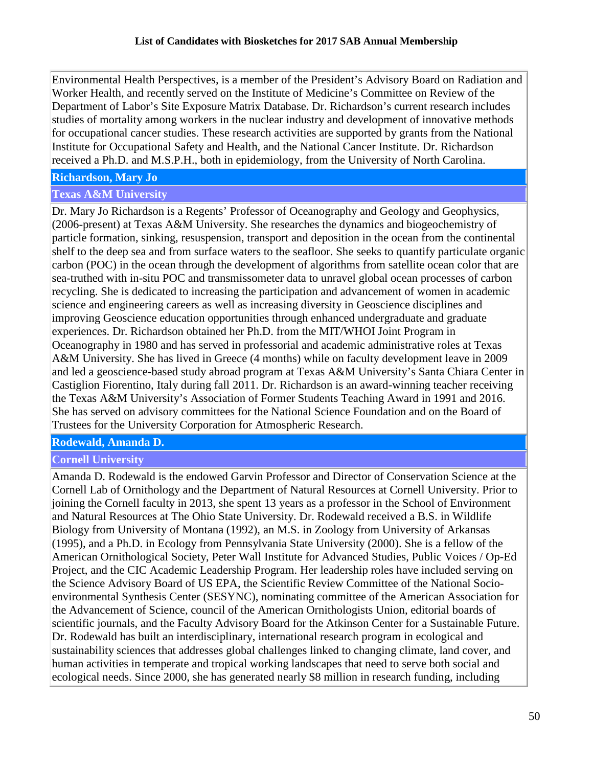Environmental Health Perspectives, is a member of the President's Advisory Board on Radiation and Worker Health, and recently served on the Institute of Medicine's Committee on Review of the Department of Labor's Site Exposure Matrix Database. Dr. Richardson's current research includes studies of mortality among workers in the nuclear industry and development of innovative methods for occupational cancer studies. These research activities are supported by grants from the National Institute for Occupational Safety and Health, and the National Cancer Institute. Dr. Richardson received a Ph.D. and M.S.P.H., both in epidemiology, from the University of North Carolina.

### **Richardson, Mary Jo**

# **Texas A&M University**

Dr. Mary Jo Richardson is a Regents' Professor of Oceanography and Geology and Geophysics, (2006-present) at Texas A&M University. She researches the dynamics and biogeochemistry of particle formation, sinking, resuspension, transport and deposition in the ocean from the continental shelf to the deep sea and from surface waters to the seafloor. She seeks to quantify particulate organic carbon (POC) in the ocean through the development of algorithms from satellite ocean color that are sea-truthed with in-situ POC and transmissometer data to unravel global ocean processes of carbon recycling. She is dedicated to increasing the participation and advancement of women in academic science and engineering careers as well as increasing diversity in Geoscience disciplines and improving Geoscience education opportunities through enhanced undergraduate and graduate experiences. Dr. Richardson obtained her Ph.D. from the MIT/WHOI Joint Program in Oceanography in 1980 and has served in professorial and academic administrative roles at Texas A&M University. She has lived in Greece (4 months) while on faculty development leave in 2009 and led a geoscience-based study abroad program at Texas A&M University's Santa Chiara Center in Castiglion Fiorentino, Italy during fall 2011. Dr. Richardson is an award-winning teacher receiving the Texas A&M University's Association of Former Students Teaching Award in 1991 and 2016. She has served on advisory committees for the National Science Foundation and on the Board of Trustees for the University Corporation for Atmospheric Research.

# **Rodewald, Amanda D.**

# **Cornell University**

Amanda D. Rodewald is the endowed Garvin Professor and Director of Conservation Science at the Cornell Lab of Ornithology and the Department of Natural Resources at Cornell University. Prior to joining the Cornell faculty in 2013, she spent 13 years as a professor in the School of Environment and Natural Resources at The Ohio State University. Dr. Rodewald received a B.S. in Wildlife Biology from University of Montana (1992), an M.S. in Zoology from University of Arkansas (1995), and a Ph.D. in Ecology from Pennsylvania State University (2000). She is a fellow of the American Ornithological Society, Peter Wall Institute for Advanced Studies, Public Voices / Op-Ed Project, and the CIC Academic Leadership Program. Her leadership roles have included serving on the Science Advisory Board of US EPA, the Scientific Review Committee of the National Socioenvironmental Synthesis Center (SESYNC), nominating committee of the American Association for the Advancement of Science, council of the American Ornithologists Union, editorial boards of scientific journals, and the Faculty Advisory Board for the Atkinson Center for a Sustainable Future. Dr. Rodewald has built an interdisciplinary, international research program in ecological and sustainability sciences that addresses global challenges linked to changing climate, land cover, and human activities in temperate and tropical working landscapes that need to serve both social and ecological needs. Since 2000, she has generated nearly \$8 million in research funding, including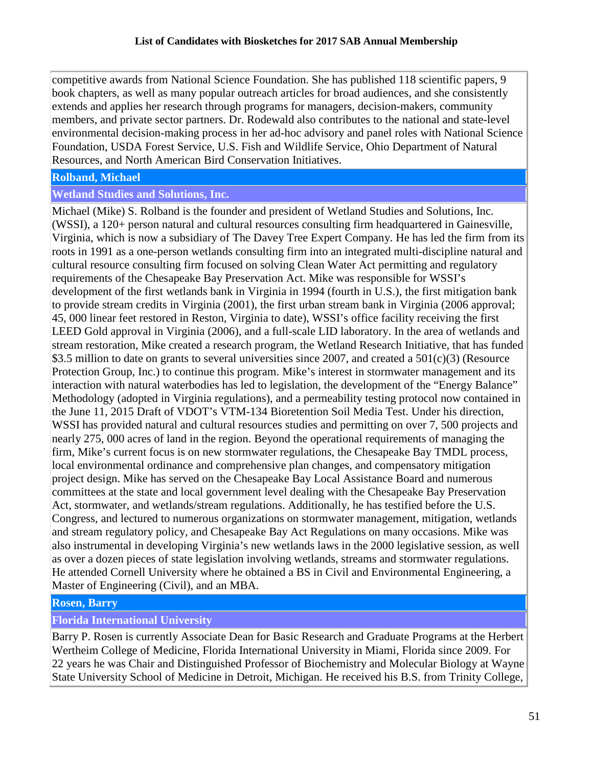competitive awards from National Science Foundation. She has published 118 scientific papers, 9 book chapters, as well as many popular outreach articles for broad audiences, and she consistently extends and applies her research through programs for managers, decision-makers, community members, and private sector partners. Dr. Rodewald also contributes to the national and state-level environmental decision-making process in her ad-hoc advisory and panel roles with National Science Foundation, USDA Forest Service, U.S. Fish and Wildlife Service, Ohio Department of Natural Resources, and North American Bird Conservation Initiatives.

### **Rolband, Michael**

# **Wetland Studies and Solutions, Inc.**

Michael (Mike) S. Rolband is the founder and president of Wetland Studies and Solutions, Inc. (WSSI), a 120+ person natural and cultural resources consulting firm headquartered in Gainesville, Virginia, which is now a subsidiary of The Davey Tree Expert Company. He has led the firm from its roots in 1991 as a one-person wetlands consulting firm into an integrated multi-discipline natural and cultural resource consulting firm focused on solving Clean Water Act permitting and regulatory requirements of the Chesapeake Bay Preservation Act. Mike was responsible for WSSI's development of the first wetlands bank in Virginia in 1994 (fourth in U.S.), the first mitigation bank to provide stream credits in Virginia (2001), the first urban stream bank in Virginia (2006 approval; 45, 000 linear feet restored in Reston, Virginia to date), WSSI's office facility receiving the first LEED Gold approval in Virginia (2006), and a full-scale LID laboratory. In the area of wetlands and stream restoration, Mike created a research program, the Wetland Research Initiative, that has funded \$3.5 million to date on grants to several universities since 2007, and created a 501(c)(3) (Resource Protection Group, Inc.) to continue this program. Mike's interest in stormwater management and its interaction with natural waterbodies has led to legislation, the development of the "Energy Balance" Methodology (adopted in Virginia regulations), and a permeability testing protocol now contained in the June 11, 2015 Draft of VDOT's VTM-134 Bioretention Soil Media Test. Under his direction, WSSI has provided natural and cultural resources studies and permitting on over 7, 500 projects and nearly 275, 000 acres of land in the region. Beyond the operational requirements of managing the firm, Mike's current focus is on new stormwater regulations, the Chesapeake Bay TMDL process, local environmental ordinance and comprehensive plan changes, and compensatory mitigation project design. Mike has served on the Chesapeake Bay Local Assistance Board and numerous committees at the state and local government level dealing with the Chesapeake Bay Preservation Act, stormwater, and wetlands/stream regulations. Additionally, he has testified before the U.S. Congress, and lectured to numerous organizations on stormwater management, mitigation, wetlands and stream regulatory policy, and Chesapeake Bay Act Regulations on many occasions. Mike was also instrumental in developing Virginia's new wetlands laws in the 2000 legislative session, as well as over a dozen pieces of state legislation involving wetlands, streams and stormwater regulations. He attended Cornell University where he obtained a BS in Civil and Environmental Engineering, a Master of Engineering (Civil), and an MBA.

### **Rosen, Barry**

### **Florida International University**

Barry P. Rosen is currently Associate Dean for Basic Research and Graduate Programs at the Herbert Wertheim College of Medicine, Florida International University in Miami, Florida since 2009. For 22 years he was Chair and Distinguished Professor of Biochemistry and Molecular Biology at Wayne State University School of Medicine in Detroit, Michigan. He received his B.S. from Trinity College,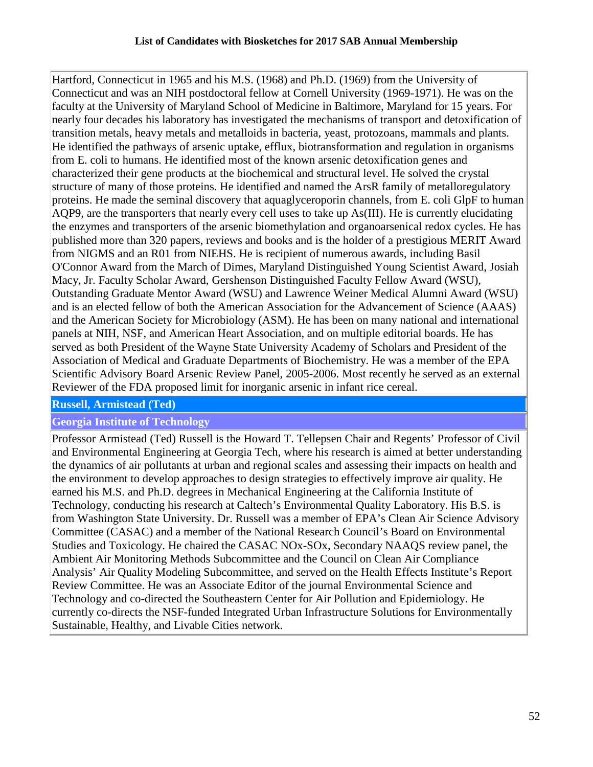Hartford, Connecticut in 1965 and his M.S. (1968) and Ph.D. (1969) from the University of Connecticut and was an NIH postdoctoral fellow at Cornell University (1969-1971). He was on the faculty at the University of Maryland School of Medicine in Baltimore, Maryland for 15 years. For nearly four decades his laboratory has investigated the mechanisms of transport and detoxification of transition metals, heavy metals and metalloids in bacteria, yeast, protozoans, mammals and plants. He identified the pathways of arsenic uptake, efflux, biotransformation and regulation in organisms from E. coli to humans. He identified most of the known arsenic detoxification genes and characterized their gene products at the biochemical and structural level. He solved the crystal structure of many of those proteins. He identified and named the ArsR family of metalloregulatory proteins. He made the seminal discovery that aquaglyceroporin channels, from E. coli GlpF to human AQP9, are the transporters that nearly every cell uses to take up As(III). He is currently elucidating the enzymes and transporters of the arsenic biomethylation and organoarsenical redox cycles. He has published more than 320 papers, reviews and books and is the holder of a prestigious MERIT Award from NIGMS and an R01 from NIEHS. He is recipient of numerous awards, including Basil O'Connor Award from the March of Dimes, Maryland Distinguished Young Scientist Award, Josiah Macy, Jr. Faculty Scholar Award, Gershenson Distinguished Faculty Fellow Award (WSU), Outstanding Graduate Mentor Award (WSU) and Lawrence Weiner Medical Alumni Award (WSU) and is an elected fellow of both the American Association for the Advancement of Science (AAAS) and the American Society for Microbiology (ASM). He has been on many national and international panels at NIH, NSF, and American Heart Association, and on multiple editorial boards. He has served as both President of the Wayne State University Academy of Scholars and President of the Association of Medical and Graduate Departments of Biochemistry. He was a member of the EPA Scientific Advisory Board Arsenic Review Panel, 2005-2006. Most recently he served as an external Reviewer of the FDA proposed limit for inorganic arsenic in infant rice cereal.

**Russell, Armistead (Ted)**

### **Georgia Institute of Technology**

Professor Armistead (Ted) Russell is the Howard T. Tellepsen Chair and Regents' Professor of Civil and Environmental Engineering at Georgia Tech, where his research is aimed at better understanding the dynamics of air pollutants at urban and regional scales and assessing their impacts on health and the environment to develop approaches to design strategies to effectively improve air quality. He earned his M.S. and Ph.D. degrees in Mechanical Engineering at the California Institute of Technology, conducting his research at Caltech's Environmental Quality Laboratory. His B.S. is from Washington State University. Dr. Russell was a member of EPA's Clean Air Science Advisory Committee (CASAC) and a member of the National Research Council's Board on Environmental Studies and Toxicology. He chaired the CASAC NOx-SOx, Secondary NAAQS review panel, the Ambient Air Monitoring Methods Subcommittee and the Council on Clean Air Compliance Analysis' Air Quality Modeling Subcommittee, and served on the Health Effects Institute's Report Review Committee. He was an Associate Editor of the journal Environmental Science and Technology and co-directed the Southeastern Center for Air Pollution and Epidemiology. He currently co-directs the NSF-funded Integrated Urban Infrastructure Solutions for Environmentally Sustainable, Healthy, and Livable Cities network.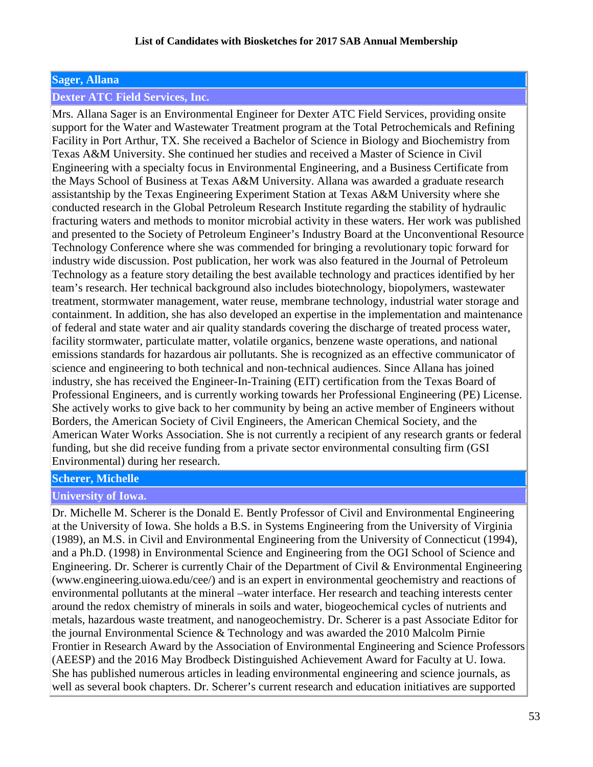# **Sager, Allana**

### **Dexter ATC Field Services, Inc.**

Mrs. Allana Sager is an Environmental Engineer for Dexter ATC Field Services, providing onsite support for the Water and Wastewater Treatment program at the Total Petrochemicals and Refining Facility in Port Arthur, TX. She received a Bachelor of Science in Biology and Biochemistry from Texas A&M University. She continued her studies and received a Master of Science in Civil Engineering with a specialty focus in Environmental Engineering, and a Business Certificate from the Mays School of Business at Texas A&M University. Allana was awarded a graduate research assistantship by the Texas Engineering Experiment Station at Texas A&M University where she conducted research in the Global Petroleum Research Institute regarding the stability of hydraulic fracturing waters and methods to monitor microbial activity in these waters. Her work was published and presented to the Society of Petroleum Engineer's Industry Board at the Unconventional Resource Technology Conference where she was commended for bringing a revolutionary topic forward for industry wide discussion. Post publication, her work was also featured in the Journal of Petroleum Technology as a feature story detailing the best available technology and practices identified by her team's research. Her technical background also includes biotechnology, biopolymers, wastewater treatment, stormwater management, water reuse, membrane technology, industrial water storage and containment. In addition, she has also developed an expertise in the implementation and maintenance of federal and state water and air quality standards covering the discharge of treated process water, facility stormwater, particulate matter, volatile organics, benzene waste operations, and national emissions standards for hazardous air pollutants. She is recognized as an effective communicator of science and engineering to both technical and non-technical audiences. Since Allana has joined industry, she has received the Engineer-In-Training (EIT) certification from the Texas Board of Professional Engineers, and is currently working towards her Professional Engineering (PE) License. She actively works to give back to her community by being an active member of Engineers without Borders, the American Society of Civil Engineers, the American Chemical Society, and the American Water Works Association. She is not currently a recipient of any research grants or federal funding, but she did receive funding from a private sector environmental consulting firm (GSI Environmental) during her research.

# **Scherer, Michelle**

### **University of Iowa.**

Dr. Michelle M. Scherer is the Donald E. Bently Professor of Civil and Environmental Engineering at the University of Iowa. She holds a B.S. in Systems Engineering from the University of Virginia (1989), an M.S. in Civil and Environmental Engineering from the University of Connecticut (1994), and a Ph.D. (1998) in Environmental Science and Engineering from the OGI School of Science and Engineering. Dr. Scherer is currently Chair of the Department of Civil & Environmental Engineering (www.engineering.uiowa.edu/cee/) and is an expert in environmental geochemistry and reactions of environmental pollutants at the mineral –water interface. Her research and teaching interests center around the redox chemistry of minerals in soils and water, biogeochemical cycles of nutrients and metals, hazardous waste treatment, and nanogeochemistry. Dr. Scherer is a past Associate Editor for the journal Environmental Science & Technology and was awarded the 2010 Malcolm Pirnie Frontier in Research Award by the Association of Environmental Engineering and Science Professors (AEESP) and the 2016 May Brodbeck Distinguished Achievement Award for Faculty at U. Iowa. She has published numerous articles in leading environmental engineering and science journals, as well as several book chapters. Dr. Scherer's current research and education initiatives are supported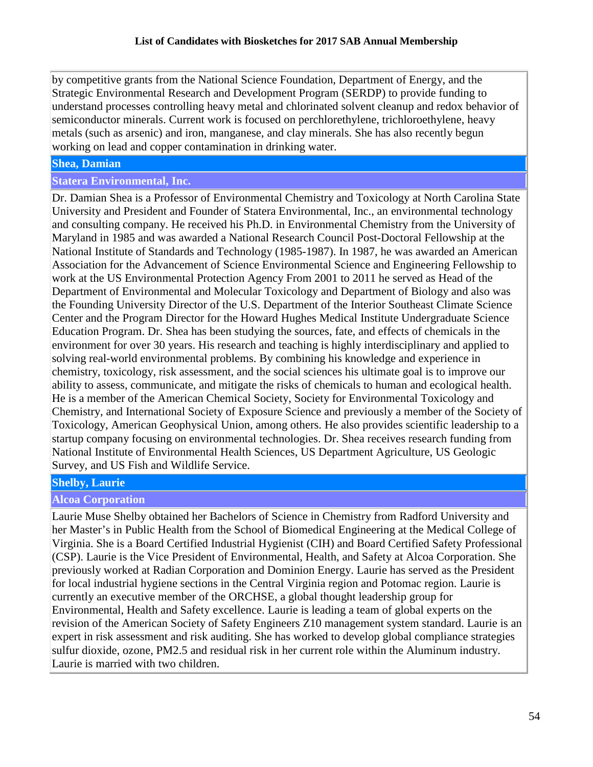by competitive grants from the National Science Foundation, Department of Energy, and the Strategic Environmental Research and Development Program (SERDP) to provide funding to understand processes controlling heavy metal and chlorinated solvent cleanup and redox behavior of semiconductor minerals. Current work is focused on perchlorethylene, trichloroethylene, heavy metals (such as arsenic) and iron, manganese, and clay minerals. She has also recently begun working on lead and copper contamination in drinking water.

### **Shea, Damian**

### **Statera Environmental, Inc.**

Dr. Damian Shea is a Professor of Environmental Chemistry and Toxicology at North Carolina State University and President and Founder of Statera Environmental, Inc., an environmental technology and consulting company. He received his Ph.D. in Environmental Chemistry from the University of Maryland in 1985 and was awarded a National Research Council Post-Doctoral Fellowship at the National Institute of Standards and Technology (1985-1987). In 1987, he was awarded an American Association for the Advancement of Science Environmental Science and Engineering Fellowship to work at the US Environmental Protection Agency From 2001 to 2011 he served as Head of the Department of Environmental and Molecular Toxicology and Department of Biology and also was the Founding University Director of the U.S. Department of the Interior Southeast Climate Science Center and the Program Director for the Howard Hughes Medical Institute Undergraduate Science Education Program. Dr. Shea has been studying the sources, fate, and effects of chemicals in the environment for over 30 years. His research and teaching is highly interdisciplinary and applied to solving real-world environmental problems. By combining his knowledge and experience in chemistry, toxicology, risk assessment, and the social sciences his ultimate goal is to improve our ability to assess, communicate, and mitigate the risks of chemicals to human and ecological health. He is a member of the American Chemical Society, Society for Environmental Toxicology and Chemistry, and International Society of Exposure Science and previously a member of the Society of Toxicology, American Geophysical Union, among others. He also provides scientific leadership to a startup company focusing on environmental technologies. Dr. Shea receives research funding from National Institute of Environmental Health Sciences, US Department Agriculture, US Geologic Survey, and US Fish and Wildlife Service.

# **Shelby, Laurie**

# **Alcoa Corporation**

Laurie Muse Shelby obtained her Bachelors of Science in Chemistry from Radford University and her Master's in Public Health from the School of Biomedical Engineering at the Medical College of Virginia. She is a Board Certified Industrial Hygienist (CIH) and Board Certified Safety Professional (CSP). Laurie is the Vice President of Environmental, Health, and Safety at Alcoa Corporation. She previously worked at Radian Corporation and Dominion Energy. Laurie has served as the President for local industrial hygiene sections in the Central Virginia region and Potomac region. Laurie is currently an executive member of the ORCHSE, a global thought leadership group for Environmental, Health and Safety excellence. Laurie is leading a team of global experts on the revision of the American Society of Safety Engineers Z10 management system standard. Laurie is an expert in risk assessment and risk auditing. She has worked to develop global compliance strategies sulfur dioxide, ozone, PM2.5 and residual risk in her current role within the Aluminum industry. Laurie is married with two children.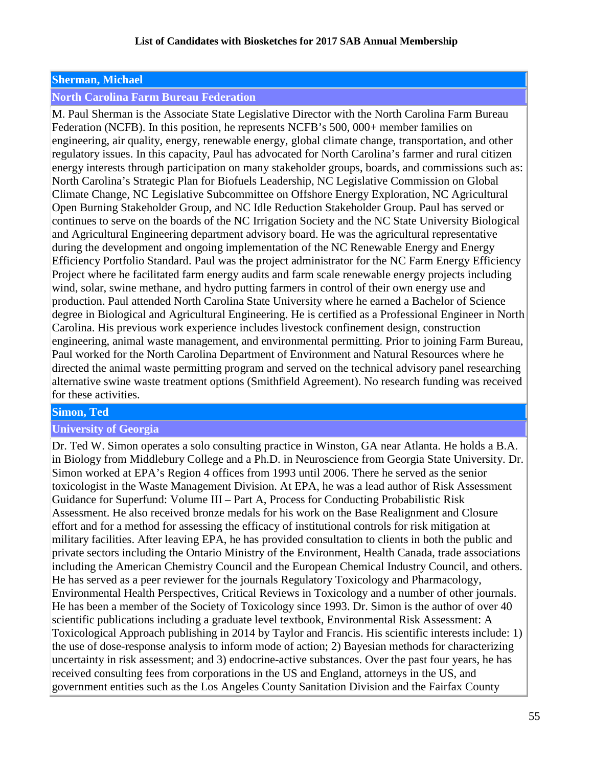# **Sherman, Michael**

# **North Carolina Farm Bureau Federation**

M. Paul Sherman is the Associate State Legislative Director with the North Carolina Farm Bureau Federation (NCFB). In this position, he represents NCFB's 500, 000+ member families on engineering, air quality, energy, renewable energy, global climate change, transportation, and other regulatory issues. In this capacity, Paul has advocated for North Carolina's farmer and rural citizen energy interests through participation on many stakeholder groups, boards, and commissions such as: North Carolina's Strategic Plan for Biofuels Leadership, NC Legislative Commission on Global Climate Change, NC Legislative Subcommittee on Offshore Energy Exploration, NC Agricultural Open Burning Stakeholder Group, and NC Idle Reduction Stakeholder Group. Paul has served or continues to serve on the boards of the NC Irrigation Society and the NC State University Biological and Agricultural Engineering department advisory board. He was the agricultural representative during the development and ongoing implementation of the NC Renewable Energy and Energy Efficiency Portfolio Standard. Paul was the project administrator for the NC Farm Energy Efficiency Project where he facilitated farm energy audits and farm scale renewable energy projects including wind, solar, swine methane, and hydro putting farmers in control of their own energy use and production. Paul attended North Carolina State University where he earned a Bachelor of Science degree in Biological and Agricultural Engineering. He is certified as a Professional Engineer in North Carolina. His previous work experience includes livestock confinement design, construction engineering, animal waste management, and environmental permitting. Prior to joining Farm Bureau, Paul worked for the North Carolina Department of Environment and Natural Resources where he directed the animal waste permitting program and served on the technical advisory panel researching alternative swine waste treatment options (Smithfield Agreement). No research funding was received for these activities.

### **Simon, Ted**

### **University of Georgia**

Dr. Ted W. Simon operates a solo consulting practice in Winston, GA near Atlanta. He holds a B.A. in Biology from Middlebury College and a Ph.D. in Neuroscience from Georgia State University. Dr. Simon worked at EPA's Region 4 offices from 1993 until 2006. There he served as the senior toxicologist in the Waste Management Division. At EPA, he was a lead author of Risk Assessment Guidance for Superfund: Volume III – Part A, Process for Conducting Probabilistic Risk Assessment. He also received bronze medals for his work on the Base Realignment and Closure effort and for a method for assessing the efficacy of institutional controls for risk mitigation at military facilities. After leaving EPA, he has provided consultation to clients in both the public and private sectors including the Ontario Ministry of the Environment, Health Canada, trade associations including the American Chemistry Council and the European Chemical Industry Council, and others. He has served as a peer reviewer for the journals Regulatory Toxicology and Pharmacology, Environmental Health Perspectives, Critical Reviews in Toxicology and a number of other journals. He has been a member of the Society of Toxicology since 1993. Dr. Simon is the author of over 40 scientific publications including a graduate level textbook, Environmental Risk Assessment: A Toxicological Approach publishing in 2014 by Taylor and Francis. His scientific interests include: 1) the use of dose-response analysis to inform mode of action; 2) Bayesian methods for characterizing uncertainty in risk assessment; and 3) endocrine-active substances. Over the past four years, he has received consulting fees from corporations in the US and England, attorneys in the US, and government entities such as the Los Angeles County Sanitation Division and the Fairfax County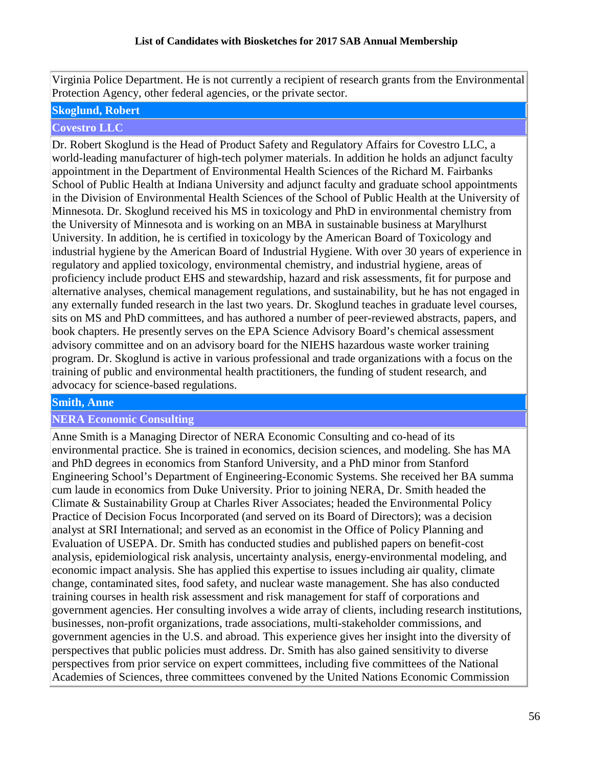Virginia Police Department. He is not currently a recipient of research grants from the Environmental Protection Agency, other federal agencies, or the private sector.

### **Skoglund, Robert**

### **Covestro LLC**

Dr. Robert Skoglund is the Head of Product Safety and Regulatory Affairs for Covestro LLC, a world-leading manufacturer of high-tech polymer materials. In addition he holds an adjunct faculty appointment in the Department of Environmental Health Sciences of the Richard M. Fairbanks School of Public Health at Indiana University and adjunct faculty and graduate school appointments in the Division of Environmental Health Sciences of the School of Public Health at the University of Minnesota. Dr. Skoglund received his MS in toxicology and PhD in environmental chemistry from the University of Minnesota and is working on an MBA in sustainable business at Marylhurst University. In addition, he is certified in toxicology by the American Board of Toxicology and industrial hygiene by the American Board of Industrial Hygiene. With over 30 years of experience in regulatory and applied toxicology, environmental chemistry, and industrial hygiene, areas of proficiency include product EHS and stewardship, hazard and risk assessments, fit for purpose and alternative analyses, chemical management regulations, and sustainability, but he has not engaged in any externally funded research in the last two years. Dr. Skoglund teaches in graduate level courses, sits on MS and PhD committees, and has authored a number of peer-reviewed abstracts, papers, and book chapters. He presently serves on the EPA Science Advisory Board's chemical assessment advisory committee and on an advisory board for the NIEHS hazardous waste worker training program. Dr. Skoglund is active in various professional and trade organizations with a focus on the training of public and environmental health practitioners, the funding of student research, and advocacy for science-based regulations.

### **Smith, Anne**

### **NERA Economic Consulting**

Anne Smith is a Managing Director of NERA Economic Consulting and co-head of its environmental practice. She is trained in economics, decision sciences, and modeling. She has MA and PhD degrees in economics from Stanford University, and a PhD minor from Stanford Engineering School's Department of Engineering-Economic Systems. She received her BA summa cum laude in economics from Duke University. Prior to joining NERA, Dr. Smith headed the Climate & Sustainability Group at Charles River Associates; headed the Environmental Policy Practice of Decision Focus Incorporated (and served on its Board of Directors); was a decision analyst at SRI International; and served as an economist in the Office of Policy Planning and Evaluation of USEPA. Dr. Smith has conducted studies and published papers on benefit-cost analysis, epidemiological risk analysis, uncertainty analysis, energy-environmental modeling, and economic impact analysis. She has applied this expertise to issues including air quality, climate change, contaminated sites, food safety, and nuclear waste management. She has also conducted training courses in health risk assessment and risk management for staff of corporations and government agencies. Her consulting involves a wide array of clients, including research institutions, businesses, non-profit organizations, trade associations, multi-stakeholder commissions, and government agencies in the U.S. and abroad. This experience gives her insight into the diversity of perspectives that public policies must address. Dr. Smith has also gained sensitivity to diverse perspectives from prior service on expert committees, including five committees of the National Academies of Sciences, three committees convened by the United Nations Economic Commission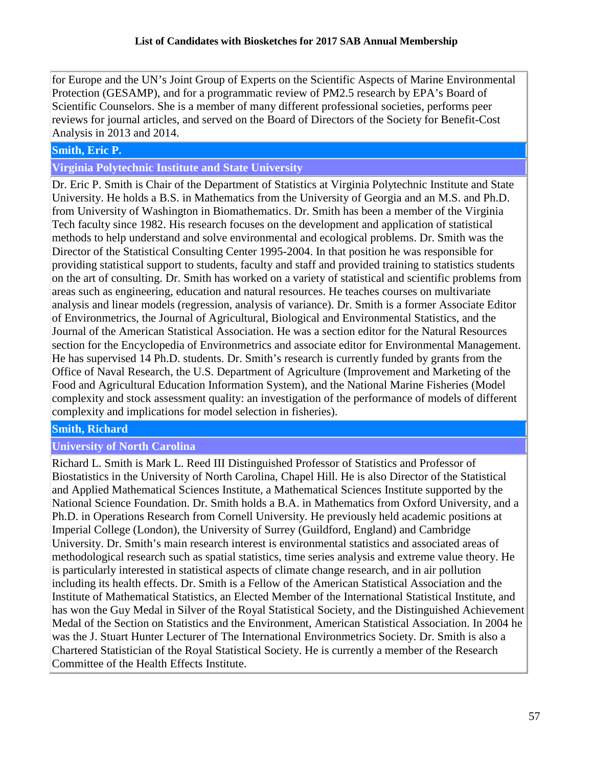for Europe and the UN's Joint Group of Experts on the Scientific Aspects of Marine Environmental Protection (GESAMP), and for a programmatic review of PM2.5 research by EPA's Board of Scientific Counselors. She is a member of many different professional societies, performs peer reviews for journal articles, and served on the Board of Directors of the Society for Benefit-Cost Analysis in 2013 and 2014.

# **Smith, Eric P.**

**Virginia Polytechnic Institute and State University**

Dr. Eric P. Smith is Chair of the Department of Statistics at Virginia Polytechnic Institute and State University. He holds a B.S. in Mathematics from the University of Georgia and an M.S. and Ph.D. from University of Washington in Biomathematics. Dr. Smith has been a member of the Virginia Tech faculty since 1982. His research focuses on the development and application of statistical methods to help understand and solve environmental and ecological problems. Dr. Smith was the Director of the Statistical Consulting Center 1995-2004. In that position he was responsible for providing statistical support to students, faculty and staff and provided training to statistics students on the art of consulting. Dr. Smith has worked on a variety of statistical and scientific problems from areas such as engineering, education and natural resources. He teaches courses on multivariate analysis and linear models (regression, analysis of variance). Dr. Smith is a former Associate Editor of Environmetrics, the Journal of Agricultural, Biological and Environmental Statistics, and the Journal of the American Statistical Association. He was a section editor for the Natural Resources section for the Encyclopedia of Environmetrics and associate editor for Environmental Management. He has supervised 14 Ph.D. students. Dr. Smith's research is currently funded by grants from the Office of Naval Research, the U.S. Department of Agriculture (Improvement and Marketing of the Food and Agricultural Education Information System), and the National Marine Fisheries (Model complexity and stock assessment quality: an investigation of the performance of models of different complexity and implications for model selection in fisheries).

# **Smith, Richard**

### **University of North Carolina**

Richard L. Smith is Mark L. Reed III Distinguished Professor of Statistics and Professor of Biostatistics in the University of North Carolina, Chapel Hill. He is also Director of the Statistical and Applied Mathematical Sciences Institute, a Mathematical Sciences Institute supported by the National Science Foundation. Dr. Smith holds a B.A. in Mathematics from Oxford University, and a Ph.D. in Operations Research from Cornell University. He previously held academic positions at Imperial College (London), the University of Surrey (Guildford, England) and Cambridge University. Dr. Smith's main research interest is environmental statistics and associated areas of methodological research such as spatial statistics, time series analysis and extreme value theory. He is particularly interested in statistical aspects of climate change research, and in air pollution including its health effects. Dr. Smith is a Fellow of the American Statistical Association and the Institute of Mathematical Statistics, an Elected Member of the International Statistical Institute, and has won the Guy Medal in Silver of the Royal Statistical Society, and the Distinguished Achievement Medal of the Section on Statistics and the Environment, American Statistical Association. In 2004 he was the J. Stuart Hunter Lecturer of The International Environmetrics Society. Dr. Smith is also a Chartered Statistician of the Royal Statistical Society. He is currently a member of the Research Committee of the Health Effects Institute.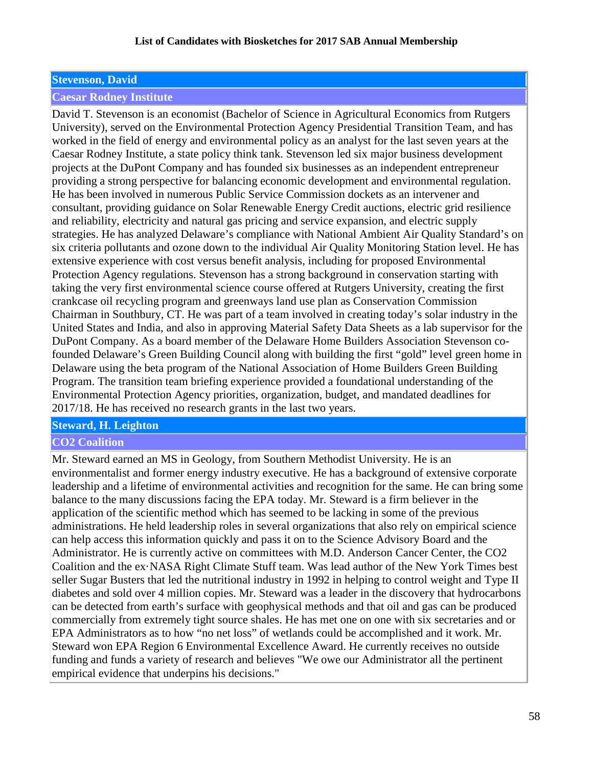### **Stevenson, David**

### **Caesar Rodney Institute**

David T. Stevenson is an economist (Bachelor of Science in Agricultural Economics from Rutgers University), served on the Environmental Protection Agency Presidential Transition Team, and has worked in the field of energy and environmental policy as an analyst for the last seven years at the Caesar Rodney Institute, a state policy think tank. Stevenson led six major business development projects at the DuPont Company and has founded six businesses as an independent entrepreneur providing a strong perspective for balancing economic development and environmental regulation. He has been involved in numerous Public Service Commission dockets as an intervener and consultant, providing guidance on Solar Renewable Energy Credit auctions, electric grid resilience and reliability, electricity and natural gas pricing and service expansion, and electric supply strategies. He has analyzed Delaware's compliance with National Ambient Air Quality Standard's on six criteria pollutants and ozone down to the individual Air Quality Monitoring Station level. He has extensive experience with cost versus benefit analysis, including for proposed Environmental Protection Agency regulations. Stevenson has a strong background in conservation starting with taking the very first environmental science course offered at Rutgers University, creating the first crankcase oil recycling program and greenways land use plan as Conservation Commission Chairman in Southbury, CT. He was part of a team involved in creating today's solar industry in the United States and India, and also in approving Material Safety Data Sheets as a lab supervisor for the DuPont Company. As a board member of the Delaware Home Builders Association Stevenson cofounded Delaware's Green Building Council along with building the first "gold" level green home in Delaware using the beta program of the National Association of Home Builders Green Building Program. The transition team briefing experience provided a foundational understanding of the Environmental Protection Agency priorities, organization, budget, and mandated deadlines for 2017/18. He has received no research grants in the last two years.

# **Steward, H. Leighton**

# **CO2 Coalition**

Mr. Steward earned an MS in Geology, from Southern Methodist University. He is an environmentalist and former energy industry executive. He has a background of extensive corporate leadership and a lifetime of environmental activities and recognition for the same. He can bring some balance to the many discussions facing the EPA today. Mr. Steward is a firm believer in the application of the scientific method which has seemed to be lacking in some of the previous administrations. He held leadership roles in several organizations that also rely on empirical science can help access this information quickly and pass it on to the Science Advisory Board and the Administrator. He is currently active on committees with M.D. Anderson Cancer Center, the CO2 Coalition and the ex·NASA Right Climate Stuff team. Was lead author of the New York Times best seller Sugar Busters that led the nutritional industry in 1992 in helping to control weight and Type II diabetes and sold over 4 million copies. Mr. Steward was a leader in the discovery that hydrocarbons can be detected from earth's surface with geophysical methods and that oil and gas can be produced commercially from extremely tight source shales. He has met one on one with six secretaries and or EPA Administrators as to how "no net loss" of wetlands could be accomplished and it work. Mr. Steward won EPA Region 6 Environmental Excellence Award. He currently receives no outside funding and funds a variety of research and believes "We owe our Administrator all the pertinent empirical evidence that underpins his decisions."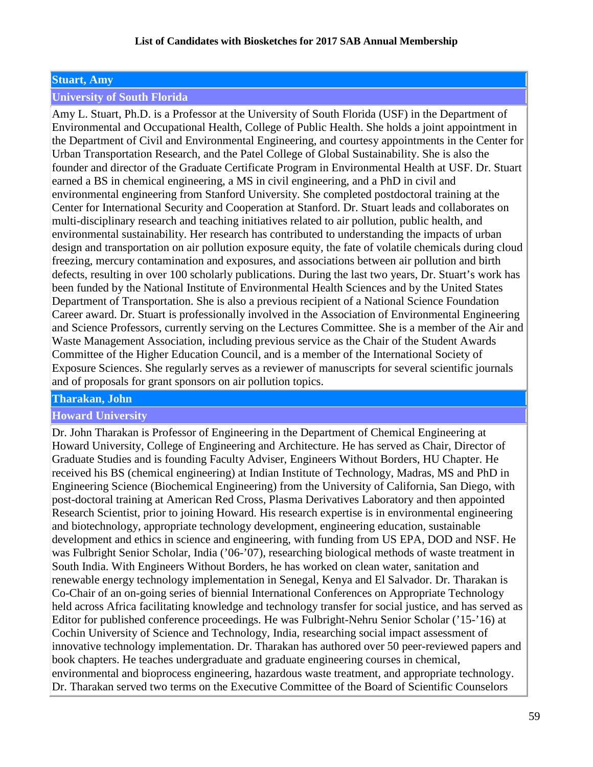# **Stuart, Amy**

### **University of South Florida**

Amy L. Stuart, Ph.D. is a Professor at the University of South Florida (USF) in the Department of Environmental and Occupational Health, College of Public Health. She holds a joint appointment in the Department of Civil and Environmental Engineering, and courtesy appointments in the Center for Urban Transportation Research, and the Patel College of Global Sustainability. She is also the founder and director of the Graduate Certificate Program in Environmental Health at USF. Dr. Stuart earned a BS in chemical engineering, a MS in civil engineering, and a PhD in civil and environmental engineering from Stanford University. She completed postdoctoral training at the Center for International Security and Cooperation at Stanford. Dr. Stuart leads and collaborates on multi-disciplinary research and teaching initiatives related to air pollution, public health, and environmental sustainability. Her research has contributed to understanding the impacts of urban design and transportation on air pollution exposure equity, the fate of volatile chemicals during cloud freezing, mercury contamination and exposures, and associations between air pollution and birth defects, resulting in over 100 scholarly publications. During the last two years, Dr. Stuart's work has been funded by the National Institute of Environmental Health Sciences and by the United States Department of Transportation. She is also a previous recipient of a National Science Foundation Career award. Dr. Stuart is professionally involved in the Association of Environmental Engineering and Science Professors, currently serving on the Lectures Committee. She is a member of the Air and Waste Management Association, including previous service as the Chair of the Student Awards Committee of the Higher Education Council, and is a member of the International Society of Exposure Sciences. She regularly serves as a reviewer of manuscripts for several scientific journals and of proposals for grant sponsors on air pollution topics.

### **Tharakan, John**

### **Howard University**

Dr. John Tharakan is Professor of Engineering in the Department of Chemical Engineering at Howard University, College of Engineering and Architecture. He has served as Chair, Director of Graduate Studies and is founding Faculty Adviser, Engineers Without Borders, HU Chapter. He received his BS (chemical engineering) at Indian Institute of Technology, Madras, MS and PhD in Engineering Science (Biochemical Engineering) from the University of California, San Diego, with post-doctoral training at American Red Cross, Plasma Derivatives Laboratory and then appointed Research Scientist, prior to joining Howard. His research expertise is in environmental engineering and biotechnology, appropriate technology development, engineering education, sustainable development and ethics in science and engineering, with funding from US EPA, DOD and NSF. He was Fulbright Senior Scholar, India ('06-'07), researching biological methods of waste treatment in South India. With Engineers Without Borders, he has worked on clean water, sanitation and renewable energy technology implementation in Senegal, Kenya and El Salvador. Dr. Tharakan is Co-Chair of an on-going series of biennial International Conferences on Appropriate Technology held across Africa facilitating knowledge and technology transfer for social justice, and has served as Editor for published conference proceedings. He was Fulbright-Nehru Senior Scholar ('15-'16) at Cochin University of Science and Technology, India, researching social impact assessment of innovative technology implementation. Dr. Tharakan has authored over 50 peer-reviewed papers and book chapters. He teaches undergraduate and graduate engineering courses in chemical, environmental and bioprocess engineering, hazardous waste treatment, and appropriate technology. Dr. Tharakan served two terms on the Executive Committee of the Board of Scientific Counselors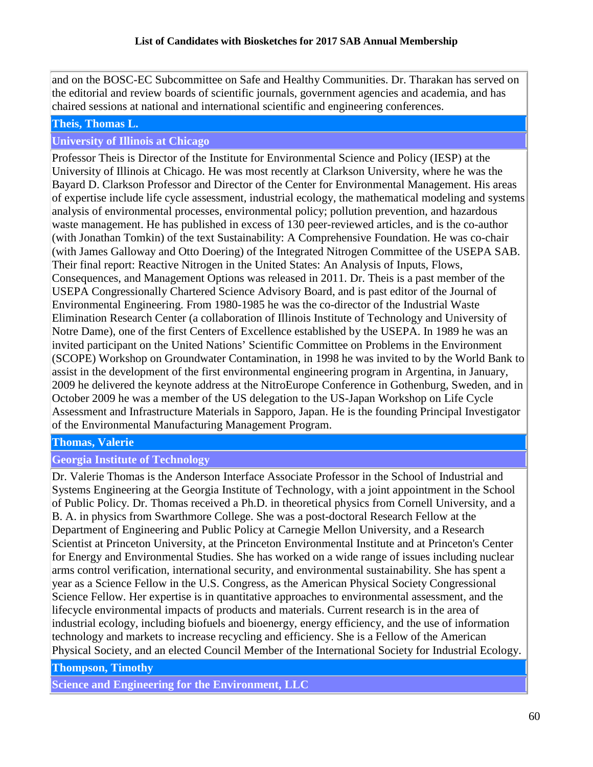and on the BOSC-EC Subcommittee on Safe and Healthy Communities. Dr. Tharakan has served on the editorial and review boards of scientific journals, government agencies and academia, and has chaired sessions at national and international scientific and engineering conferences.

# **Theis, Thomas L.**

# **University of Illinois at Chicago**

Professor Theis is Director of the Institute for Environmental Science and Policy (IESP) at the University of Illinois at Chicago. He was most recently at Clarkson University, where he was the Bayard D. Clarkson Professor and Director of the Center for Environmental Management. His areas of expertise include life cycle assessment, industrial ecology, the mathematical modeling and systems analysis of environmental processes, environmental policy; pollution prevention, and hazardous waste management. He has published in excess of 130 peer-reviewed articles, and is the co-author (with Jonathan Tomkin) of the text Sustainability: A Comprehensive Foundation. He was co-chair (with James Galloway and Otto Doering) of the Integrated Nitrogen Committee of the USEPA SAB. Their final report: Reactive Nitrogen in the United States: An Analysis of Inputs, Flows, Consequences, and Management Options was released in 2011. Dr. Theis is a past member of the USEPA Congressionally Chartered Science Advisory Board, and is past editor of the Journal of Environmental Engineering. From 1980-1985 he was the co-director of the Industrial Waste Elimination Research Center (a collaboration of Illinois Institute of Technology and University of Notre Dame), one of the first Centers of Excellence established by the USEPA. In 1989 he was an invited participant on the United Nations' Scientific Committee on Problems in the Environment (SCOPE) Workshop on Groundwater Contamination, in 1998 he was invited to by the World Bank to assist in the development of the first environmental engineering program in Argentina, in January, 2009 he delivered the keynote address at the NitroEurope Conference in Gothenburg, Sweden, and in October 2009 he was a member of the US delegation to the US-Japan Workshop on Life Cycle Assessment and Infrastructure Materials in Sapporo, Japan. He is the founding Principal Investigator of the Environmental Manufacturing Management Program.

# **Thomas, Valerie**

# **Georgia Institute of Technology**

Dr. Valerie Thomas is the Anderson Interface Associate Professor in the School of Industrial and Systems Engineering at the Georgia Institute of Technology, with a joint appointment in the School of Public Policy. Dr. Thomas received a Ph.D. in theoretical physics from Cornell University, and a B. A. in physics from Swarthmore College. She was a post-doctoral Research Fellow at the Department of Engineering and Public Policy at Carnegie Mellon University, and a Research Scientist at Princeton University, at the Princeton Environmental Institute and at Princeton's Center for Energy and Environmental Studies. She has worked on a wide range of issues including nuclear arms control verification, international security, and environmental sustainability. She has spent a year as a Science Fellow in the U.S. Congress, as the American Physical Society Congressional Science Fellow. Her expertise is in quantitative approaches to environmental assessment, and the lifecycle environmental impacts of products and materials. Current research is in the area of industrial ecology, including biofuels and bioenergy, energy efficiency, and the use of information technology and markets to increase recycling and efficiency. She is a Fellow of the American Physical Society, and an elected Council Member of the International Society for Industrial Ecology.

**Thompson, Timothy**

**Science and Engineering for the Environment, LLC**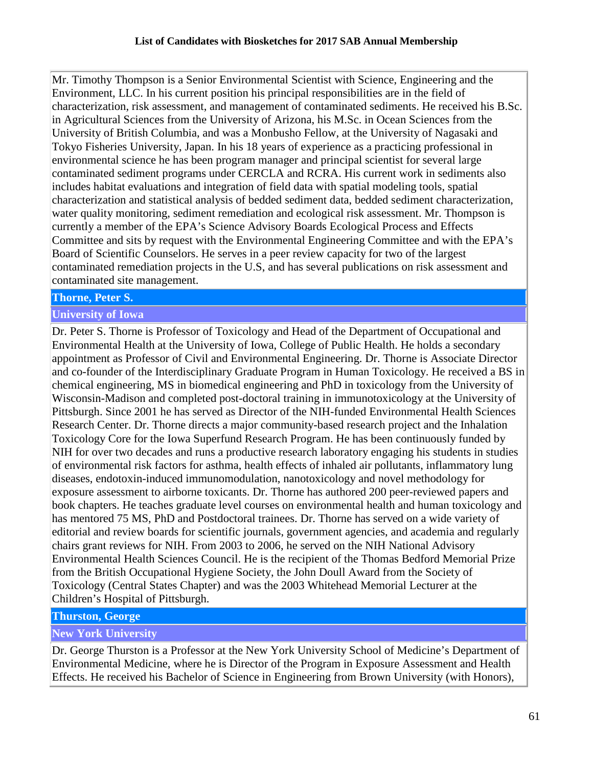Mr. Timothy Thompson is a Senior Environmental Scientist with Science, Engineering and the Environment, LLC. In his current position his principal responsibilities are in the field of characterization, risk assessment, and management of contaminated sediments. He received his B.Sc. in Agricultural Sciences from the University of Arizona, his M.Sc. in Ocean Sciences from the University of British Columbia, and was a Monbusho Fellow, at the University of Nagasaki and Tokyo Fisheries University, Japan. In his 18 years of experience as a practicing professional in environmental science he has been program manager and principal scientist for several large contaminated sediment programs under CERCLA and RCRA. His current work in sediments also includes habitat evaluations and integration of field data with spatial modeling tools, spatial characterization and statistical analysis of bedded sediment data, bedded sediment characterization, water quality monitoring, sediment remediation and ecological risk assessment. Mr. Thompson is currently a member of the EPA's Science Advisory Boards Ecological Process and Effects Committee and sits by request with the Environmental Engineering Committee and with the EPA's Board of Scientific Counselors. He serves in a peer review capacity for two of the largest contaminated remediation projects in the U.S, and has several publications on risk assessment and contaminated site management.

### **Thorne, Peter S.**

# **University of Iowa**

Dr. Peter S. Thorne is Professor of Toxicology and Head of the Department of Occupational and Environmental Health at the University of Iowa, College of Public Health. He holds a secondary appointment as Professor of Civil and Environmental Engineering. Dr. Thorne is Associate Director and co-founder of the Interdisciplinary Graduate Program in Human Toxicology. He received a BS in chemical engineering, MS in biomedical engineering and PhD in toxicology from the University of Wisconsin-Madison and completed post-doctoral training in immunotoxicology at the University of Pittsburgh. Since 2001 he has served as Director of the NIH-funded Environmental Health Sciences Research Center. Dr. Thorne directs a major community-based research project and the Inhalation Toxicology Core for the Iowa Superfund Research Program. He has been continuously funded by NIH for over two decades and runs a productive research laboratory engaging his students in studies of environmental risk factors for asthma, health effects of inhaled air pollutants, inflammatory lung diseases, endotoxin-induced immunomodulation, nanotoxicology and novel methodology for exposure assessment to airborne toxicants. Dr. Thorne has authored 200 peer-reviewed papers and book chapters. He teaches graduate level courses on environmental health and human toxicology and has mentored 75 MS, PhD and Postdoctoral trainees. Dr. Thorne has served on a wide variety of editorial and review boards for scientific journals, government agencies, and academia and regularly chairs grant reviews for NIH. From 2003 to 2006, he served on the NIH National Advisory Environmental Health Sciences Council. He is the recipient of the Thomas Bedford Memorial Prize from the British Occupational Hygiene Society, the John Doull Award from the Society of Toxicology (Central States Chapter) and was the 2003 Whitehead Memorial Lecturer at the Children's Hospital of Pittsburgh.

# **Thurston, George**

# **New York University**

Dr. George Thurston is a Professor at the New York University School of Medicine's Department of Environmental Medicine, where he is Director of the Program in Exposure Assessment and Health Effects. He received his Bachelor of Science in Engineering from Brown University (with Honors),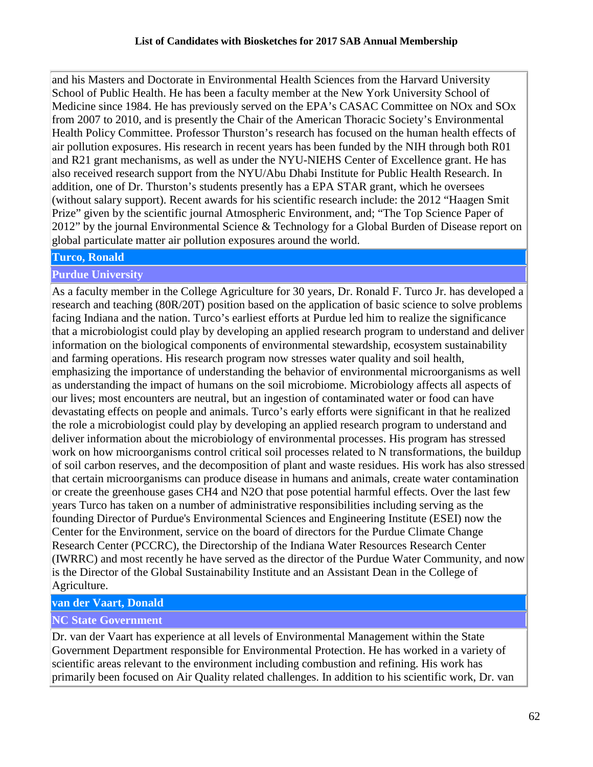and his Masters and Doctorate in Environmental Health Sciences from the Harvard University School of Public Health. He has been a faculty member at the New York University School of Medicine since 1984. He has previously served on the EPA's CASAC Committee on NOx and SOx from 2007 to 2010, and is presently the Chair of the American Thoracic Society's Environmental Health Policy Committee. Professor Thurston's research has focused on the human health effects of air pollution exposures. His research in recent years has been funded by the NIH through both R01 and R21 grant mechanisms, as well as under the NYU-NIEHS Center of Excellence grant. He has also received research support from the NYU/Abu Dhabi Institute for Public Health Research. In addition, one of Dr. Thurston's students presently has a EPA STAR grant, which he oversees (without salary support). Recent awards for his scientific research include: the 2012 "Haagen Smit Prize" given by the scientific journal Atmospheric Environment, and; "The Top Science Paper of 2012" by the journal Environmental Science & Technology for a Global Burden of Disease report on global particulate matter air pollution exposures around the world.

### **Turco, Ronald**

### **Purdue University**

As a faculty member in the College Agriculture for 30 years, Dr. Ronald F. Turco Jr. has developed a research and teaching (80R/20T) position based on the application of basic science to solve problems facing Indiana and the nation. Turco's earliest efforts at Purdue led him to realize the significance that a microbiologist could play by developing an applied research program to understand and deliver information on the biological components of environmental stewardship, ecosystem sustainability and farming operations. His research program now stresses water quality and soil health, emphasizing the importance of understanding the behavior of environmental microorganisms as well as understanding the impact of humans on the soil microbiome. Microbiology affects all aspects of our lives; most encounters are neutral, but an ingestion of contaminated water or food can have devastating effects on people and animals. Turco's early efforts were significant in that he realized the role a microbiologist could play by developing an applied research program to understand and deliver information about the microbiology of environmental processes. His program has stressed work on how microorganisms control critical soil processes related to N transformations, the buildup of soil carbon reserves, and the decomposition of plant and waste residues. His work has also stressed that certain microorganisms can produce disease in humans and animals, create water contamination or create the greenhouse gases CH4 and N2O that pose potential harmful effects. Over the last few years Turco has taken on a number of administrative responsibilities including serving as the founding Director of Purdue's Environmental Sciences and Engineering Institute (ESEI) now the Center for the Environment, service on the board of directors for the Purdue Climate Change Research Center (PCCRC), the Directorship of the Indiana Water Resources Research Center (IWRRC) and most recently he have served as the director of the Purdue Water Community, and now is the Director of the Global Sustainability Institute and an Assistant Dean in the College of Agriculture.

# **van der Vaart, Donald**

# **NC State Government**

Dr. van der Vaart has experience at all levels of Environmental Management within the State Government Department responsible for Environmental Protection. He has worked in a variety of scientific areas relevant to the environment including combustion and refining. His work has primarily been focused on Air Quality related challenges. In addition to his scientific work, Dr. van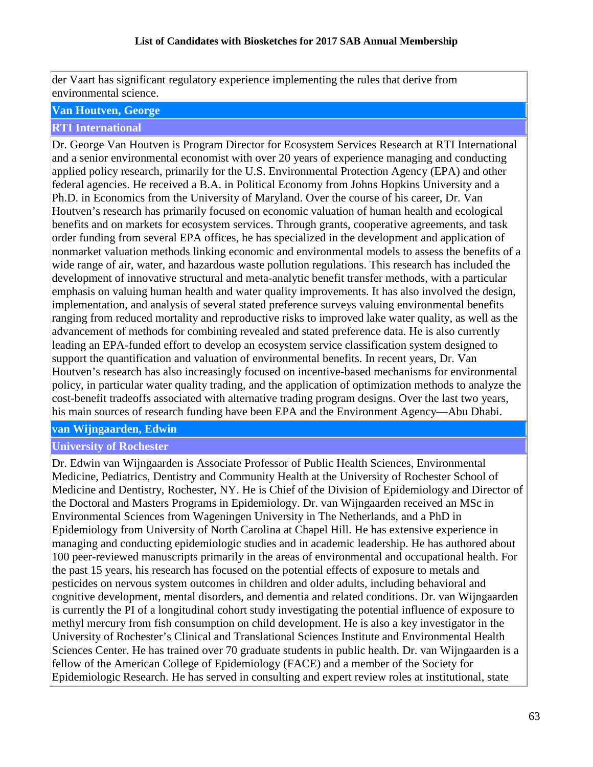der Vaart has significant regulatory experience implementing the rules that derive from environmental science.

### **Van Houtven, George**

### **RTI International**

Dr. George Van Houtven is Program Director for Ecosystem Services Research at RTI International and a senior environmental economist with over 20 years of experience managing and conducting applied policy research, primarily for the U.S. Environmental Protection Agency (EPA) and other federal agencies. He received a B.A. in Political Economy from Johns Hopkins University and a Ph.D. in Economics from the University of Maryland. Over the course of his career, Dr. Van Houtven's research has primarily focused on economic valuation of human health and ecological benefits and on markets for ecosystem services. Through grants, cooperative agreements, and task order funding from several EPA offices, he has specialized in the development and application of nonmarket valuation methods linking economic and environmental models to assess the benefits of a wide range of air, water, and hazardous waste pollution regulations. This research has included the development of innovative structural and meta-analytic benefit transfer methods, with a particular emphasis on valuing human health and water quality improvements. It has also involved the design, implementation, and analysis of several stated preference surveys valuing environmental benefits ranging from reduced mortality and reproductive risks to improved lake water quality, as well as the advancement of methods for combining revealed and stated preference data. He is also currently leading an EPA-funded effort to develop an ecosystem service classification system designed to support the quantification and valuation of environmental benefits. In recent years, Dr. Van Houtven's research has also increasingly focused on incentive-based mechanisms for environmental policy, in particular water quality trading, and the application of optimization methods to analyze the cost-benefit tradeoffs associated with alternative trading program designs. Over the last two years, his main sources of research funding have been EPA and the Environment Agency—Abu Dhabi.

# **van Wijngaarden, Edwin**

### **University of Rochester**

Dr. Edwin van Wijngaarden is Associate Professor of Public Health Sciences, Environmental Medicine, Pediatrics, Dentistry and Community Health at the University of Rochester School of Medicine and Dentistry, Rochester, NY. He is Chief of the Division of Epidemiology and Director of the Doctoral and Masters Programs in Epidemiology. Dr. van Wijngaarden received an MSc in Environmental Sciences from Wageningen University in The Netherlands, and a PhD in Epidemiology from University of North Carolina at Chapel Hill. He has extensive experience in managing and conducting epidemiologic studies and in academic leadership. He has authored about 100 peer-reviewed manuscripts primarily in the areas of environmental and occupational health. For the past 15 years, his research has focused on the potential effects of exposure to metals and pesticides on nervous system outcomes in children and older adults, including behavioral and cognitive development, mental disorders, and dementia and related conditions. Dr. van Wijngaarden is currently the PI of a longitudinal cohort study investigating the potential influence of exposure to methyl mercury from fish consumption on child development. He is also a key investigator in the University of Rochester's Clinical and Translational Sciences Institute and Environmental Health Sciences Center. He has trained over 70 graduate students in public health. Dr. van Wijngaarden is a fellow of the American College of Epidemiology (FACE) and a member of the Society for Epidemiologic Research. He has served in consulting and expert review roles at institutional, state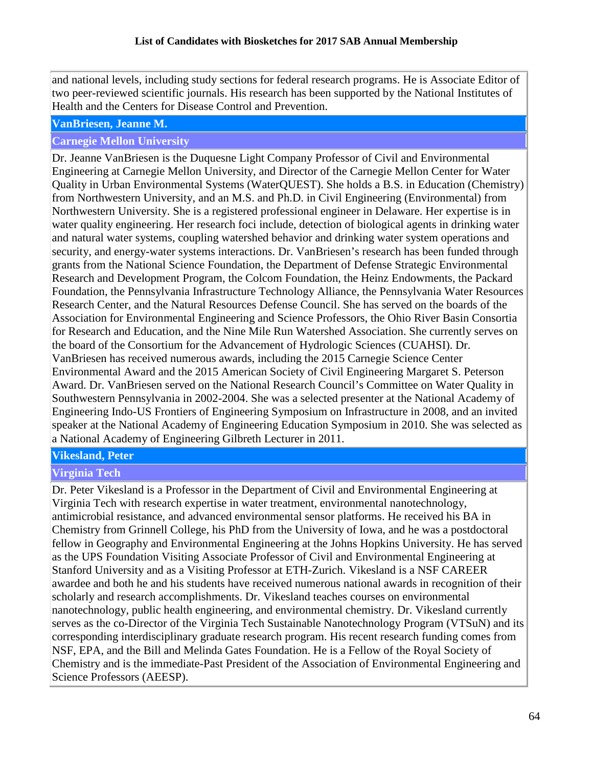and national levels, including study sections for federal research programs. He is Associate Editor of two peer-reviewed scientific journals. His research has been supported by the National Institutes of Health and the Centers for Disease Control and Prevention.

### **VanBriesen, Jeanne M.**

# **Carnegie Mellon University**

Dr. Jeanne VanBriesen is the Duquesne Light Company Professor of Civil and Environmental Engineering at Carnegie Mellon University, and Director of the Carnegie Mellon Center for Water Quality in Urban Environmental Systems (WaterQUEST). She holds a B.S. in Education (Chemistry) from Northwestern University, and an M.S. and Ph.D. in Civil Engineering (Environmental) from Northwestern University. She is a registered professional engineer in Delaware. Her expertise is in water quality engineering. Her research foci include, detection of biological agents in drinking water and natural water systems, coupling watershed behavior and drinking water system operations and security, and energy-water systems interactions. Dr. VanBriesen's research has been funded through grants from the National Science Foundation, the Department of Defense Strategic Environmental Research and Development Program, the Colcom Foundation, the Heinz Endowments, the Packard Foundation, the Pennsylvania Infrastructure Technology Alliance, the Pennsylvania Water Resources Research Center, and the Natural Resources Defense Council. She has served on the boards of the Association for Environmental Engineering and Science Professors, the Ohio River Basin Consortia for Research and Education, and the Nine Mile Run Watershed Association. She currently serves on the board of the Consortium for the Advancement of Hydrologic Sciences (CUAHSI). Dr. VanBriesen has received numerous awards, including the 2015 Carnegie Science Center Environmental Award and the 2015 American Society of Civil Engineering Margaret S. Peterson Award. Dr. VanBriesen served on the National Research Council's Committee on Water Quality in Southwestern Pennsylvania in 2002-2004. She was a selected presenter at the National Academy of Engineering Indo-US Frontiers of Engineering Symposium on Infrastructure in 2008, and an invited speaker at the National Academy of Engineering Education Symposium in 2010. She was selected as a National Academy of Engineering Gilbreth Lecturer in 2011.

# **Vikesland, Peter**

# **Virginia Tech**

Dr. Peter Vikesland is a Professor in the Department of Civil and Environmental Engineering at Virginia Tech with research expertise in water treatment, environmental nanotechnology, antimicrobial resistance, and advanced environmental sensor platforms. He received his BA in Chemistry from Grinnell College, his PhD from the University of Iowa, and he was a postdoctoral fellow in Geography and Environmental Engineering at the Johns Hopkins University. He has served as the UPS Foundation Visiting Associate Professor of Civil and Environmental Engineering at Stanford University and as a Visiting Professor at ETH-Zurich. Vikesland is a NSF CAREER awardee and both he and his students have received numerous national awards in recognition of their scholarly and research accomplishments. Dr. Vikesland teaches courses on environmental nanotechnology, public health engineering, and environmental chemistry. Dr. Vikesland currently serves as the co-Director of the Virginia Tech Sustainable Nanotechnology Program (VTSuN) and its corresponding interdisciplinary graduate research program. His recent research funding comes from NSF, EPA, and the Bill and Melinda Gates Foundation. He is a Fellow of the Royal Society of Chemistry and is the immediate-Past President of the Association of Environmental Engineering and Science Professors (AEESP).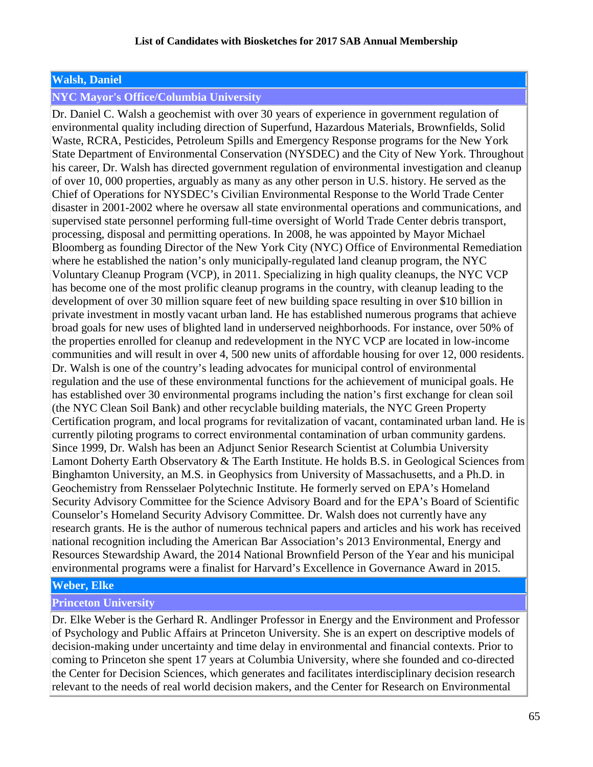# **Walsh, Daniel**

# **NYC Mayor's Office/Columbia University**

Dr. Daniel C. Walsh a geochemist with over 30 years of experience in government regulation of environmental quality including direction of Superfund, Hazardous Materials, Brownfields, Solid Waste, RCRA, Pesticides, Petroleum Spills and Emergency Response programs for the New York State Department of Environmental Conservation (NYSDEC) and the City of New York. Throughout his career, Dr. Walsh has directed government regulation of environmental investigation and cleanup of over 10, 000 properties, arguably as many as any other person in U.S. history. He served as the Chief of Operations for NYSDEC's Civilian Environmental Response to the World Trade Center disaster in 2001-2002 where he oversaw all state environmental operations and communications, and supervised state personnel performing full-time oversight of World Trade Center debris transport, processing, disposal and permitting operations. In 2008, he was appointed by Mayor Michael Bloomberg as founding Director of the New York City (NYC) Office of Environmental Remediation where he established the nation's only municipally-regulated land cleanup program, the NYC Voluntary Cleanup Program (VCP), in 2011. Specializing in high quality cleanups, the NYC VCP has become one of the most prolific cleanup programs in the country, with cleanup leading to the development of over 30 million square feet of new building space resulting in over \$10 billion in private investment in mostly vacant urban land. He has established numerous programs that achieve broad goals for new uses of blighted land in underserved neighborhoods. For instance, over 50% of the properties enrolled for cleanup and redevelopment in the NYC VCP are located in low-income communities and will result in over 4, 500 new units of affordable housing for over 12, 000 residents. Dr. Walsh is one of the country's leading advocates for municipal control of environmental regulation and the use of these environmental functions for the achievement of municipal goals. He has established over 30 environmental programs including the nation's first exchange for clean soil (the NYC Clean Soil Bank) and other recyclable building materials, the NYC Green Property Certification program, and local programs for revitalization of vacant, contaminated urban land. He is currently piloting programs to correct environmental contamination of urban community gardens. Since 1999, Dr. Walsh has been an Adjunct Senior Research Scientist at Columbia University Lamont Doherty Earth Observatory & The Earth Institute. He holds B.S. in Geological Sciences from Binghamton University, an M.S. in Geophysics from University of Massachusetts, and a Ph.D. in Geochemistry from Rensselaer Polytechnic Institute. He formerly served on EPA's Homeland Security Advisory Committee for the Science Advisory Board and for the EPA's Board of Scientific Counselor's Homeland Security Advisory Committee. Dr. Walsh does not currently have any research grants. He is the author of numerous technical papers and articles and his work has received national recognition including the American Bar Association's 2013 Environmental, Energy and Resources Stewardship Award, the 2014 National Brownfield Person of the Year and his municipal environmental programs were a finalist for Harvard's Excellence in Governance Award in 2015.

# **Weber, Elke**

# **Princeton University**

Dr. Elke Weber is the Gerhard R. Andlinger Professor in Energy and the Environment and Professor of Psychology and Public Affairs at Princeton University. She is an expert on descriptive models of decision-making under uncertainty and time delay in environmental and financial contexts. Prior to coming to Princeton she spent 17 years at Columbia University, where she founded and co-directed the Center for Decision Sciences, which generates and facilitates interdisciplinary decision research relevant to the needs of real world decision makers, and the Center for Research on Environmental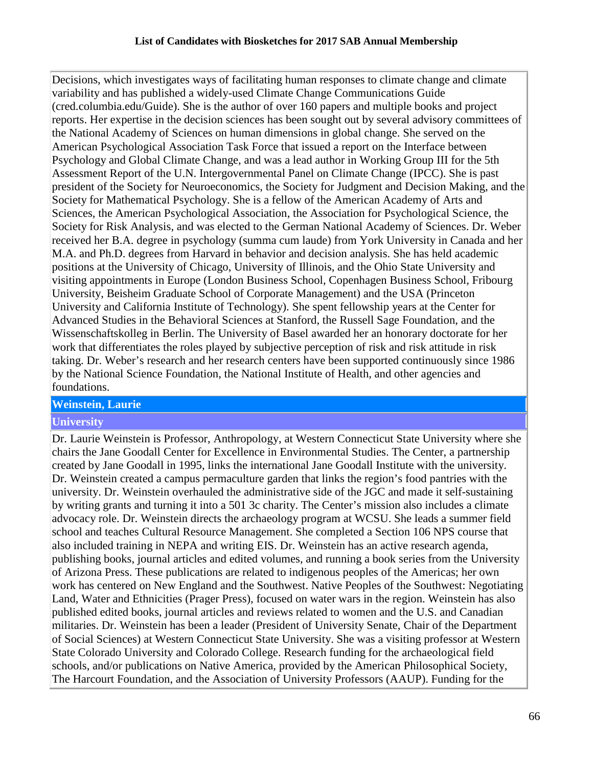Decisions, which investigates ways of facilitating human responses to climate change and climate variability and has published a widely-used Climate Change Communications Guide (cred.columbia.edu/Guide). She is the author of over 160 papers and multiple books and project reports. Her expertise in the decision sciences has been sought out by several advisory committees of the National Academy of Sciences on human dimensions in global change. She served on the American Psychological Association Task Force that issued a report on the Interface between Psychology and Global Climate Change, and was a lead author in Working Group III for the 5th Assessment Report of the U.N. Intergovernmental Panel on Climate Change (IPCC). She is past president of the Society for Neuroeconomics, the Society for Judgment and Decision Making, and the Society for Mathematical Psychology. She is a fellow of the American Academy of Arts and Sciences, the American Psychological Association, the Association for Psychological Science, the Society for Risk Analysis, and was elected to the German National Academy of Sciences. Dr. Weber received her B.A. degree in psychology (summa cum laude) from York University in Canada and her M.A. and Ph.D. degrees from Harvard in behavior and decision analysis. She has held academic positions at the University of Chicago, University of Illinois, and the Ohio State University and visiting appointments in Europe (London Business School, Copenhagen Business School, Fribourg University, Beisheim Graduate School of Corporate Management) and the USA (Princeton University and California Institute of Technology). She spent fellowship years at the Center for Advanced Studies in the Behavioral Sciences at Stanford, the Russell Sage Foundation, and the Wissenschaftskolleg in Berlin. The University of Basel awarded her an honorary doctorate for her work that differentiates the roles played by subjective perception of risk and risk attitude in risk taking. Dr. Weber's research and her research centers have been supported continuously since 1986 by the National Science Foundation, the National Institute of Health, and other agencies and foundations.

# **Weinstein, Laurie**

### **University**

Dr. Laurie Weinstein is Professor, Anthropology, at Western Connecticut State University where she chairs the Jane Goodall Center for Excellence in Environmental Studies. The Center, a partnership created by Jane Goodall in 1995, links the international Jane Goodall Institute with the university. Dr. Weinstein created a campus permaculture garden that links the region's food pantries with the university. Dr. Weinstein overhauled the administrative side of the JGC and made it self-sustaining by writing grants and turning it into a 501 3c charity. The Center's mission also includes a climate advocacy role. Dr. Weinstein directs the archaeology program at WCSU. She leads a summer field school and teaches Cultural Resource Management. She completed a Section 106 NPS course that also included training in NEPA and writing EIS. Dr. Weinstein has an active research agenda, publishing books, journal articles and edited volumes, and running a book series from the University of Arizona Press. These publications are related to indigenous peoples of the Americas; her own work has centered on New England and the Southwest. Native Peoples of the Southwest: Negotiating Land, Water and Ethnicities (Prager Press), focused on water wars in the region. Weinstein has also published edited books, journal articles and reviews related to women and the U.S. and Canadian militaries. Dr. Weinstein has been a leader (President of University Senate, Chair of the Department of Social Sciences) at Western Connecticut State University. She was a visiting professor at Western State Colorado University and Colorado College. Research funding for the archaeological field schools, and/or publications on Native America, provided by the American Philosophical Society, The Harcourt Foundation, and the Association of University Professors (AAUP). Funding for the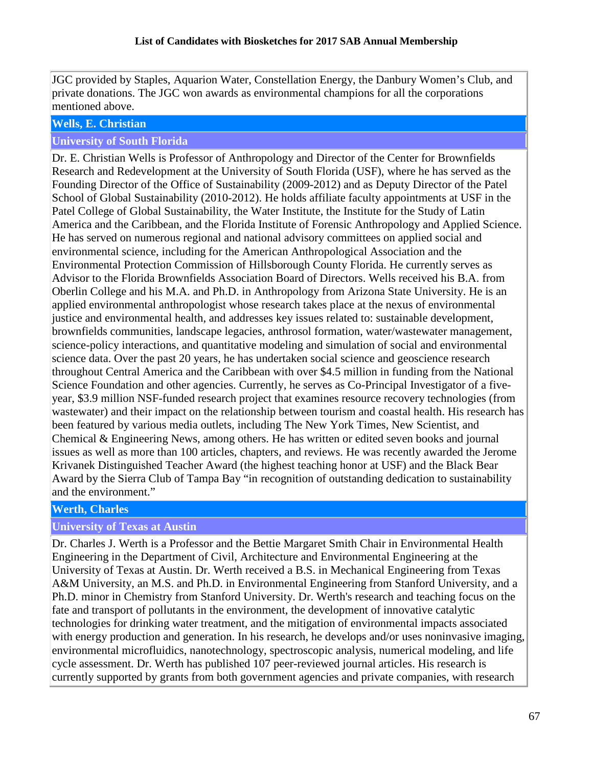JGC provided by Staples, Aquarion Water, Constellation Energy, the Danbury Women's Club, and private donations. The JGC won awards as environmental champions for all the corporations mentioned above.

### **Wells, E. Christian**

# **University of South Florida**

Dr. E. Christian Wells is Professor of Anthropology and Director of the Center for Brownfields Research and Redevelopment at the University of South Florida (USF), where he has served as the Founding Director of the Office of Sustainability (2009-2012) and as Deputy Director of the Patel School of Global Sustainability (2010-2012). He holds affiliate faculty appointments at USF in the Patel College of Global Sustainability, the Water Institute, the Institute for the Study of Latin America and the Caribbean, and the Florida Institute of Forensic Anthropology and Applied Science. He has served on numerous regional and national advisory committees on applied social and environmental science, including for the American Anthropological Association and the Environmental Protection Commission of Hillsborough County Florida. He currently serves as Advisor to the Florida Brownfields Association Board of Directors. Wells received his B.A. from Oberlin College and his M.A. and Ph.D. in Anthropology from Arizona State University. He is an applied environmental anthropologist whose research takes place at the nexus of environmental justice and environmental health, and addresses key issues related to: sustainable development, brownfields communities, landscape legacies, anthrosol formation, water/wastewater management, science-policy interactions, and quantitative modeling and simulation of social and environmental science data. Over the past 20 years, he has undertaken social science and geoscience research throughout Central America and the Caribbean with over \$4.5 million in funding from the National Science Foundation and other agencies. Currently, he serves as Co-Principal Investigator of a fiveyear, \$3.9 million NSF-funded research project that examines resource recovery technologies (from wastewater) and their impact on the relationship between tourism and coastal health. His research has been featured by various media outlets, including The New York Times, New Scientist, and Chemical & Engineering News, among others. He has written or edited seven books and journal issues as well as more than 100 articles, chapters, and reviews. He was recently awarded the Jerome Krivanek Distinguished Teacher Award (the highest teaching honor at USF) and the Black Bear Award by the Sierra Club of Tampa Bay "in recognition of outstanding dedication to sustainability and the environment."

# **Werth, Charles**

# **University of Texas at Austin**

Dr. Charles J. Werth is a Professor and the Bettie Margaret Smith Chair in Environmental Health Engineering in the Department of Civil, Architecture and Environmental Engineering at the University of Texas at Austin. Dr. Werth received a B.S. in Mechanical Engineering from Texas A&M University, an M.S. and Ph.D. in Environmental Engineering from Stanford University, and a Ph.D. minor in Chemistry from Stanford University. Dr. Werth's research and teaching focus on the fate and transport of pollutants in the environment, the development of innovative catalytic technologies for drinking water treatment, and the mitigation of environmental impacts associated with energy production and generation. In his research, he develops and/or uses noninvasive imaging, environmental microfluidics, nanotechnology, spectroscopic analysis, numerical modeling, and life cycle assessment. Dr. Werth has published 107 peer-reviewed journal articles. His research is currently supported by grants from both government agencies and private companies, with research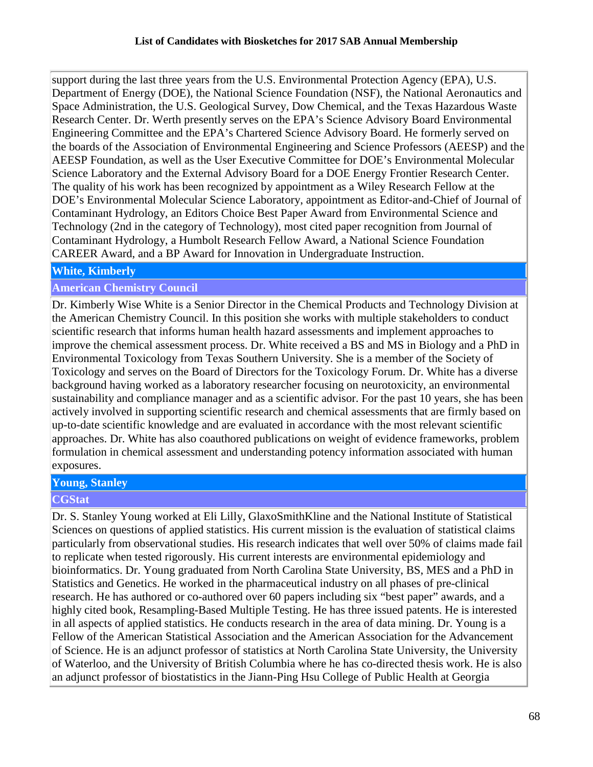support during the last three years from the U.S. Environmental Protection Agency (EPA), U.S. Department of Energy (DOE), the National Science Foundation (NSF), the National Aeronautics and Space Administration, the U.S. Geological Survey, Dow Chemical, and the Texas Hazardous Waste Research Center. Dr. Werth presently serves on the EPA's Science Advisory Board Environmental Engineering Committee and the EPA's Chartered Science Advisory Board. He formerly served on the boards of the Association of Environmental Engineering and Science Professors (AEESP) and the AEESP Foundation, as well as the User Executive Committee for DOE's Environmental Molecular Science Laboratory and the External Advisory Board for a DOE Energy Frontier Research Center. The quality of his work has been recognized by appointment as a Wiley Research Fellow at the DOE's Environmental Molecular Science Laboratory, appointment as Editor-and-Chief of Journal of Contaminant Hydrology, an Editors Choice Best Paper Award from Environmental Science and Technology (2nd in the category of Technology), most cited paper recognition from Journal of Contaminant Hydrology, a Humbolt Research Fellow Award, a National Science Foundation CAREER Award, and a BP Award for Innovation in Undergraduate Instruction.

# **White, Kimberly**

# **American Chemistry Council**

Dr. Kimberly Wise White is a Senior Director in the Chemical Products and Technology Division at the American Chemistry Council. In this position she works with multiple stakeholders to conduct scientific research that informs human health hazard assessments and implement approaches to improve the chemical assessment process. Dr. White received a BS and MS in Biology and a PhD in Environmental Toxicology from Texas Southern University. She is a member of the Society of Toxicology and serves on the Board of Directors for the Toxicology Forum. Dr. White has a diverse background having worked as a laboratory researcher focusing on neurotoxicity, an environmental sustainability and compliance manager and as a scientific advisor. For the past 10 years, she has been actively involved in supporting scientific research and chemical assessments that are firmly based on up-to-date scientific knowledge and are evaluated in accordance with the most relevant scientific approaches. Dr. White has also coauthored publications on weight of evidence frameworks, problem formulation in chemical assessment and understanding potency information associated with human exposures.

# **Young, Stanley**

# **CGStat**

Dr. S. Stanley Young worked at Eli Lilly, GlaxoSmithKline and the National Institute of Statistical Sciences on questions of applied statistics. His current mission is the evaluation of statistical claims particularly from observational studies. His research indicates that well over 50% of claims made fail to replicate when tested rigorously. His current interests are environmental epidemiology and bioinformatics. Dr. Young graduated from North Carolina State University, BS, MES and a PhD in Statistics and Genetics. He worked in the pharmaceutical industry on all phases of pre-clinical research. He has authored or co-authored over 60 papers including six "best paper" awards, and a highly cited book, Resampling-Based Multiple Testing. He has three issued patents. He is interested in all aspects of applied statistics. He conducts research in the area of data mining. Dr. Young is a Fellow of the American Statistical Association and the American Association for the Advancement of Science. He is an adjunct professor of statistics at North Carolina State University, the University of Waterloo, and the University of British Columbia where he has co-directed thesis work. He is also an adjunct professor of biostatistics in the Jiann-Ping Hsu College of Public Health at Georgia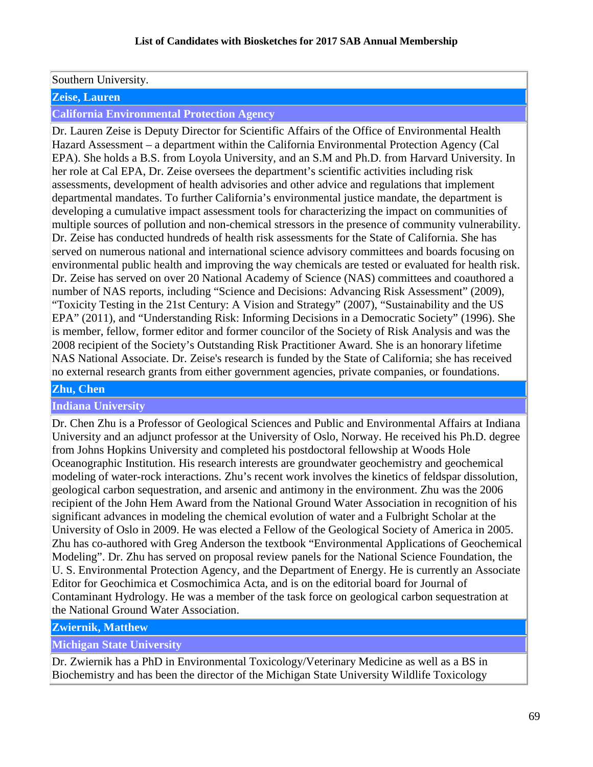### Southern University.

# **Zeise, Lauren**

### **California Environmental Protection Agency**

Dr. Lauren Zeise is Deputy Director for Scientific Affairs of the Office of Environmental Health Hazard Assessment – a department within the California Environmental Protection Agency (Cal EPA). She holds a B.S. from Loyola University, and an S.M and Ph.D. from Harvard University. In her role at Cal EPA, Dr. Zeise oversees the department's scientific activities including risk assessments, development of health advisories and other advice and regulations that implement departmental mandates. To further California's environmental justice mandate, the department is developing a cumulative impact assessment tools for characterizing the impact on communities of multiple sources of pollution and non-chemical stressors in the presence of community vulnerability. Dr. Zeise has conducted hundreds of health risk assessments for the State of California. She has served on numerous national and international science advisory committees and boards focusing on environmental public health and improving the way chemicals are tested or evaluated for health risk. Dr. Zeise has served on over 20 National Academy of Science (NAS) committees and coauthored a number of NAS reports, including "Science and Decisions: Advancing Risk Assessment" (2009), "Toxicity Testing in the 21st Century: A Vision and Strategy" (2007), "Sustainability and the US EPA" (2011), and "Understanding Risk: Informing Decisions in a Democratic Society" (1996). She is member, fellow, former editor and former councilor of the Society of Risk Analysis and was the 2008 recipient of the Society's Outstanding Risk Practitioner Award. She is an honorary lifetime NAS National Associate. Dr. Zeise's research is funded by the State of California; she has received no external research grants from either government agencies, private companies, or foundations.

### **Zhu, Chen**

### **Indiana University**

Dr. Chen Zhu is a Professor of Geological Sciences and Public and Environmental Affairs at Indiana University and an adjunct professor at the University of Oslo, Norway. He received his Ph.D. degree from Johns Hopkins University and completed his postdoctoral fellowship at Woods Hole Oceanographic Institution. His research interests are groundwater geochemistry and geochemical modeling of water-rock interactions. Zhu's recent work involves the kinetics of feldspar dissolution, geological carbon sequestration, and arsenic and antimony in the environment. Zhu was the 2006 recipient of the John Hem Award from the National Ground Water Association in recognition of his significant advances in modeling the chemical evolution of water and a Fulbright Scholar at the University of Oslo in 2009. He was elected a Fellow of the Geological Society of America in 2005. Zhu has co-authored with Greg Anderson the textbook "Environmental Applications of Geochemical Modeling". Dr. Zhu has served on proposal review panels for the National Science Foundation, the U. S. Environmental Protection Agency, and the Department of Energy. He is currently an Associate Editor for Geochimica et Cosmochimica Acta, and is on the editorial board for Journal of Contaminant Hydrology. He was a member of the task force on geological carbon sequestration at the National Ground Water Association.

### **Zwiernik, Matthew**

### **Michigan State University**

Dr. Zwiernik has a PhD in Environmental Toxicology/Veterinary Medicine as well as a BS in Biochemistry and has been the director of the Michigan State University Wildlife Toxicology